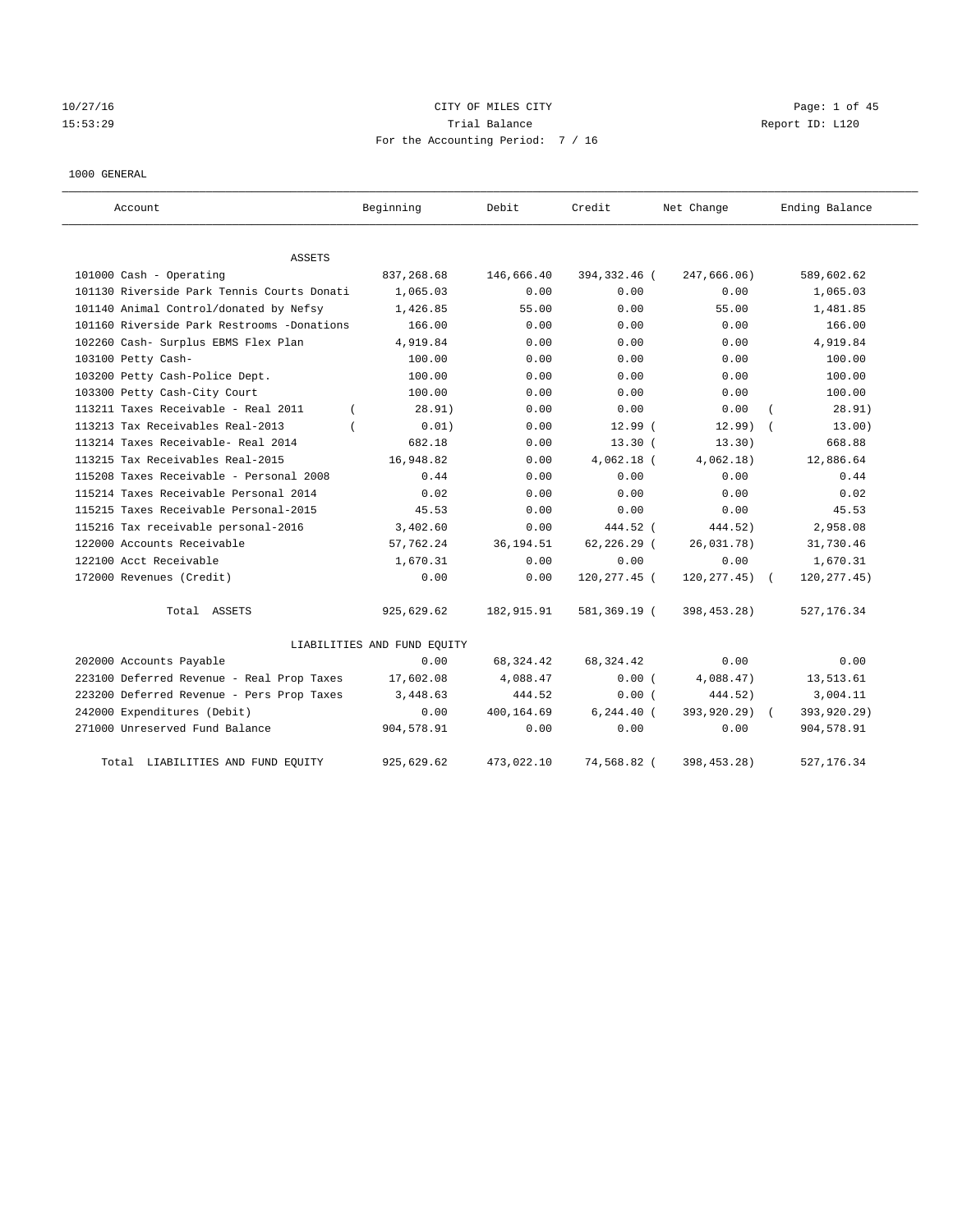# $10/27/16$  Page: 1 of 45 15:53:29 **Trial Balance Trial Balance Report ID:** L120 For the Accounting Period: 7 / 16

1000 GENERAL

| Account                                    | Beginning                   | Debit      | Credit         | Net Change      | Ending Balance |
|--------------------------------------------|-----------------------------|------------|----------------|-----------------|----------------|
| ASSETS                                     |                             |            |                |                 |                |
| 101000 Cash - Operating                    | 837,268.68                  | 146,666.40 | 394,332.46 (   | 247,666.06)     | 589,602.62     |
| 101130 Riverside Park Tennis Courts Donati | 1,065.03                    | 0.00       | 0.00           | 0.00            | 1,065.03       |
| 101140 Animal Control/donated by Nefsy     | 1,426.85                    | 55.00      | 0.00           | 55.00           | 1,481.85       |
| 101160 Riverside Park Restrooms -Donations | 166.00                      | 0.00       | 0.00           | 0.00            | 166.00         |
| 102260 Cash- Surplus EBMS Flex Plan        | 4,919.84                    | 0.00       | 0.00           | 0.00            | 4,919.84       |
| 103100 Petty Cash-                         | 100.00                      | 0.00       | 0.00           | 0.00            | 100.00         |
| 103200 Petty Cash-Police Dept.             | 100.00                      | 0.00       | 0.00           | 0.00            | 100.00         |
| 103300 Petty Cash-City Court               | 100.00                      | 0.00       | 0.00           | 0.00            | 100.00         |
| 113211 Taxes Receivable - Real 2011        | 28.91)                      | 0.00       | 0.00           | 0.00            | 28.91)         |
| 113213 Tax Receivables Real-2013           | 0.01)                       | 0.00       | 12.99(         | 12.99           | 13.00)         |
| 113214 Taxes Receivable- Real 2014         | 682.18                      | 0.00       | $13.30$ $($    | 13.30)          | 668.88         |
| 113215 Tax Receivables Real-2015           | 16,948.82                   | 0.00       | $4,062.18$ (   | 4,062.18)       | 12,886.64      |
| 115208 Taxes Receivable - Personal 2008    | 0.44                        | 0.00       | 0.00           | 0.00            | 0.44           |
| 115214 Taxes Receivable Personal 2014      | 0.02                        | 0.00       | 0.00           | 0.00            | 0.02           |
| 115215 Taxes Receivable Personal-2015      | 45.53                       | 0.00       | 0.00           | 0.00            | 45.53          |
| 115216 Tax receivable personal-2016        | 3,402.60                    | 0.00       | 444.52 (       | 444.52)         | 2,958.08       |
| 122000 Accounts Receivable                 | 57,762.24                   | 36, 194.51 | $62, 226.29$ ( | 26,031.78)      | 31,730.46      |
| 122100 Acct Receivable                     | 1,670.31                    | 0.00       | 0.00           | 0.00            | 1,670.31       |
| 172000 Revenues (Credit)                   | 0.00                        | 0.00       | 120,277.45 (   | $120, 277.45$ ( | 120, 277.45)   |
| Total ASSETS                               | 925,629.62                  | 182,915.91 | 581,369.19 (   | 398, 453. 28)   | 527, 176.34    |
|                                            | LIABILITIES AND FUND EQUITY |            |                |                 |                |
| 202000 Accounts Payable                    | 0.00                        | 68, 324.42 | 68, 324.42     | 0.00            | 0.00           |
| 223100 Deferred Revenue - Real Prop Taxes  | 17,602.08                   | 4,088.47   | 0.00(          | 4,088.47)       | 13,513.61      |
| 223200 Deferred Revenue - Pers Prop Taxes  | 3,448.63                    | 444.52     | 0.00(          | 444.52)         | 3,004.11       |
| 242000 Expenditures (Debit)                | 0.00                        | 400,164.69 | $6, 244.40$ (  | 393,920.29)     | 393,920.29)    |
| 271000 Unreserved Fund Balance             | 904,578.91                  | 0.00       | 0.00           | 0.00            | 904,578.91     |
| Total LIABILITIES AND FUND EQUITY          | 925,629.62                  | 473,022.10 | 74,568.82 (    | 398, 453. 28)   | 527, 176.34    |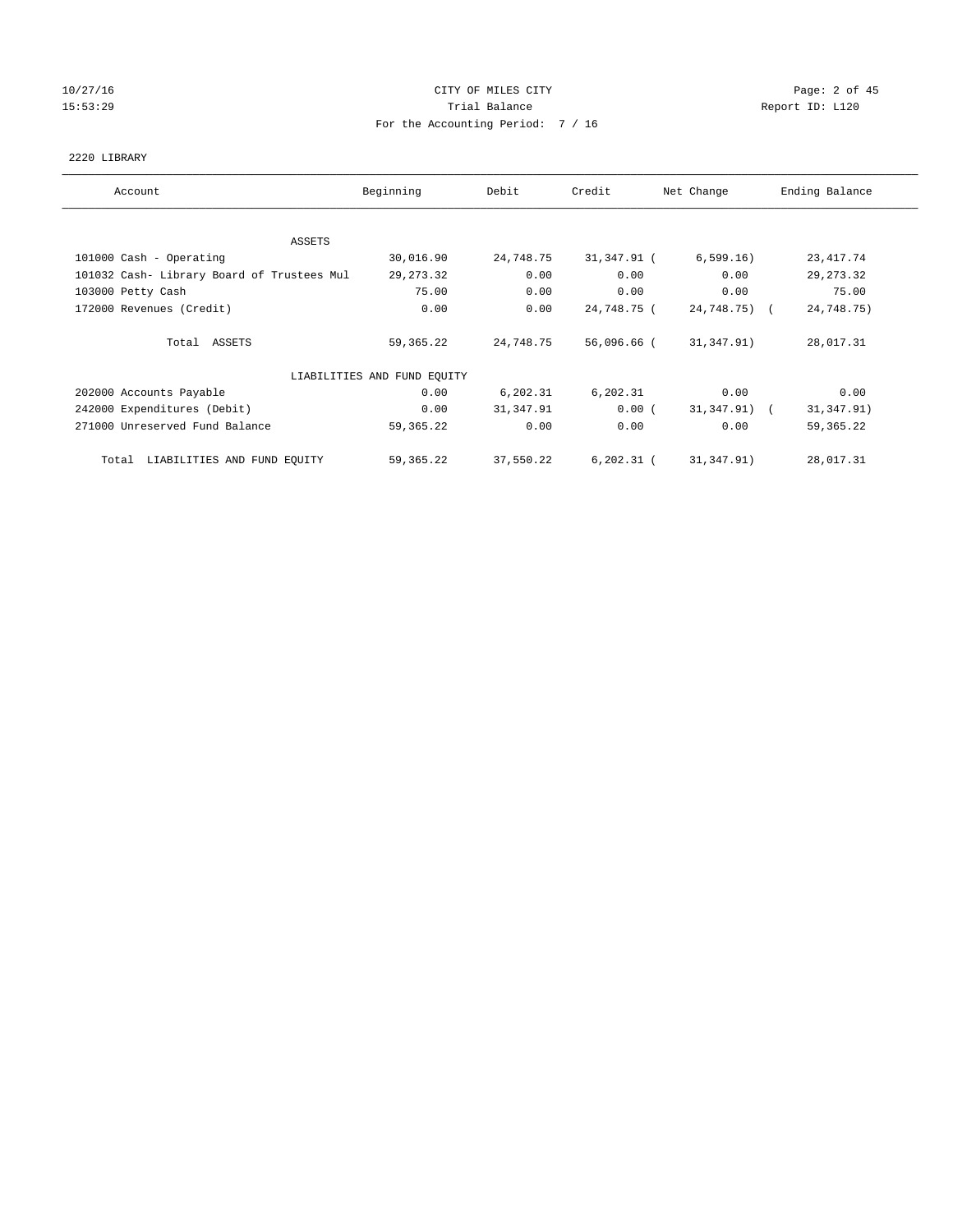# 10/27/16 CITY OF MILES CITY Page: 2 of 45 15:53:29 **Trial Balance Trial Balance Report ID:** L120 For the Accounting Period: 7 / 16

## 2220 LIBRARY

| Account                                    | Beginning                   | Debit     | Credit      | Net Change   | Ending Balance |
|--------------------------------------------|-----------------------------|-----------|-------------|--------------|----------------|
|                                            |                             |           |             |              |                |
| ASSETS<br>101000 Cash - Operating          | 30,016.90                   | 24,748.75 | 31,347.91 ( | 6, 599.16)   | 23, 417.74     |
| 101032 Cash- Library Board of Trustees Mul | 29, 273. 32                 | 0.00      | 0.00        | 0.00         | 29, 273.32     |
|                                            |                             |           |             |              |                |
| 103000 Petty Cash                          | 75.00                       | 0.00      | 0.00        | 0.00         | 75.00          |
| 172000 Revenues (Credit)                   | 0.00                        | 0.00      | 24,748.75 ( | 24,748.75) ( | 24,748.75)     |
| Total ASSETS                               | 59,365.22                   | 24,748.75 | 56,096.66 ( | 31,347.91)   | 28,017.31      |
|                                            | LIABILITIES AND FUND EQUITY |           |             |              |                |
| 202000 Accounts Payable                    | 0.00                        | 6,202.31  | 6,202.31    | 0.00         | 0.00           |
| 242000 Expenditures (Debit)                | 0.00                        | 31,347.91 | 0.00(       | 31,347.91) ( | 31, 347.91)    |
| 271000 Unreserved Fund Balance             | 59,365.22                   | 0.00      | 0.00        | 0.00         | 59, 365. 22    |
| Total LIABILITIES AND FUND EQUITY          | 59,365.22                   | 37,550.22 | 6,202.31 (  | 31,347.91)   | 28,017.31      |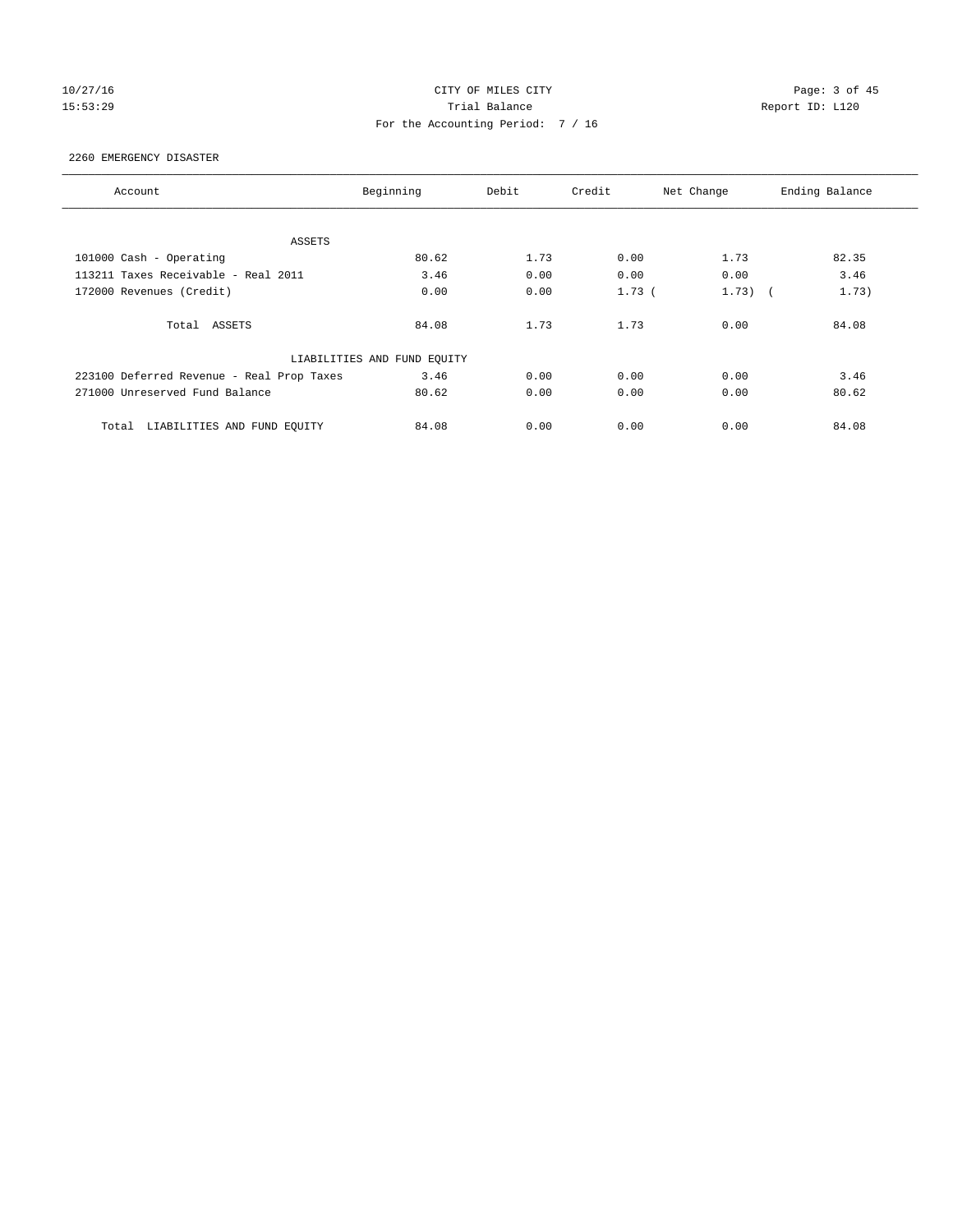# 10/27/16 CITY OF MILES CITY Page: 3 of 45 15:53:29 **Trial Balance Trial Balance Report ID:** L120 For the Accounting Period: 7 / 16

## 2260 EMERGENCY DISASTER

| Account                                   | Beginning                   | Debit | Credit   | Net Change | Ending Balance |
|-------------------------------------------|-----------------------------|-------|----------|------------|----------------|
|                                           |                             |       |          |            |                |
| ASSETS                                    |                             |       |          |            |                |
| 101000 Cash - Operating                   | 80.62                       | 1.73  | 0.00     | 1.73       | 82.35          |
| 113211 Taxes Receivable - Real 2011       | 3.46                        | 0.00  | 0.00     | 0.00       | 3.46           |
| 172000 Revenues (Credit)                  | 0.00                        | 0.00  | $1.73$ ( | $1.73)$ (  | 1.73)          |
| Total ASSETS                              | 84.08                       | 1.73  | 1.73     | 0.00       | 84.08          |
|                                           | LIABILITIES AND FUND EQUITY |       |          |            |                |
| 223100 Deferred Revenue - Real Prop Taxes | 3.46                        | 0.00  | 0.00     | 0.00       | 3.46           |
| 271000 Unreserved Fund Balance            | 80.62                       | 0.00  | 0.00     | 0.00       | 80.62          |
| LIABILITIES AND FUND EQUITY<br>Total      | 84.08                       | 0.00  | 0.00     | 0.00       | 84.08          |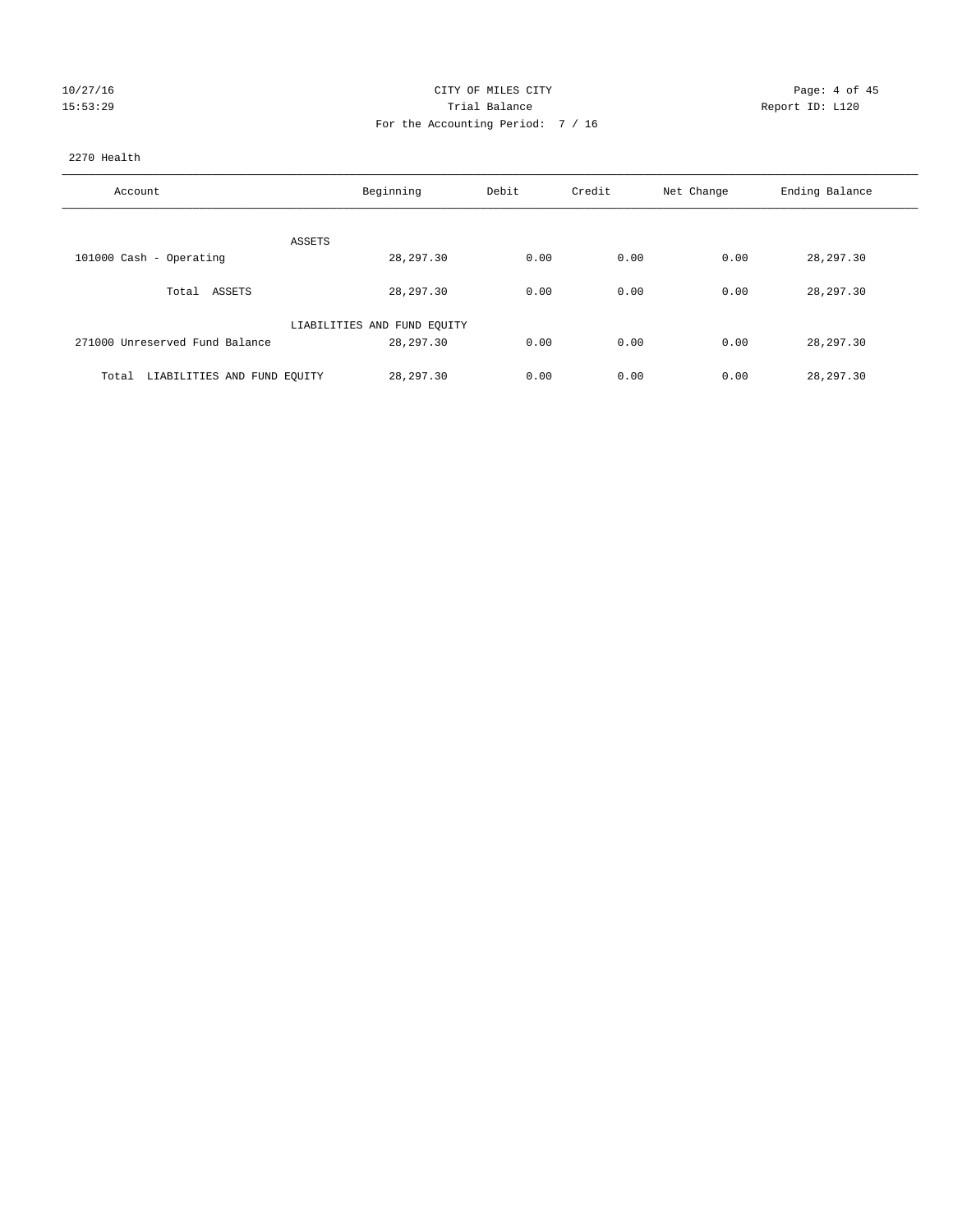| 10/27/16 |  |         |
|----------|--|---------|
|          |  | 5:53:29 |

# CITY OF MILES CITY CONTROL CONTROL CONTROL CITY 15:53:29 Trial Balance Trial Balance Report ID: L120 For the Accounting Period: 7 / 16

## 2270 Health

| Account                              | Beginning                   | Debit | Credit | Net Change | Ending Balance |
|--------------------------------------|-----------------------------|-------|--------|------------|----------------|
| ASSETS                               |                             |       |        |            |                |
| 101000 Cash - Operating              | 28, 297.30                  | 0.00  | 0.00   | 0.00       | 28, 297.30     |
| Total ASSETS                         | 28,297.30                   | 0.00  | 0.00   | 0.00       | 28,297.30      |
|                                      | LIABILITIES AND FUND EQUITY |       |        |            |                |
| 271000 Unreserved Fund Balance       | 28,297.30                   | 0.00  | 0.00   | 0.00       | 28,297.30      |
| LIABILITIES AND FUND EQUITY<br>Total | 28, 297, 30                 | 0.00  | 0.00   | 0.00       | 28,297.30      |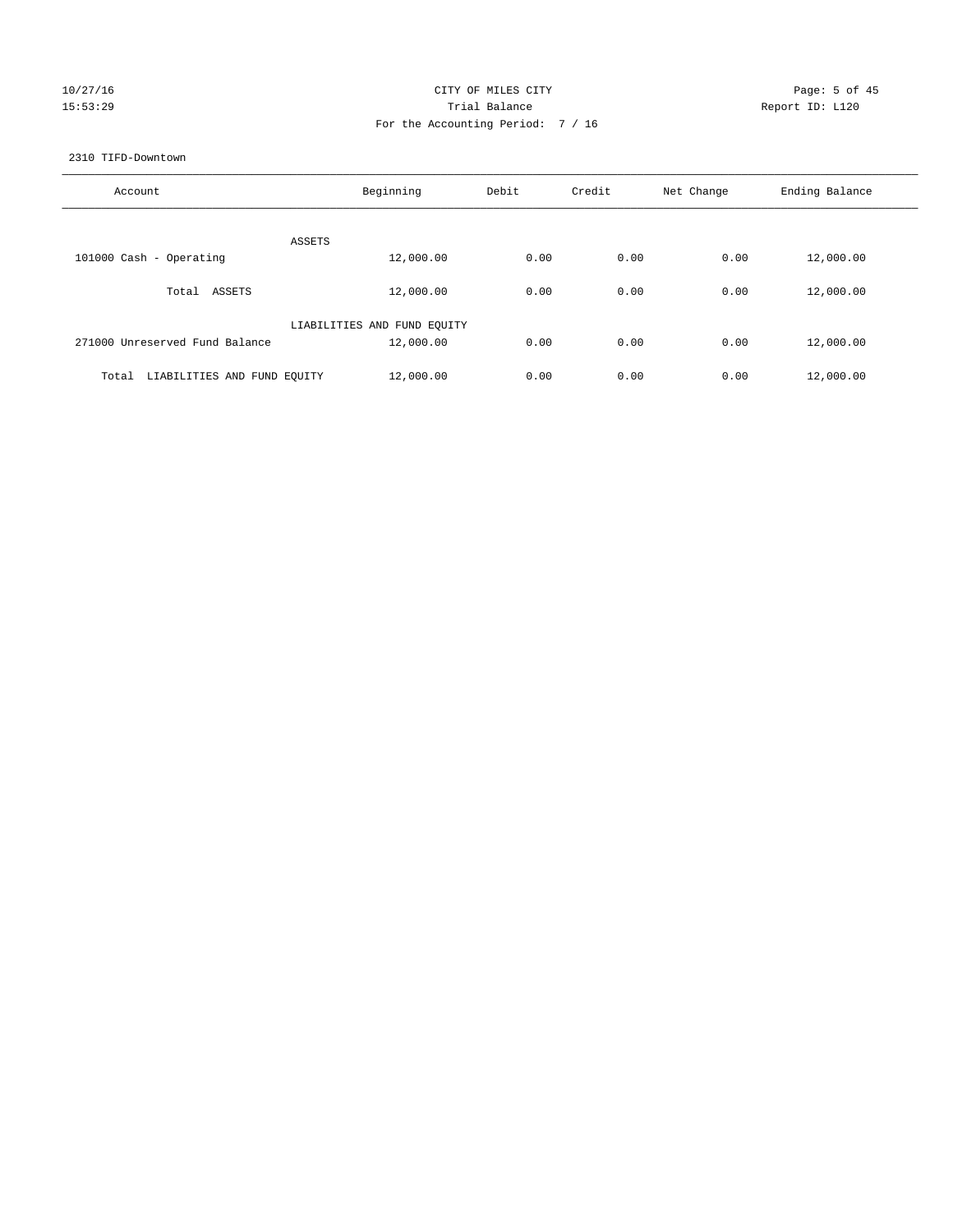# 10/27/16 CITY OF MILES CITY Page: 5 of 45 15:53:29 **Trial Balance Trial Balance Report ID:** L120 For the Accounting Period: 7 / 16

### 2310 TIFD-Downtown

| Account                              | Beginning                   | Debit | Credit | Net Change | Ending Balance |
|--------------------------------------|-----------------------------|-------|--------|------------|----------------|
| ASSETS                               |                             |       |        |            |                |
| 101000 Cash - Operating              | 12,000.00                   | 0.00  | 0.00   | 0.00       | 12,000.00      |
| Total ASSETS                         | 12,000.00                   | 0.00  | 0.00   | 0.00       | 12,000.00      |
|                                      | LIABILITIES AND FUND EQUITY |       |        |            |                |
| 271000 Unreserved Fund Balance       | 12,000.00                   | 0.00  | 0.00   | 0.00       | 12,000.00      |
| LIABILITIES AND FUND EQUITY<br>Total | 12,000.00                   | 0.00  | 0.00   | 0.00       | 12,000.00      |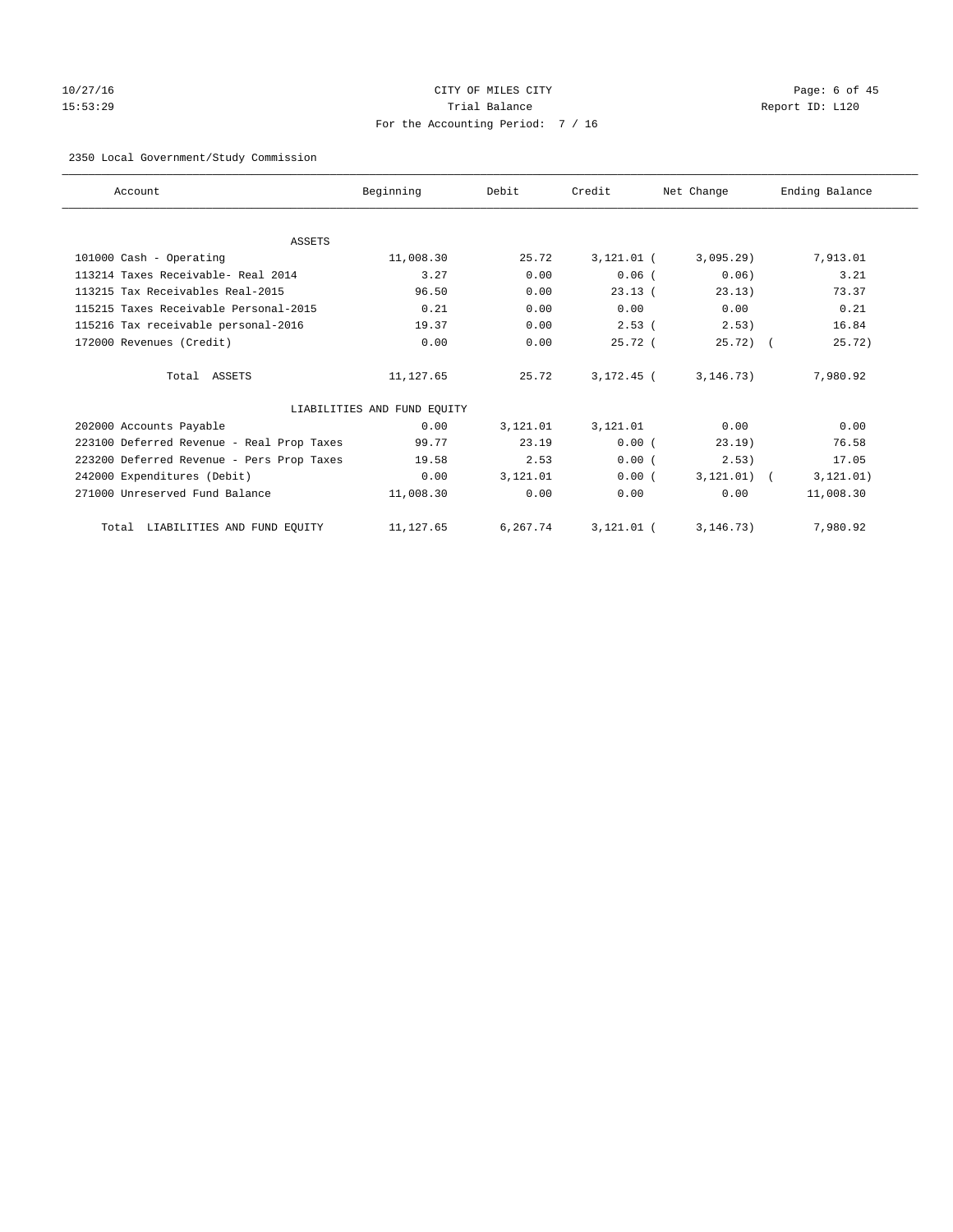# 10/27/16 CITY OF MILES CITY Page: 6 of 45 15:53:29 Trial Balance Report ID: L120 For the Accounting Period: 7 / 16

# 2350 Local Government/Study Commission

| Account                                   | Beginning                   | Debit    | Credit       | Net Change    | Ending Balance |
|-------------------------------------------|-----------------------------|----------|--------------|---------------|----------------|
|                                           |                             |          |              |               |                |
| ASSETS                                    |                             |          |              |               |                |
| 101000 Cash - Operating                   | 11,008.30                   | 25.72    | $3,121.01$ ( | 3,095.29)     | 7,913.01       |
| 113214 Taxes Receivable- Real 2014        | 3.27                        | 0.00     | $0.06$ (     | 0.06          | 3.21           |
| 113215 Tax Receivables Real-2015          | 96.50                       | 0.00     | 23.13(       | 23.13)        | 73.37          |
| 115215 Taxes Receivable Personal-2015     | 0.21                        | 0.00     | 0.00         | 0.00          | 0.21           |
| 115216 Tax receivable personal-2016       | 19.37                       | 0.00     | $2.53$ (     | 2.53)         | 16.84          |
| 172000 Revenues (Credit)                  | 0.00                        | 0.00     | 25.72(       | $25.72$ ) (   | 25.72)         |
| Total ASSETS                              | 11,127.65                   | 25.72    | $3.172.45$ ( | 3, 146.73)    | 7.980.92       |
|                                           | LIABILITIES AND FUND EQUITY |          |              |               |                |
| 202000 Accounts Payable                   | 0.00                        | 3,121.01 | 3,121.01     | 0.00          | 0.00           |
| 223100 Deferred Revenue - Real Prop Taxes | 99.77                       | 23.19    | 0.00(        | 23.19)        | 76.58          |
| 223200 Deferred Revenue - Pers Prop Taxes | 19.58                       | 2.53     | 0.00(        | 2.53)         | 17.05          |
| 242000 Expenditures (Debit)               | 0.00                        | 3,121.01 | 0.00(        | $3,121.01)$ ( | 3, 121.01)     |
| 271000 Unreserved Fund Balance            | 11,008.30                   | 0.00     | 0.00         | 0.00          | 11,008.30      |
| Total LIABILITIES AND FUND EQUITY         | 11,127.65                   | 6,267.74 | $3,121.01$ ( | 3, 146.73)    | 7,980.92       |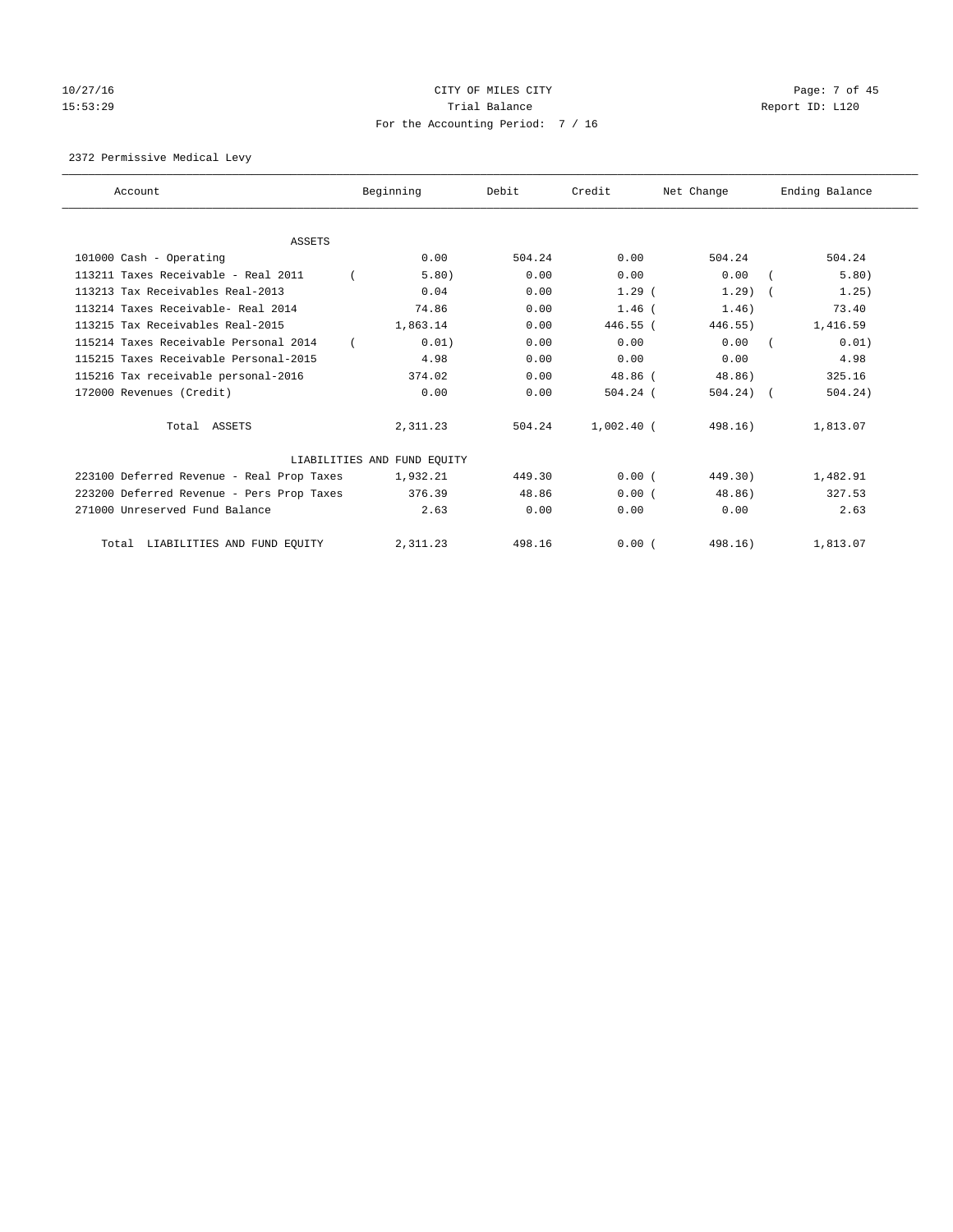# 10/27/16 CITY OF MILES CITY Page: 7 of 45 15:53:29 **Trial Balance Trial Balance Report ID:** L120 For the Accounting Period: 7 / 16

2372 Permissive Medical Levy

| Account                                   | Beginning                   | Debit  | Credit       | Net Change  | Ending Balance |
|-------------------------------------------|-----------------------------|--------|--------------|-------------|----------------|
| <b>ASSETS</b>                             |                             |        |              |             |                |
| 101000 Cash - Operating                   | 0.00                        | 504.24 | 0.00         | 504.24      | 504.24         |
| 113211 Taxes Receivable - Real 2011       | 5.80)                       | 0.00   | 0.00         | 0.00        | 5.80)          |
| 113213 Tax Receivables Real-2013          | 0.04                        | 0.00   | 1.29(        | 1.29        | 1.25)          |
| 113214 Taxes Receivable- Real 2014        | 74.86                       | 0.00   | $1.46$ (     | 1.46)       | 73.40          |
| 113215 Tax Receivables Real-2015          | 1,863.14                    | 0.00   | 446.55 (     | 446.55)     | 1,416.59       |
| 115214 Taxes Receivable Personal 2014     | 0.01)                       | 0.00   | 0.00         | 0.00        | 0.01)          |
| 115215 Taxes Receivable Personal-2015     | 4.98                        | 0.00   | 0.00         | 0.00        | 4.98           |
| 115216 Tax receivable personal-2016       | 374.02                      | 0.00   | 48.86 (      | 48.86)      | 325.16         |
| 172000 Revenues (Credit)                  | 0.00                        | 0.00   | $504.24$ (   | $504.24)$ ( | 504.24)        |
|                                           |                             |        |              |             |                |
| Total ASSETS                              | 2,311.23                    | 504.24 | $1,002.40$ ( | 498.16)     | 1,813.07       |
|                                           | LIABILITIES AND FUND EQUITY |        |              |             |                |
| 223100 Deferred Revenue - Real Prop Taxes | 1,932.21                    | 449.30 | 0.00(        | 449.30)     | 1,482.91       |
| 223200 Deferred Revenue - Pers Prop Taxes | 376.39                      | 48.86  | 0.00(        | 48.86)      | 327.53         |
| 271000 Unreserved Fund Balance            | 2.63                        | 0.00   | 0.00         | 0.00        | 2.63           |
| LIABILITIES AND FUND EQUITY<br>Total      | 2,311.23                    | 498.16 | 0.00(        | 498.16)     | 1,813.07       |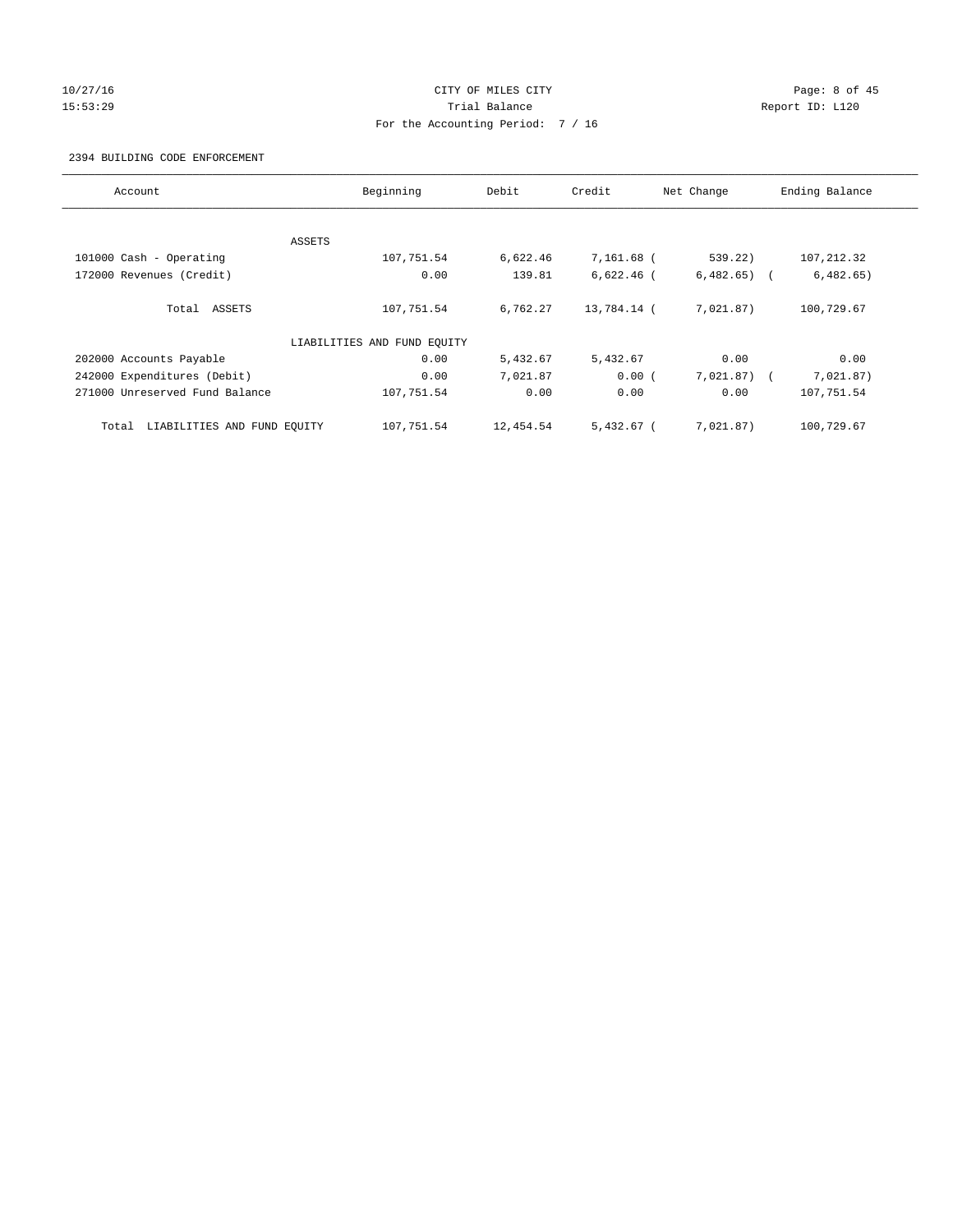# 10/27/16 CITY OF MILES CITY Page: 8 of 45 15:53:29 **Trial Balance Trial Balance Report ID:** L120 For the Accounting Period: 7 / 16

## 2394 BUILDING CODE ENFORCEMENT

| Account                              | Beginning                   | Debit     | Credit       | Net Change   | Ending Balance |
|--------------------------------------|-----------------------------|-----------|--------------|--------------|----------------|
|                                      |                             |           |              |              |                |
|                                      | ASSETS                      |           |              |              |                |
| 101000 Cash - Operating              | 107,751.54                  | 6,622.46  | 7,161.68 (   | 539.22)      | 107, 212.32    |
| 172000 Revenues (Credit)             | 0.00                        | 139.81    | $6,622.46$ ( | 6,482.65)    | 6,482.65)      |
| Total ASSETS                         | 107,751.54                  | 6,762.27  | 13,784.14 (  | 7,021.87)    | 100,729.67     |
|                                      | LIABILITIES AND FUND EQUITY |           |              |              |                |
| 202000 Accounts Payable              | 0.00                        | 5,432.67  | 5,432.67     | 0.00         | 0.00           |
| 242000 Expenditures (Debit)          | 0.00                        | 7,021.87  | 0.00(        | $7,021.87$ ( | 7,021.87)      |
| 271000 Unreserved Fund Balance       | 107,751.54                  | 0.00      | 0.00         | 0.00         | 107,751.54     |
| LIABILITIES AND FUND EQUITY<br>Total | 107,751.54                  | 12,454.54 | $5,432.67$ ( | 7,021.87)    | 100,729.67     |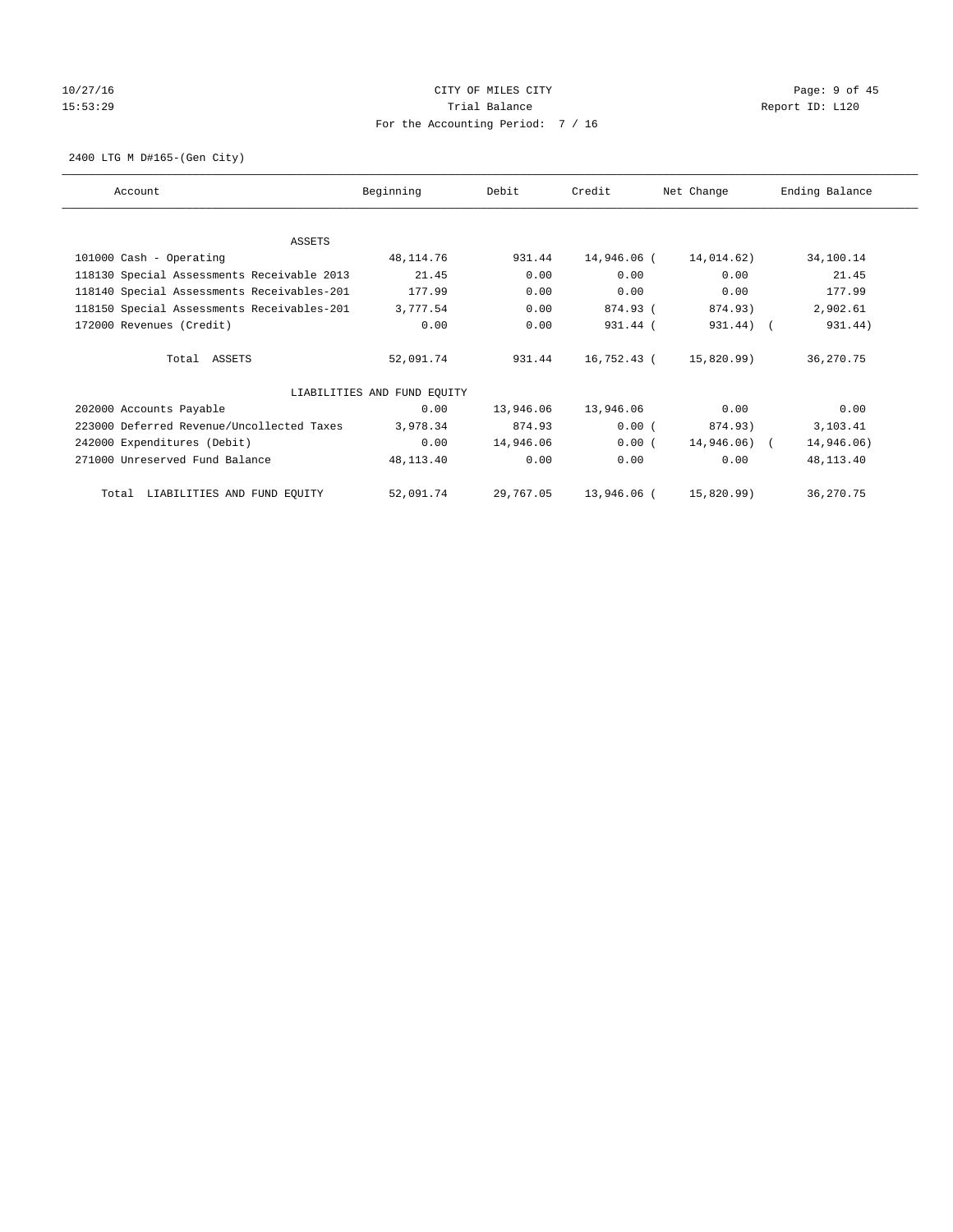# 10/27/16 CITY OF MILES CITY Page: 9 of 45 15:53:29 Trial Balance Trial Balance Report ID: L120 For the Accounting Period: 7 / 16

2400 LTG M D#165-(Gen City)

| Account                                    | Beginning                   | Debit     | Credit      | Net Change   | Ending Balance |
|--------------------------------------------|-----------------------------|-----------|-------------|--------------|----------------|
|                                            |                             |           |             |              |                |
| ASSETS                                     |                             |           |             |              |                |
| 101000 Cash - Operating                    | 48,114.76                   | 931.44    | 14,946.06 ( | 14,014.62)   | 34,100.14      |
| 118130 Special Assessments Receivable 2013 | 21.45                       | 0.00      | 0.00        | 0.00         | 21.45          |
| 118140 Special Assessments Receivables-201 | 177.99                      | 0.00      | 0.00        | 0.00         | 177.99         |
| 118150 Special Assessments Receivables-201 | 3,777.54                    | 0.00      | 874.93 (    | 874.93)      | 2,902.61       |
| 172000 Revenues (Credit)                   | 0.00                        | 0.00      | 931.44 (    | 931.44) (    | 931.44)        |
| Total ASSETS                               | 52,091.74                   | 931.44    | 16,752.43 ( | 15,820.99)   | 36,270.75      |
|                                            | LIABILITIES AND FUND EQUITY |           |             |              |                |
| 202000 Accounts Payable                    | 0.00                        | 13,946.06 | 13,946.06   | 0.00         | 0.00           |
| 223000 Deferred Revenue/Uncollected Taxes  | 3,978.34                    | 874.93    | 0.00(       | 874.93)      | 3,103.41       |
| 242000 Expenditures (Debit)                | 0.00                        | 14,946.06 | 0.00(       | 14,946.06) ( | 14,946.06)     |
| 271000 Unreserved Fund Balance             | 48,113.40                   | 0.00      | 0.00        | 0.00         | 48,113.40      |
| LIABILITIES AND FUND EQUITY<br>Total       | 52,091.74                   | 29,767.05 | 13,946.06 ( | 15,820.99)   | 36,270.75      |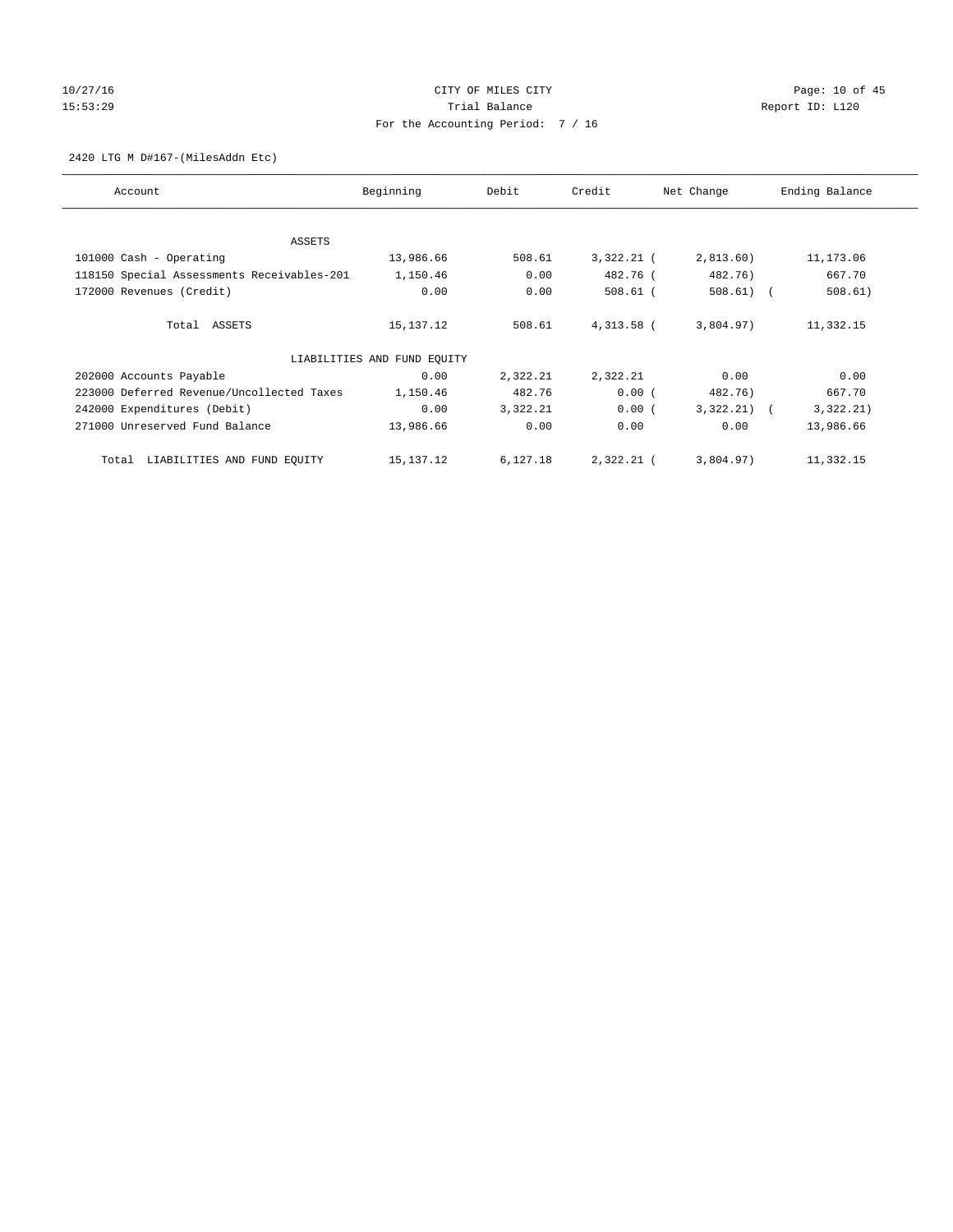# 10/27/16 **Page: 10 of 45** CITY OF MILES CITY **Page: 10 of 45** 15:53:29 **Trial Balance Trial Balance Report ID:** L120 For the Accounting Period: 7 / 16

2420 LTG M D#167-(MilesAddn Etc)

| Account                                    | Beginning                   | Debit    | Credit     | Net Change   | Ending Balance |
|--------------------------------------------|-----------------------------|----------|------------|--------------|----------------|
| ASSETS                                     |                             |          |            |              |                |
| 101000 Cash - Operating                    | 13,986.66                   | 508.61   | 3,322.21 ( | 2,813.60)    | 11,173.06      |
| 118150 Special Assessments Receivables-201 | 1,150.46                    | 0.00     | 482.76 (   | 482.76)      | 667.70         |
| 172000 Revenues (Credit)                   | 0.00                        | 0.00     | $508.61$ ( | $508.61)$ (  | 508.61)        |
| Total ASSETS                               | 15,137.12                   | 508.61   | 4,313.58 ( | 3,804.97)    | 11,332.15      |
|                                            | LIABILITIES AND FUND EQUITY |          |            |              |                |
| 202000 Accounts Payable                    | 0.00                        | 2,322.21 | 2,322.21   | 0.00         | 0.00           |
| 223000 Deferred Revenue/Uncollected Taxes  | 1,150.46                    | 482.76   | 0.00(      | 482.76)      | 667.70         |
| 242000 Expenditures (Debit)                | 0.00                        | 3,322.21 | 0.00(      | $3,322.21$ ( | 3,322.21)      |
| 271000 Unreserved Fund Balance             | 13,986.66                   | 0.00     | 0.00       | 0.00         | 13,986.66      |
| LIABILITIES AND FUND EQUITY<br>Total       | 15,137.12                   | 6,127.18 | 2,322.21 ( | 3,804.97)    | 11,332.15      |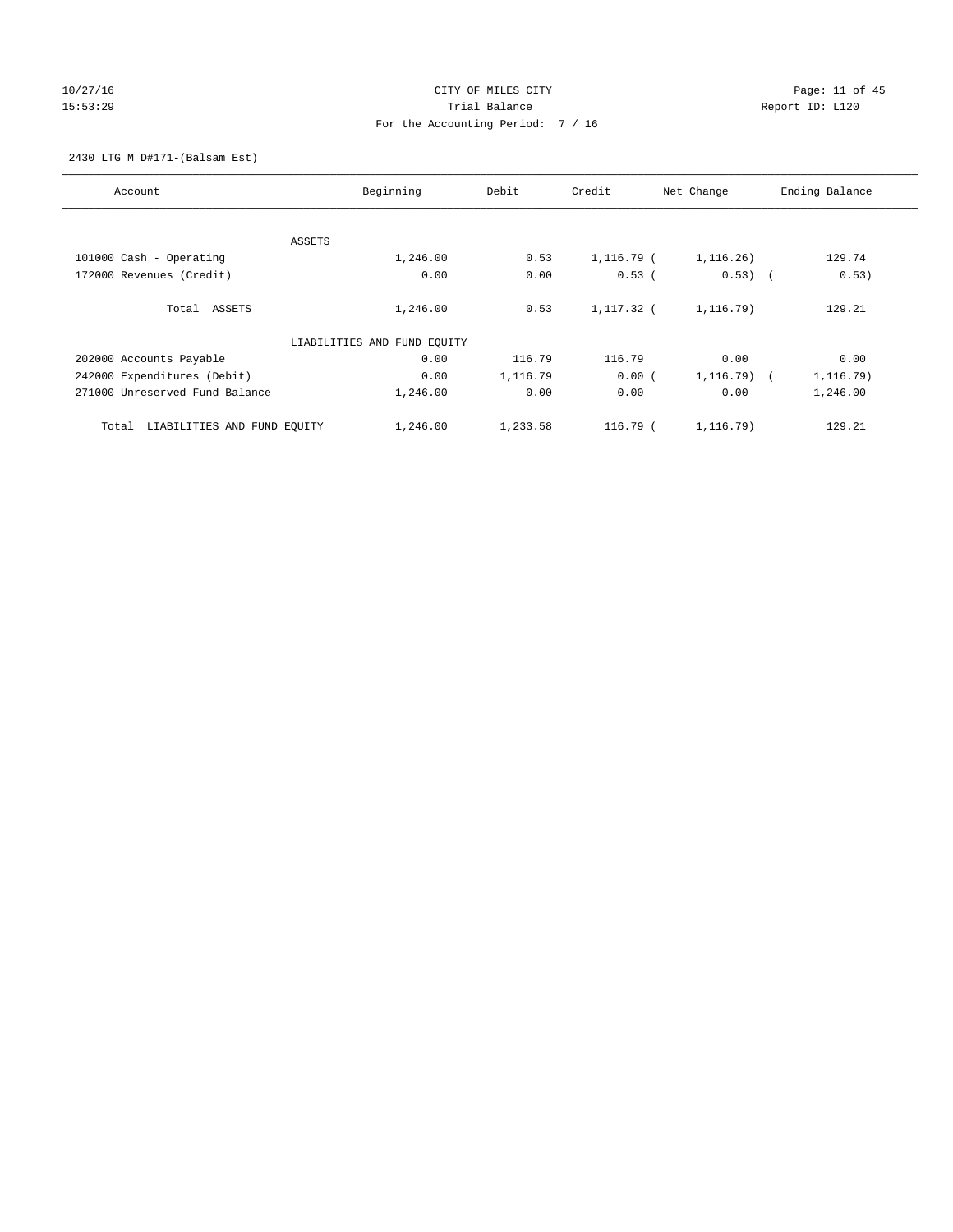# 10/27/16 Page: 11 of 45 15:53:29 **Trial Balance Trial Balance Report ID:** L120 For the Accounting Period: 7 / 16

2430 LTG M D#171-(Balsam Est)

| Account                              | Beginning                   | Debit    | Credit     | Net Change   | Ending Balance |
|--------------------------------------|-----------------------------|----------|------------|--------------|----------------|
|                                      |                             |          |            |              |                |
|                                      | ASSETS                      |          |            |              |                |
| 101000 Cash - Operating              | 1,246.00                    | 0.53     | 1,116.79 ( | 1,116.26)    | 129.74         |
| 172000 Revenues (Credit)             | 0.00                        | 0.00     | $0.53$ (   | $0.53)$ (    | 0.53)          |
| Total ASSETS                         | 1,246.00                    | 0.53     | 1,117.32 ( | 1, 116.79)   | 129.21         |
|                                      | LIABILITIES AND FUND EQUITY |          |            |              |                |
| 202000 Accounts Payable              | 0.00                        | 116.79   | 116.79     | 0.00         | 0.00           |
| 242000 Expenditures (Debit)          | 0.00                        | 1,116.79 | 0.00(      | $1,116.79$ ( | 1,116.79)      |
| 271000 Unreserved Fund Balance       | 1,246.00                    | 0.00     | 0.00       | 0.00         | 1,246.00       |
| LIABILITIES AND FUND EQUITY<br>Total | 1,246.00                    | 1,233.58 | $116.79$ ( | 1,116.79)    | 129.21         |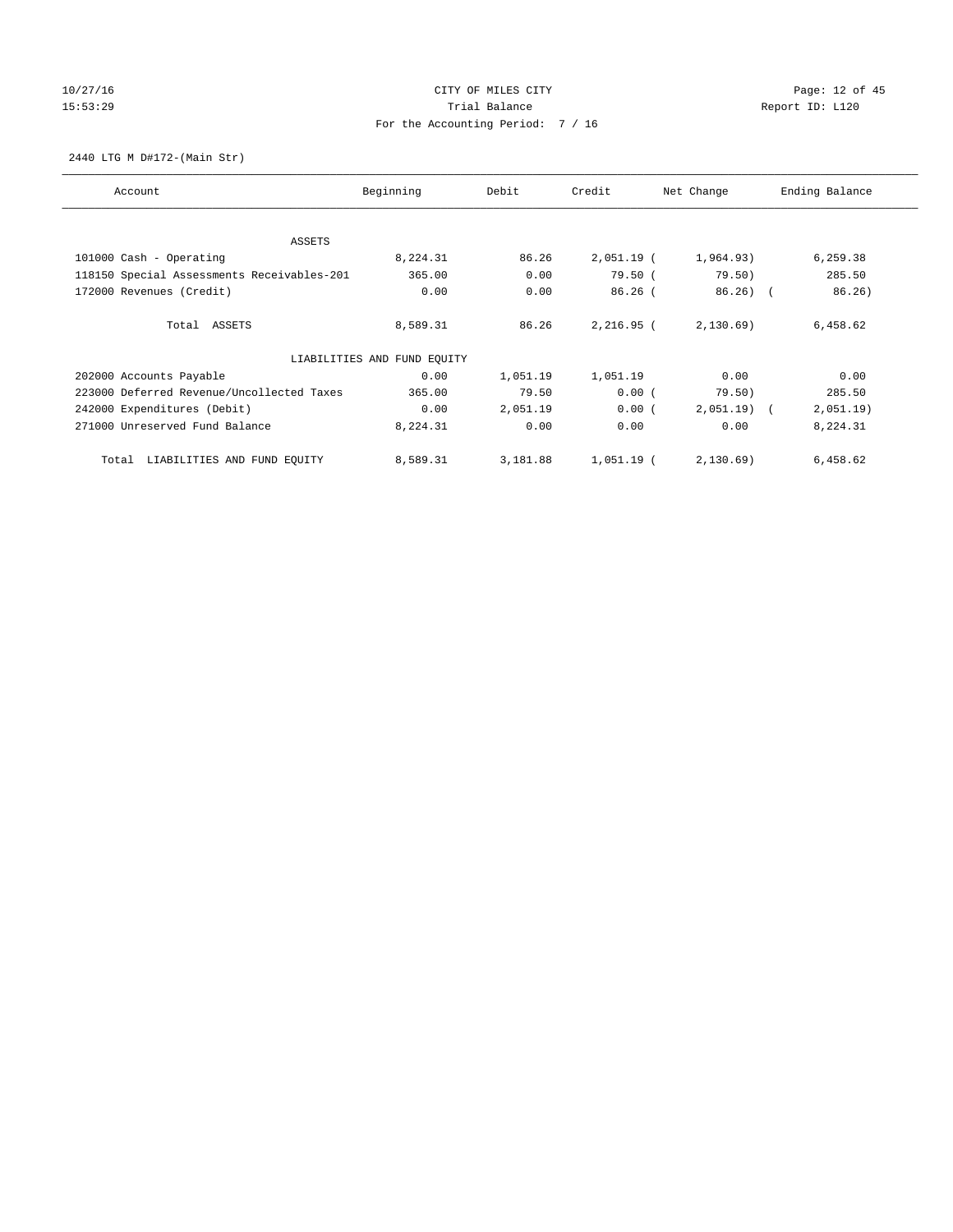# 10/27/16 Page: 12 of 45 15:53:29 Trial Balance Trial Balance Report ID: L120 For the Accounting Period: 7 / 16

2440 LTG M D#172-(Main Str)

| Account                                    | Beginning                   | Debit    | Credit       | Net Change   | Ending Balance |
|--------------------------------------------|-----------------------------|----------|--------------|--------------|----------------|
| ASSETS                                     |                             |          |              |              |                |
| 101000 Cash - Operating                    | 8,224.31                    | 86.26    | $2,051.19$ ( | 1,964.93)    | 6,259.38       |
| 118150 Special Assessments Receivables-201 | 365.00                      | 0.00     | 79.50(       | 79.50)       | 285.50         |
| 172000 Revenues (Credit)                   | 0.00                        | 0.00     | $86.26$ (    | $86.26$ (    | 86.26)         |
| Total ASSETS                               | 8,589.31                    | 86.26    | 2,216.95 (   | 2,130.69)    | 6,458.62       |
|                                            | LIABILITIES AND FUND EQUITY |          |              |              |                |
| 202000 Accounts Payable                    | 0.00                        | 1,051.19 | 1,051.19     | 0.00         | 0.00           |
| 223000 Deferred Revenue/Uncollected Taxes  | 365.00                      | 79.50    | 0.00(        | 79.50)       | 285.50         |
| 242000 Expenditures (Debit)                | 0.00                        | 2,051.19 | 0.00(        | $2,051.19$ ( | 2,051.19)      |
| 271000 Unreserved Fund Balance             | 8,224.31                    | 0.00     | 0.00         | 0.00         | 8,224.31       |
| LIABILITIES AND FUND EQUITY<br>Total       | 8,589.31                    | 3,181.88 | $1,051.19$ ( | 2,130.69)    | 6,458.62       |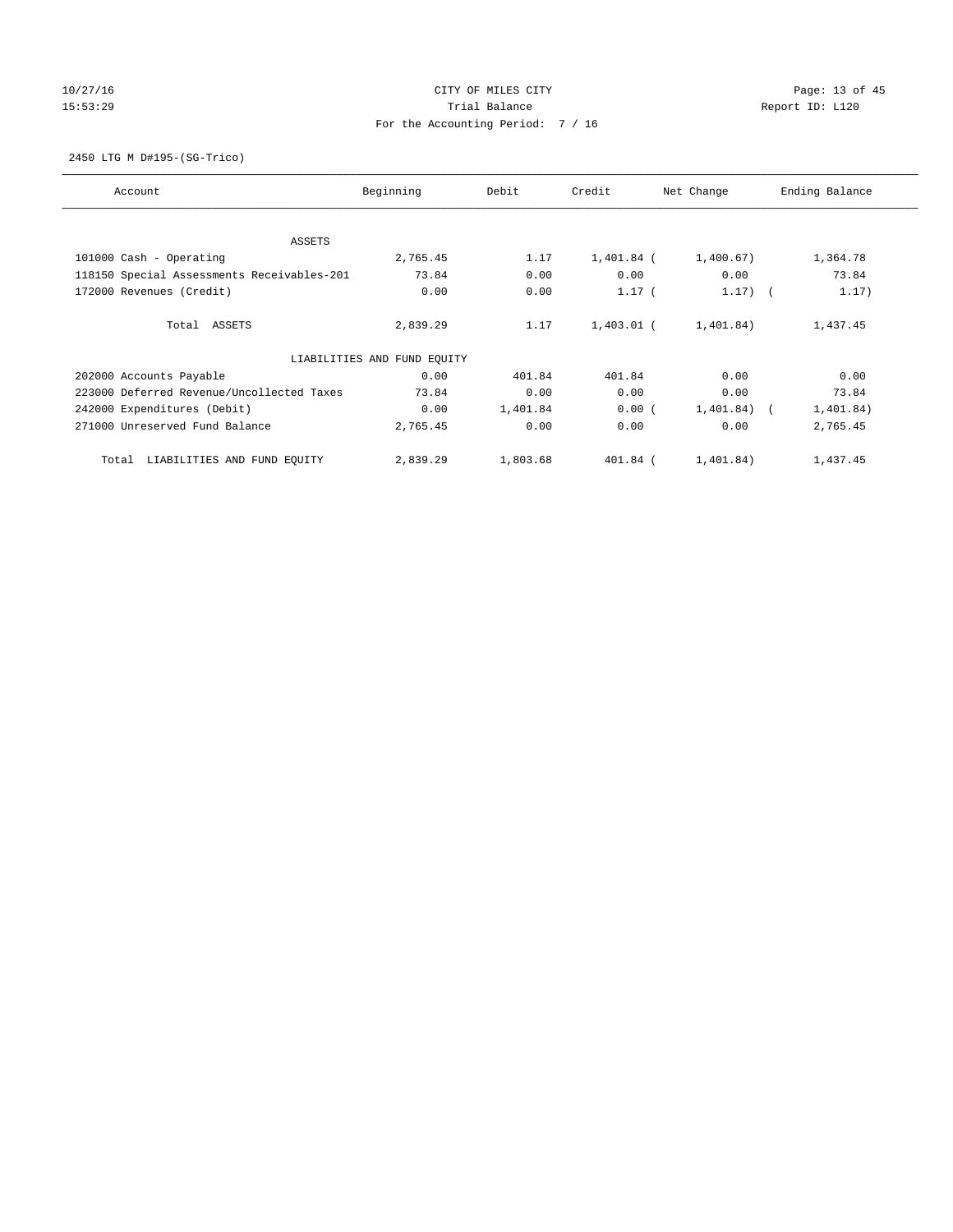# 10/27/16 Page: 13 of 45 15:53:29 Trial Balance Trial Balance Report ID: L120 For the Accounting Period: 7 / 16

2450 LTG M D#195-(SG-Trico)

| Account                                    | Beginning                   | Debit    | Credit       | Net Change     | Ending Balance |
|--------------------------------------------|-----------------------------|----------|--------------|----------------|----------------|
| ASSETS                                     |                             |          |              |                |                |
| 101000 Cash - Operating                    | 2,765.45                    | 1.17     | $1,401.84$ ( | 1,400.67)      | 1,364.78       |
| 118150 Special Assessments Receivables-201 | 73.84                       | 0.00     | 0.00         | 0.00           | 73.84          |
| 172000 Revenues (Credit)                   | 0.00                        | 0.00     | $1.17$ (     | $1.17)$ (      | 1.17)          |
| Total ASSETS                               | 2,839.29                    | 1.17     | 1,403.01 (   | 1,401.84)      | 1,437.45       |
|                                            | LIABILITIES AND FUND EQUITY |          |              |                |                |
| 202000 Accounts Payable                    | 0.00                        | 401.84   | 401.84       | 0.00           | 0.00           |
| 223000 Deferred Revenue/Uncollected Taxes  | 73.84                       | 0.00     | 0.00         | 0.00           | 73.84          |
| 242000 Expenditures (Debit)                | 0.00                        | 1,401.84 | 0.00(        | $1,401.84$ ) ( | 1,401.84)      |
| 271000 Unreserved Fund Balance             | 2,765.45                    | 0.00     | 0.00         | 0.00           | 2,765.45       |
| LIABILITIES AND FUND EQUITY<br>Total       | 2,839.29                    | 1,803.68 | $401.84$ (   | 1,401.84)      | 1,437.45       |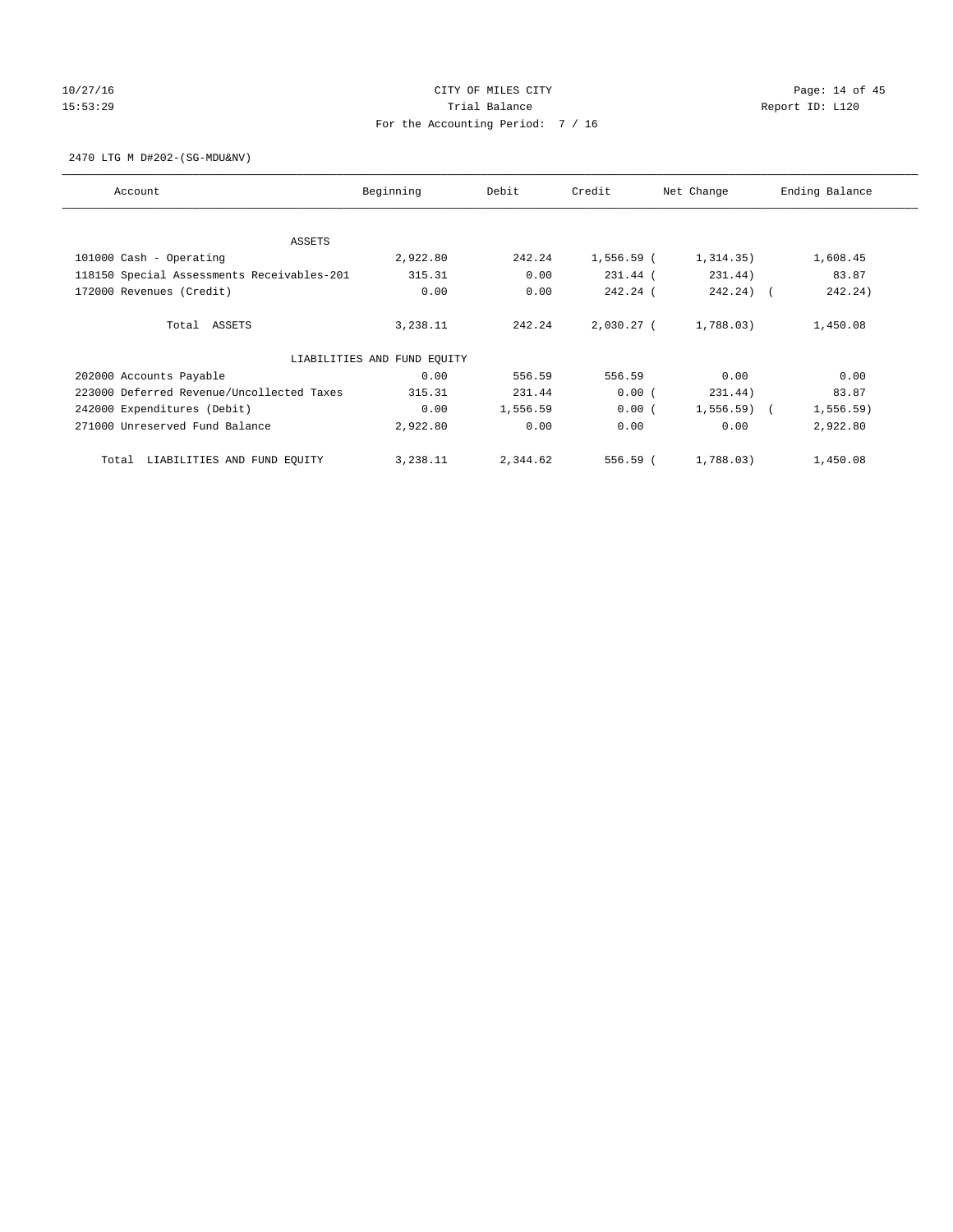# 10/27/16 Page: 14 of 45 15:53:29 Trial Balance Trial Balance Report ID: L120 For the Accounting Period: 7 / 16

2470 LTG M D#202-(SG-MDU&NV)

| Account                                    | Beginning                   | Debit    | Credit       | Net Change   | Ending Balance |
|--------------------------------------------|-----------------------------|----------|--------------|--------------|----------------|
| ASSETS                                     |                             |          |              |              |                |
| 101000 Cash - Operating                    | 2,922.80                    | 242.24   | 1,556.59 (   | 1,314.35)    | 1,608.45       |
| 118150 Special Assessments Receivables-201 | 315.31                      | 0.00     | 231.44 (     | 231.44)      | 83.87          |
| 172000 Revenues (Credit)                   | 0.00                        | 0.00     | 242.24 (     | $242.24)$ (  | 242.24)        |
| Total ASSETS                               | 3,238.11                    | 242.24   | $2,030.27$ ( | 1,788.03)    | 1,450.08       |
|                                            | LIABILITIES AND FUND EQUITY |          |              |              |                |
| 202000 Accounts Payable                    | 0.00                        | 556.59   | 556.59       | 0.00         | 0.00           |
| 223000 Deferred Revenue/Uncollected Taxes  | 315.31                      | 231.44   | 0.00(        | 231.44)      | 83.87          |
| 242000 Expenditures (Debit)                | 0.00                        | 1,556.59 | 0.00(        | $1,556.59$ ( | 1, 556.59)     |
| 271000 Unreserved Fund Balance             | 2,922.80                    | 0.00     | 0.00         | 0.00         | 2,922.80       |
| LIABILITIES AND FUND EQUITY<br>Total       | 3,238.11                    | 2,344.62 | 556.59 (     | 1,788.03)    | 1,450.08       |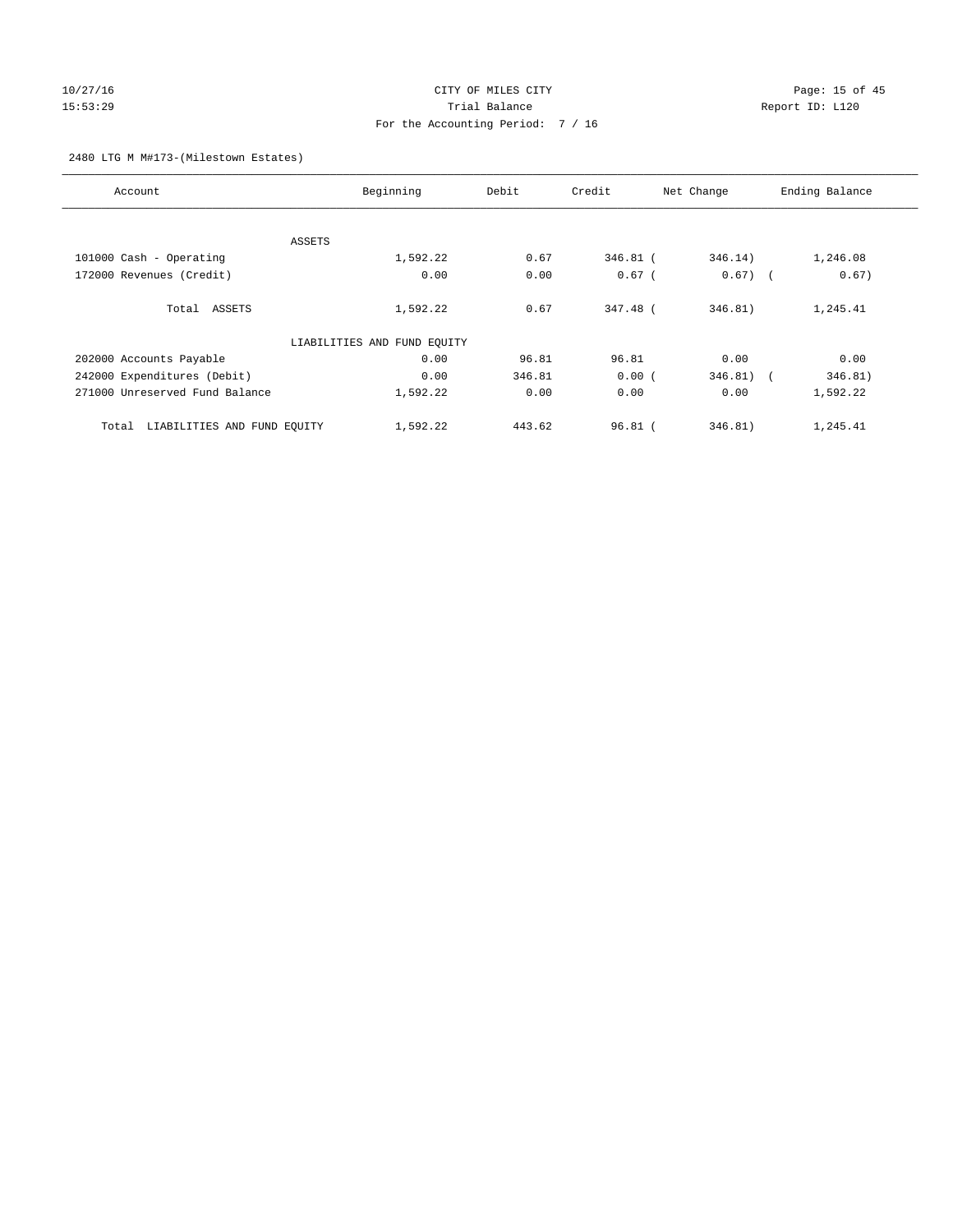# 10/27/16 Page: 15 of 45 15:53:29 Trial Balance Report ID: L120 For the Accounting Period: 7 / 16

## 2480 LTG M M#173-(Milestown Estates)

| Account                              | Beginning                   | Debit  | Credit    | Net Change | Ending Balance                      |
|--------------------------------------|-----------------------------|--------|-----------|------------|-------------------------------------|
|                                      |                             |        |           |            |                                     |
|                                      | ASSETS                      |        |           |            |                                     |
| 101000 Cash - Operating              | 1,592.22                    | 0.67   | 346.81 (  | 346.14)    | 1,246.08                            |
| 172000 Revenues (Credit)             | 0.00                        | 0.00   | $0.67$ (  | $0.67)$ (  | 0.67)                               |
| Total ASSETS                         | 1,592.22                    | 0.67   | 347.48 (  | 346.81)    | 1,245.41                            |
|                                      | LIABILITIES AND FUND EQUITY |        |           |            |                                     |
| 202000 Accounts Payable              | 0.00                        | 96.81  | 96.81     | 0.00       | 0.00                                |
| 242000 Expenditures (Debit)          | 0.00                        | 346.81 | 0.00(     | 346.81)    | 346.81)<br>$\overline{\phantom{a}}$ |
| 271000 Unreserved Fund Balance       | 1,592.22                    | 0.00   | 0.00      | 0.00       | 1,592.22                            |
| LIABILITIES AND FUND EQUITY<br>Total | 1,592.22                    | 443.62 | $96.81$ ( | 346.81)    | 1,245.41                            |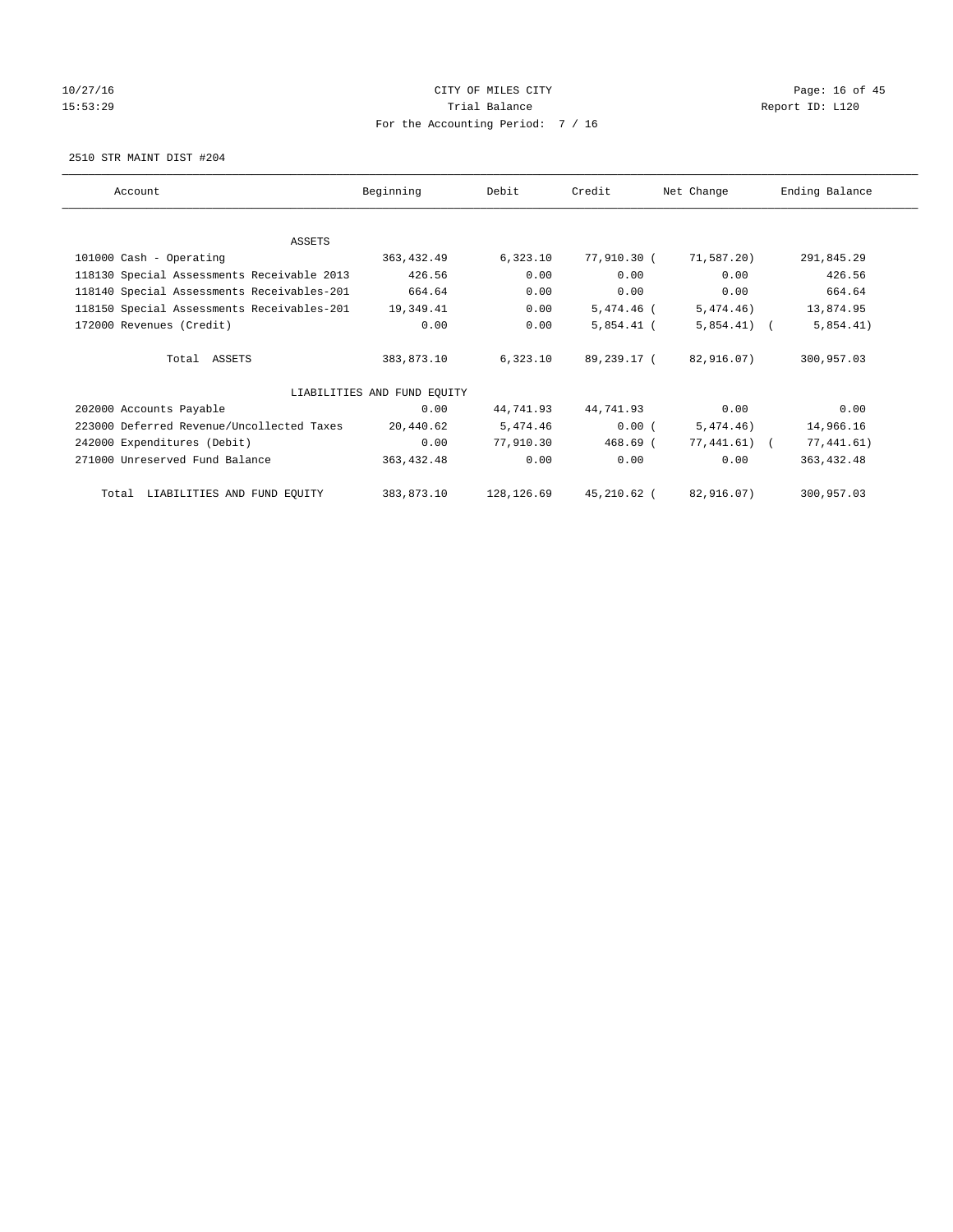# 10/27/16 Page: 16 of 45 15:53:29 Trial Balance Trial Balance Report ID: L120 For the Accounting Period: 7 / 16

2510 STR MAINT DIST #204

| Account                                    | Beginning                   | Debit      | Credit      | Net Change   | Ending Balance |
|--------------------------------------------|-----------------------------|------------|-------------|--------------|----------------|
|                                            |                             |            |             |              |                |
| ASSETS                                     |                             |            |             |              |                |
| 101000 Cash - Operating                    | 363, 432.49                 | 6,323.10   | 77,910.30 ( | 71,587.20)   | 291,845.29     |
| 118130 Special Assessments Receivable 2013 | 426.56                      | 0.00       | 0.00        | 0.00         | 426.56         |
| 118140 Special Assessments Receivables-201 | 664.64                      | 0.00       | 0.00        | 0.00         | 664.64         |
| 118150 Special Assessments Receivables-201 | 19,349.41                   | 0.00       | 5,474.46 (  | 5, 474. 46)  | 13,874.95      |
| 172000 Revenues (Credit)                   | 0.00                        | 0.00       | 5,854.41 (  | $5,854.41$ ( | 5,854.41)      |
| Total ASSETS                               | 383,873.10                  | 6,323.10   | 89,239.17 ( | 82,916.07)   | 300,957.03     |
|                                            | LIABILITIES AND FUND EQUITY |            |             |              |                |
| 202000 Accounts Payable                    | 0.00                        | 44,741.93  | 44,741.93   | 0.00         | 0.00           |
| 223000 Deferred Revenue/Uncollected Taxes  | 20,440.62                   | 5,474.46   | 0.00(       | 5,474.46)    | 14,966.16      |
| 242000 Expenditures (Debit)                | 0.00                        | 77,910.30  | $468.69$ (  | 77,441.61) ( | 77,441.61)     |
| 271000 Unreserved Fund Balance             | 363, 432.48                 | 0.00       | 0.00        | 0.00         | 363, 432.48    |
| LIABILITIES AND FUND EOUITY<br>Total       | 383,873.10                  | 128,126.69 | 45,210.62 ( | 82,916.07)   | 300,957.03     |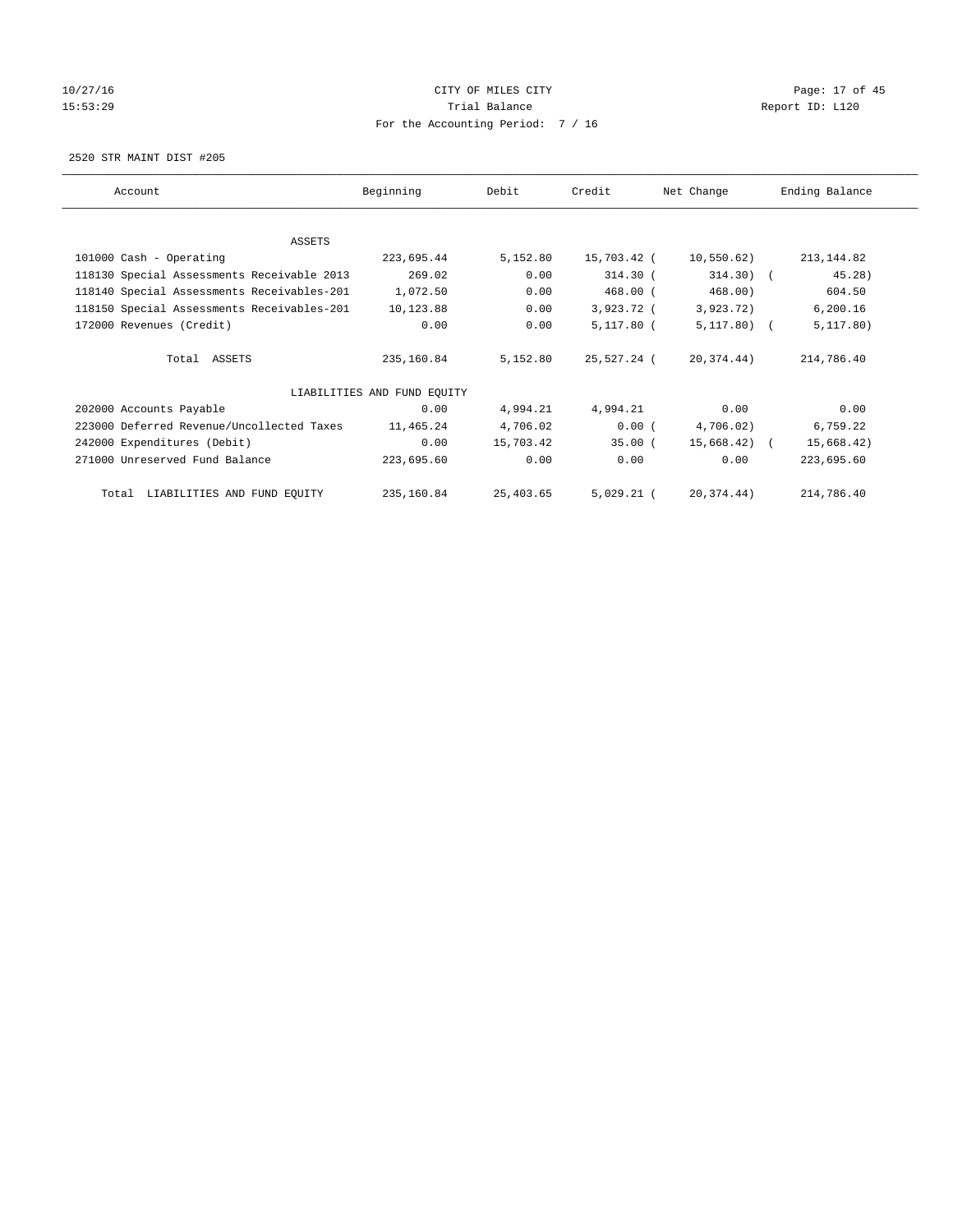# 10/27/16 Page: 17 of 45 15:53:29 Trial Balance Trial Balance Report ID: L120 For the Accounting Period: 7 / 16

2520 STR MAINT DIST #205

| Account                                    | Beginning                   | Debit     | Credit       | Net Change   | Ending Balance |
|--------------------------------------------|-----------------------------|-----------|--------------|--------------|----------------|
| ASSETS                                     |                             |           |              |              |                |
| 101000 Cash - Operating                    | 223,695.44                  | 5,152.80  | 15,703.42 (  | 10,550.62)   | 213, 144.82    |
| 118130 Special Assessments Receivable 2013 | 269.02                      | 0.00      | $314.30$ (   | $314.30$ ) ( | 45.28)         |
| 118140 Special Assessments Receivables-201 | 1,072.50                    | 0.00      | $468.00$ (   | 468.00)      | 604.50         |
| 118150 Special Assessments Receivables-201 | 10,123.88                   | 0.00      | 3,923.72 (   | 3,923.72)    | 6, 200.16      |
| 172000 Revenues (Credit)                   | 0.00                        | 0.00      | 5,117.80 (   | $5,117.80$ ( | 5, 117.80)     |
| Total ASSETS                               | 235,160.84                  | 5,152.80  | 25,527.24 (  | 20,374.44)   | 214,786.40     |
|                                            | LIABILITIES AND FUND EQUITY |           |              |              |                |
| 202000 Accounts Payable                    | 0.00                        | 4,994.21  | 4,994.21     | 0.00         | 0.00           |
| 223000 Deferred Revenue/Uncollected Taxes  | 11,465.24                   | 4,706.02  | 0.00(        | 4,706.02)    | 6,759.22       |
| 242000 Expenditures (Debit)                | 0.00                        | 15,703.42 | 35.00(       | 15,668.42) ( | 15,668.42)     |
| 271000 Unreserved Fund Balance             | 223,695.60                  | 0.00      | 0.00         | 0.00         | 223,695.60     |
| LIABILITIES AND FUND EQUITY<br>Total       | 235,160.84                  | 25,403.65 | $5,029.21$ ( | 20,374.44)   | 214,786.40     |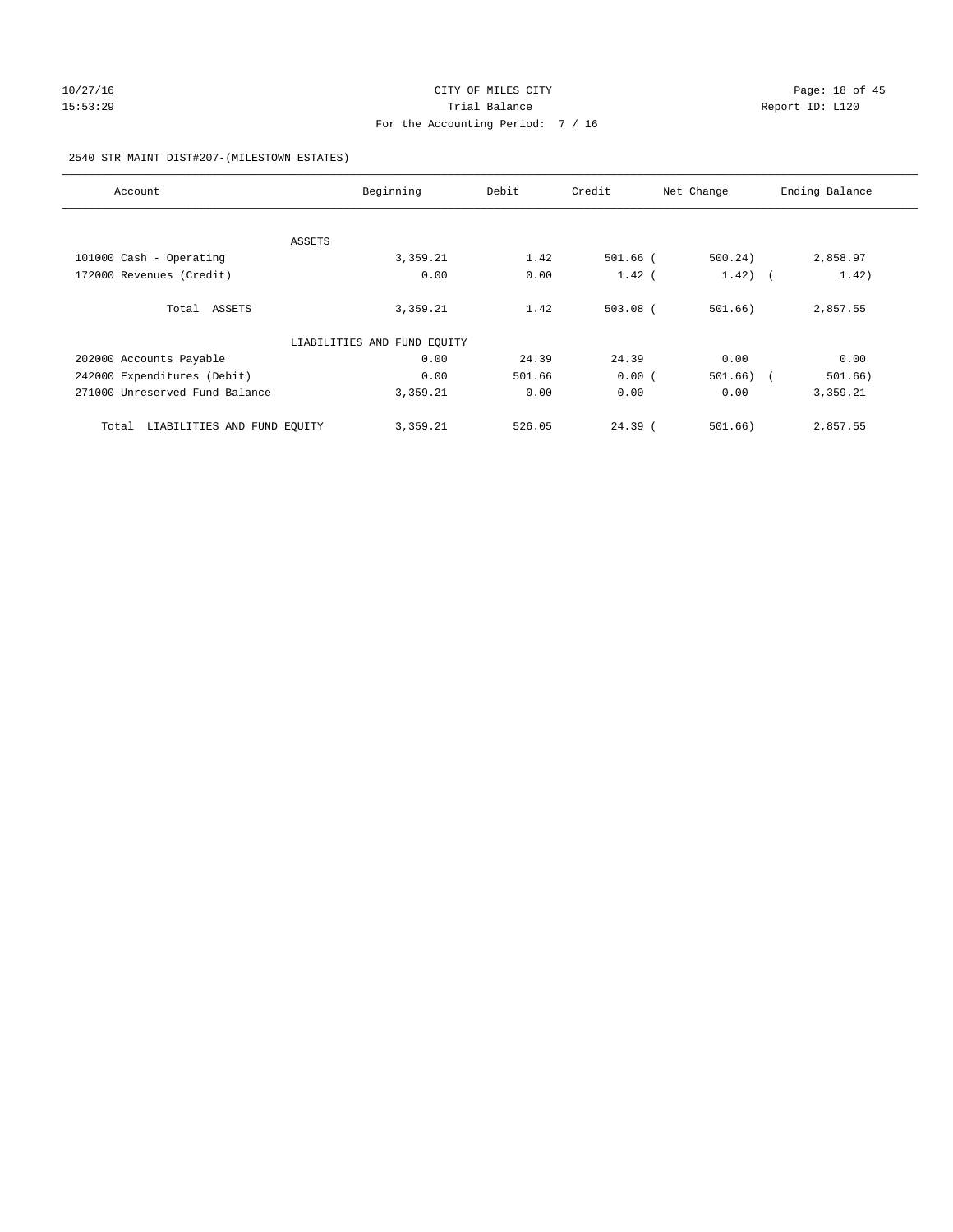# 10/27/16 **Page: 18 of 45** CITY OF MILES CITY **CITY** CITY **Page: 18 of 45** 15:53:29 **Trial Balance Trial Balance Report ID:** L120 For the Accounting Period: 7 / 16

## 2540 STR MAINT DIST#207-(MILESTOWN ESTATES)

| Account                              | Beginning                   | Debit  | Credit     | Net Change  | Ending Balance |
|--------------------------------------|-----------------------------|--------|------------|-------------|----------------|
|                                      |                             |        |            |             |                |
| ASSETS                               |                             |        |            |             |                |
| 101000 Cash - Operating              | 3,359.21                    | 1.42   | $501.66$ ( | 500.24)     | 2,858.97       |
| 172000 Revenues (Credit)             | 0.00                        | 0.00   | $1.42$ (   | $1.42$ ) (  | 1.42)          |
| Total ASSETS                         | 3,359.21                    | 1.42   | $503.08$ ( | 501.66)     | 2,857.55       |
|                                      | LIABILITIES AND FUND EQUITY |        |            |             |                |
| 202000 Accounts Payable              | 0.00                        | 24.39  | 24.39      | 0.00        | 0.00           |
| 242000 Expenditures (Debit)          | 0.00                        | 501.66 | 0.00(      | $501.66)$ ( | 501.66)        |
| 271000 Unreserved Fund Balance       | 3,359.21                    | 0.00   | 0.00       | 0.00        | 3,359.21       |
| LIABILITIES AND FUND EQUITY<br>Total | 3,359.21                    | 526.05 | $24.39$ (  | 501.66)     | 2,857.55       |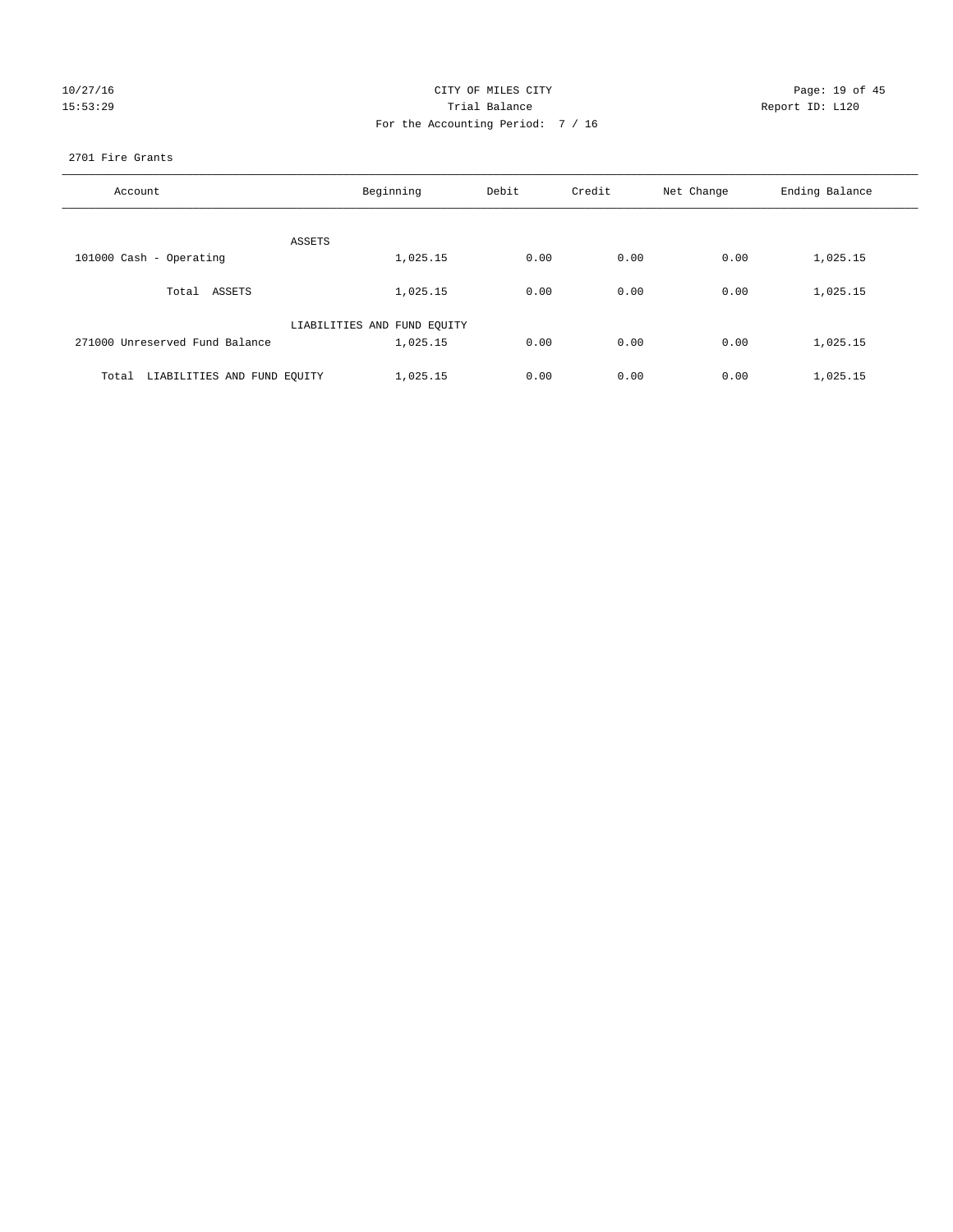| 10/27/16 |  |         |
|----------|--|---------|
|          |  | 5:53:29 |

# CITY OF MILES CITY Page: 19 of 45<br>
Trial Balance Report ID: L120 15:53:29 Trial Balance Report ID: L120 For the Accounting Period: 7 / 16

## 2701 Fire Grants

| Account                              | Beginning                   | Debit | Credit | Net Change | Ending Balance |
|--------------------------------------|-----------------------------|-------|--------|------------|----------------|
|                                      |                             |       |        |            |                |
|                                      | ASSETS                      |       |        |            |                |
| 101000 Cash - Operating              | 1,025.15                    | 0.00  | 0.00   | 0.00       | 1,025.15       |
| Total ASSETS                         | 1,025.15                    | 0.00  | 0.00   | 0.00       | 1,025.15       |
|                                      | LIABILITIES AND FUND EQUITY |       |        |            |                |
| 271000 Unreserved Fund Balance       | 1,025.15                    | 0.00  | 0.00   | 0.00       | 1,025.15       |
|                                      |                             |       |        |            |                |
| LIABILITIES AND FUND EQUITY<br>Total | 1,025.15                    | 0.00  | 0.00   | 0.00       | 1,025.15       |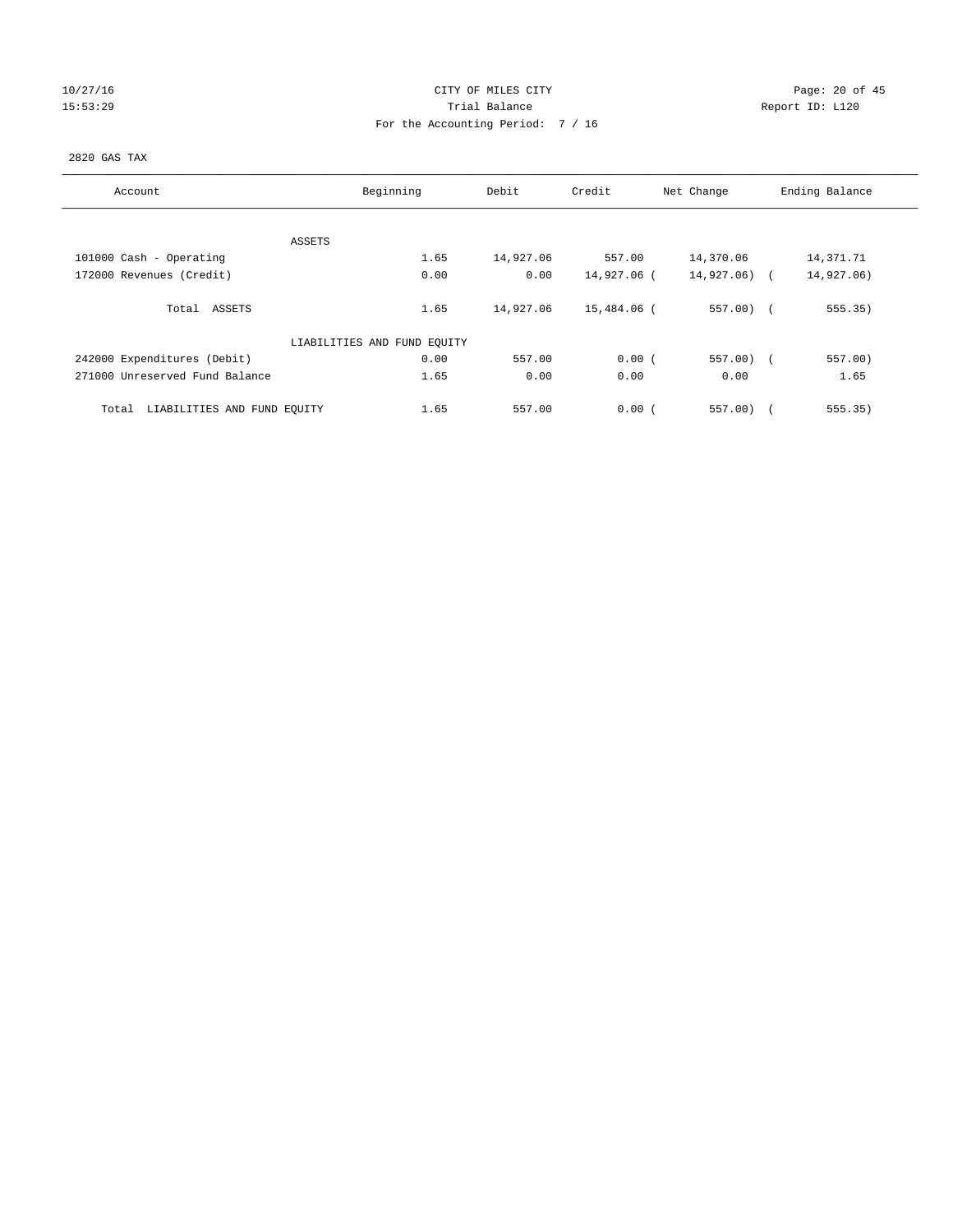# 10/27/16 Page: 20 of 45 15:53:29 **Trial Balance Trial Balance Report ID:** L120 For the Accounting Period: 7 / 16

## 2820 GAS TAX

| Account                              | Beginning                   | Debit     | Credit      | Net Change   | Ending Balance |
|--------------------------------------|-----------------------------|-----------|-------------|--------------|----------------|
| ASSETS                               |                             |           |             |              |                |
| 101000 Cash - Operating              | 1.65                        | 14,927.06 | 557.00      | 14,370.06    | 14,371.71      |
| 172000 Revenues (Credit)             | 0.00                        | 0.00      | 14,927.06 ( | 14,927.06) ( | 14,927.06)     |
| Total ASSETS                         | 1.65                        | 14,927.06 | 15,484.06 ( | $557.00$ (   | 555.35)        |
|                                      | LIABILITIES AND FUND EQUITY |           |             |              |                |
| 242000 Expenditures (Debit)          | 0.00                        | 557.00    | 0.00(       | $557.00$ (   | 557.00)        |
| 271000 Unreserved Fund Balance       | 1.65                        | 0.00      | 0.00        | 0.00         | 1.65           |
| LIABILITIES AND FUND EQUITY<br>Total | 1.65                        | 557.00    | 0.00(       | 557.00       | 555.35)        |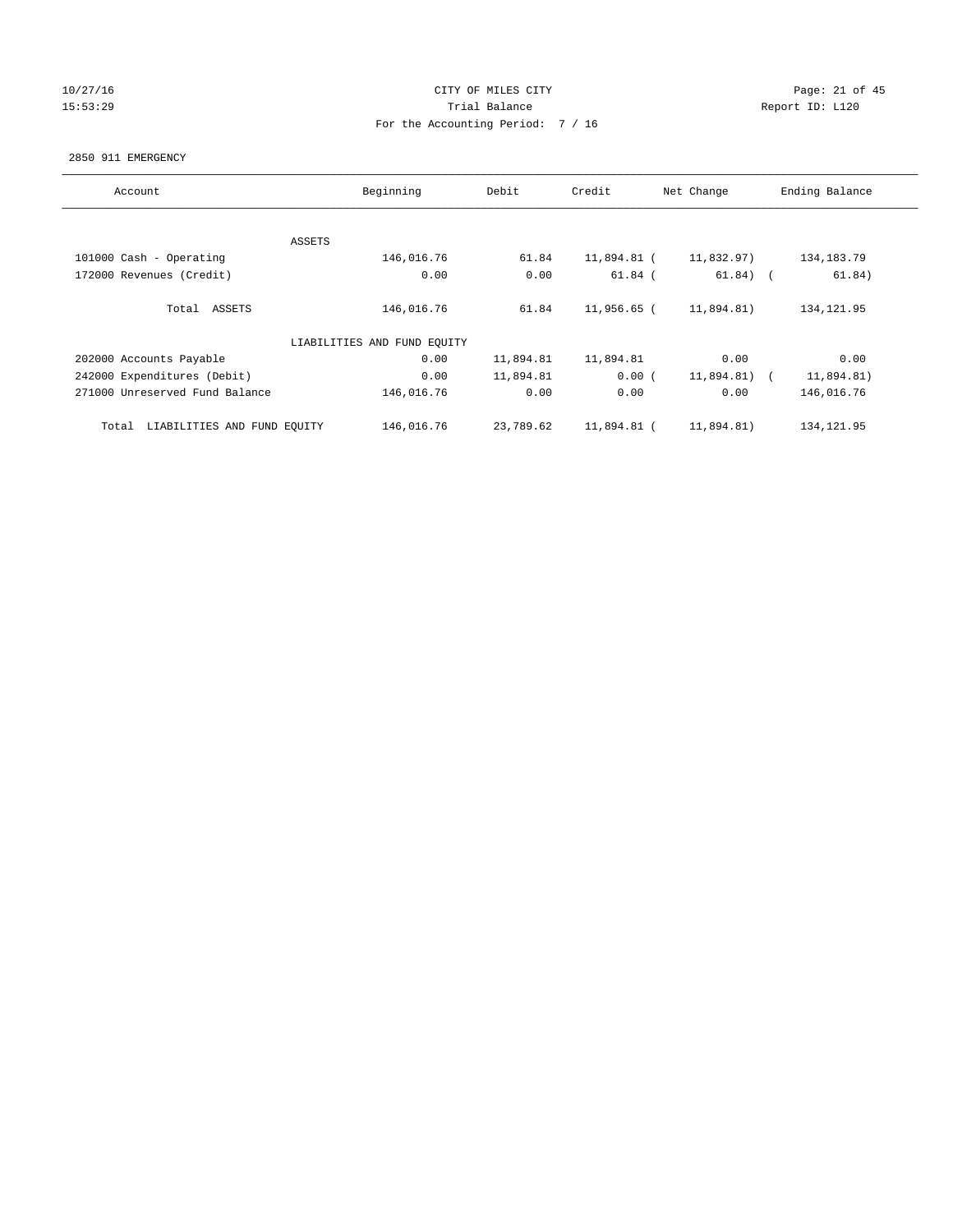# 10/27/16 Page: 21 of 45 15:53:29 **Trial Balance Trial Balance Report ID:** L120 For the Accounting Period: 7 / 16

#### 2850 911 EMERGENCY

| Account                              | Beginning                   | Debit     | Credit      | Net Change   | Ending Balance |
|--------------------------------------|-----------------------------|-----------|-------------|--------------|----------------|
|                                      |                             |           |             |              |                |
|                                      | ASSETS                      |           |             |              |                |
| 101000 Cash - Operating              | 146,016.76                  | 61.84     | 11,894.81 ( | 11,832.97)   | 134, 183. 79   |
| 172000 Revenues (Credit)             | 0.00                        | 0.00      | $61.84$ (   | $61.84)$ (   | 61.84)         |
| Total ASSETS                         | 146,016.76                  | 61.84     | 11,956.65 ( | 11,894.81)   | 134, 121.95    |
|                                      | LIABILITIES AND FUND EQUITY |           |             |              |                |
| 202000 Accounts Payable              | 0.00                        | 11,894.81 | 11,894.81   | 0.00         | 0.00           |
| 242000 Expenditures (Debit)          | 0.00                        | 11,894.81 | 0.00(       | 11,894.81) ( | 11,894.81)     |
| 271000 Unreserved Fund Balance       | 146,016.76                  | 0.00      | 0.00        | 0.00         | 146,016.76     |
| LIABILITIES AND FUND EQUITY<br>Total | 146,016.76                  | 23,789.62 | 11,894.81 ( | 11,894.81)   | 134, 121.95    |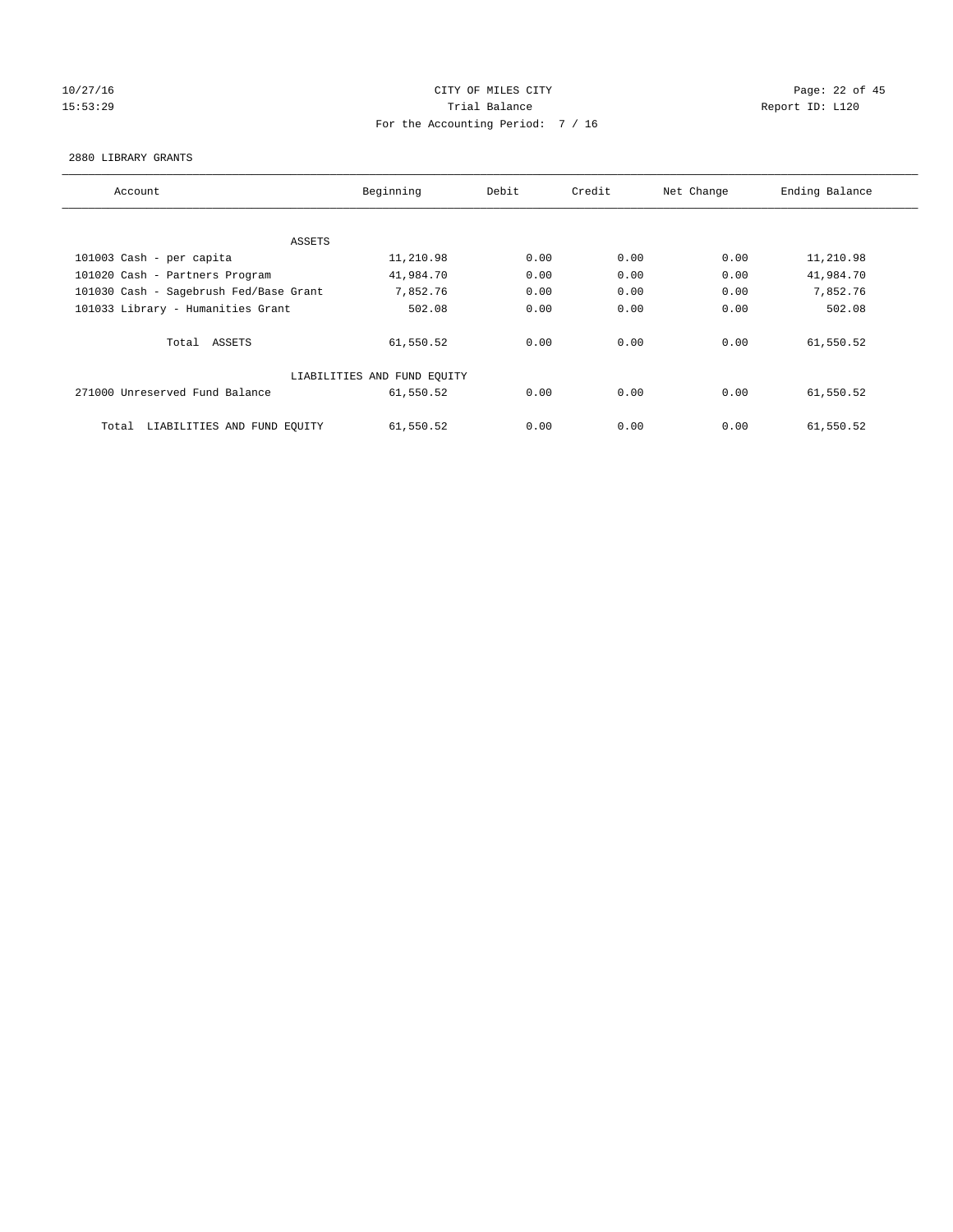# 10/27/16 Page: 22 of 45 15:53:29 Trial Balance Report ID: L120 For the Accounting Period: 7 / 16

#### 2880 LIBRARY GRANTS

| Account                                | Beginning                   | Debit | Credit | Net Change | Ending Balance |
|----------------------------------------|-----------------------------|-------|--------|------------|----------------|
|                                        |                             |       |        |            |                |
| ASSETS                                 |                             |       |        |            |                |
| 101003 Cash - per capita               | 11,210.98                   | 0.00  | 0.00   | 0.00       | 11,210.98      |
| 101020 Cash - Partners Program         | 41,984.70                   | 0.00  | 0.00   | 0.00       | 41,984.70      |
| 101030 Cash - Sagebrush Fed/Base Grant | 7,852.76                    | 0.00  | 0.00   | 0.00       | 7,852.76       |
| 101033 Library - Humanities Grant      | 502.08                      | 0.00  | 0.00   | 0.00       | 502.08         |
| Total ASSETS                           | 61,550.52                   | 0.00  | 0.00   | 0.00       | 61,550.52      |
|                                        | LIABILITIES AND FUND EQUITY |       |        |            |                |
| 271000 Unreserved Fund Balance         | 61,550.52                   | 0.00  | 0.00   | 0.00       | 61,550.52      |
| LIABILITIES AND FUND EQUITY<br>Total   | 61,550.52                   | 0.00  | 0.00   | 0.00       | 61,550.52      |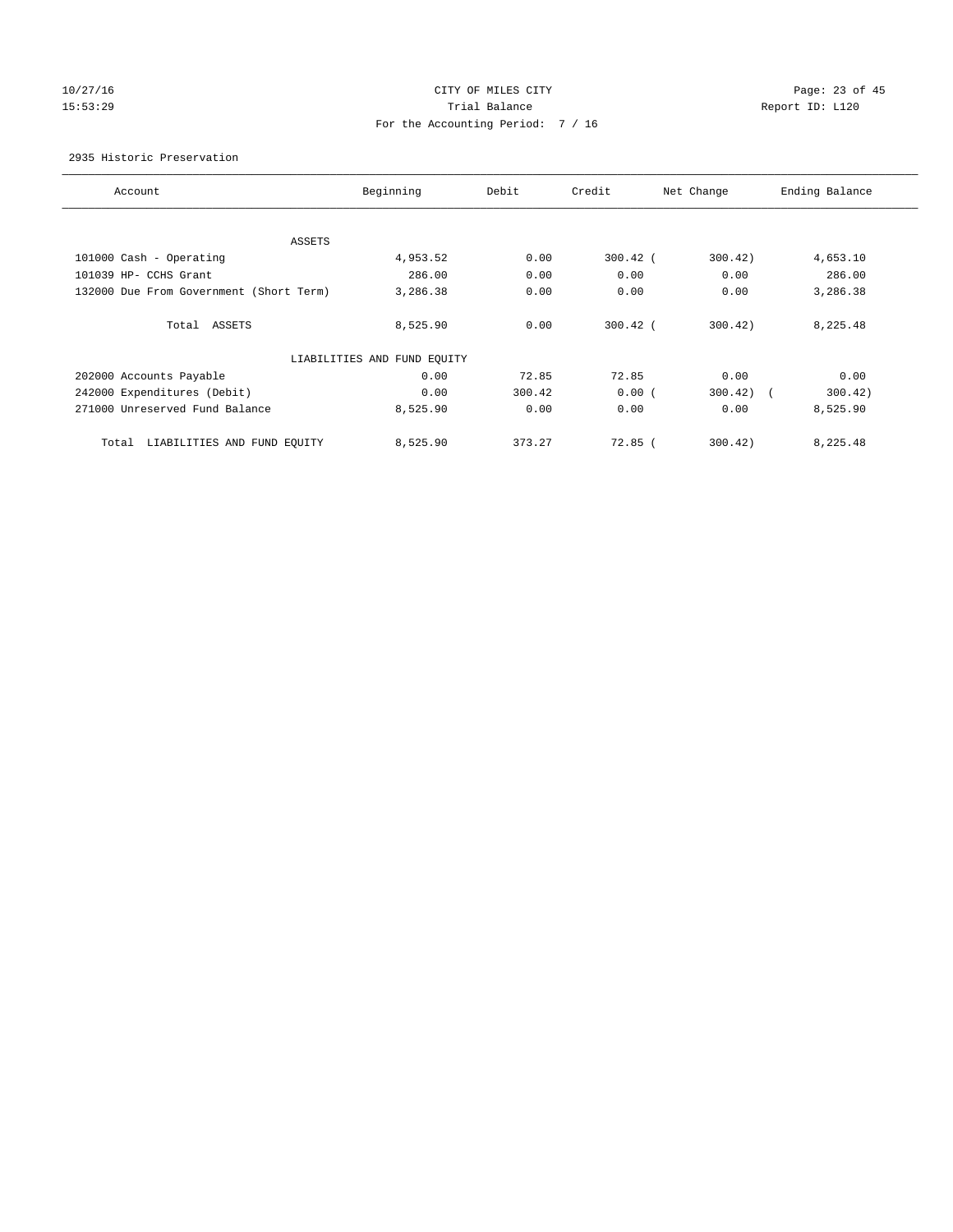# 10/27/16 Page: 23 of 45 15:53:29 Trial Balance Trial Balance Report ID: L120 For the Accounting Period: 7 / 16

## 2935 Historic Preservation

| Account                                 | Beginning                   | Debit  | Credit     | Net Change | Ending Balance |
|-----------------------------------------|-----------------------------|--------|------------|------------|----------------|
|                                         |                             |        |            |            |                |
| ASSETS                                  |                             |        |            |            |                |
| 101000 Cash - Operating                 | 4,953.52                    | 0.00   | $300.42$ ( | 300.42)    | 4,653.10       |
| 101039 HP- CCHS Grant                   | 286.00                      | 0.00   | 0.00       | 0.00       | 286.00         |
| 132000 Due From Government (Short Term) | 3,286.38                    | 0.00   | 0.00       | 0.00       | 3,286.38       |
| Total ASSETS                            | 8,525.90                    | 0.00   | $300.42$ ( | 300.42     | 8,225.48       |
|                                         | LIABILITIES AND FUND EQUITY |        |            |            |                |
| 202000 Accounts Payable                 | 0.00                        | 72.85  | 72.85      | 0.00       | 0.00           |
| 242000 Expenditures (Debit)             | 0.00                        | 300.42 | 0.00(      | 300.42)    | 300.42)        |
| 271000 Unreserved Fund Balance          | 8,525.90                    | 0.00   | 0.00       | 0.00       | 8,525.90       |
| LIABILITIES AND FUND EQUITY<br>Total    | 8,525.90                    | 373.27 | $72.85$ (  | 300.42)    | 8,225.48       |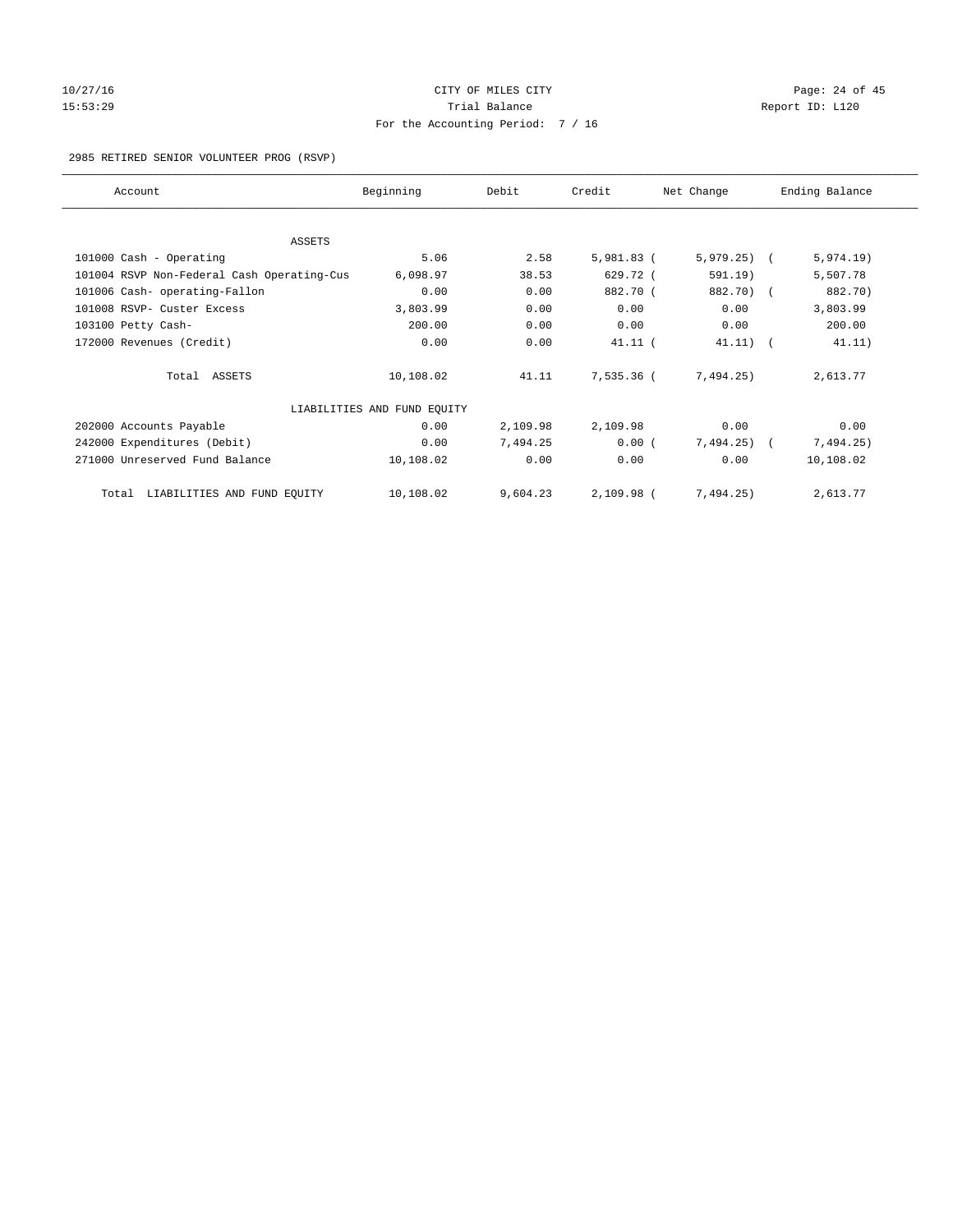# 10/27/16 Page: 24 of 45 15:53:29 **Trial Balance Trial Balance Report ID:** L120 For the Accounting Period: 7 / 16

2985 RETIRED SENIOR VOLUNTEER PROG (RSVP)

| Account                                    | Beginning                   | Debit    | Credit     | Net Change   | Ending Balance |
|--------------------------------------------|-----------------------------|----------|------------|--------------|----------------|
|                                            |                             |          |            |              |                |
| <b>ASSETS</b><br>101000 Cash - Operating   | 5.06                        | 2.58     | 5,981.83 ( | $5,979.25$ ( | 5,974.19)      |
|                                            |                             |          |            |              |                |
| 101004 RSVP Non-Federal Cash Operating-Cus | 6,098.97                    | 38.53    | 629.72 (   | 591.19)      | 5,507.78       |
| 101006 Cash- operating-Fallon              | 0.00                        | 0.00     | 882.70 (   | 882.70) (    | 882.70)        |
| 101008 RSVP- Custer Excess                 | 3,803.99                    | 0.00     | 0.00       | 0.00         | 3,803.99       |
| 103100 Petty Cash-                         | 200.00                      | 0.00     | 0.00       | 0.00         | 200.00         |
| 172000 Revenues (Credit)                   | 0.00                        | 0.00     | $41.11$ (  | $41.11)$ (   | 41.11)         |
| Total ASSETS                               | 10,108.02                   | 41.11    | 7,535.36 ( | 7,494.25)    | 2,613.77       |
|                                            | LIABILITIES AND FUND EQUITY |          |            |              |                |
| 202000 Accounts Payable                    | 0.00                        | 2,109.98 | 2,109.98   | 0.00         | 0.00           |
| 242000 Expenditures (Debit)                | 0.00                        | 7,494.25 | $0.00$ (   | $7,494.25$ ( | 7,494.25)      |
| 271000 Unreserved Fund Balance             | 10,108.02                   | 0.00     | 0.00       | 0.00         | 10,108.02      |
| LIABILITIES AND FUND EQUITY<br>Total       | 10,108.02                   | 9,604.23 | 2,109.98 ( | 7,494.25)    | 2,613.77       |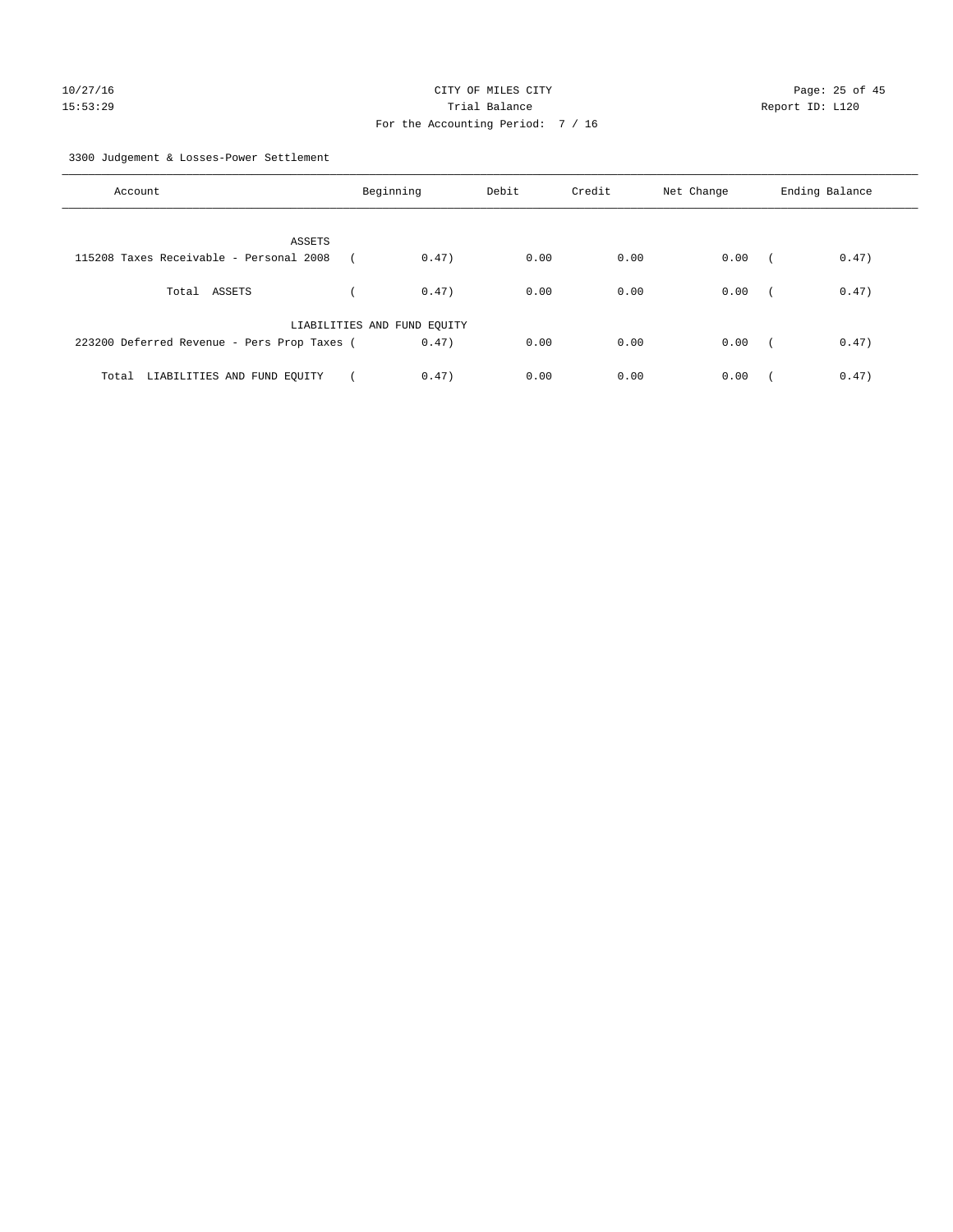3300 Judgement & Losses-Power Settlement

| Account                                     | Beginning                   |       | Debit | Credit | Net Change | Ending Balance |       |
|---------------------------------------------|-----------------------------|-------|-------|--------|------------|----------------|-------|
| ASSETS                                      |                             |       |       |        |            |                |       |
| 115208 Taxes Receivable - Personal 2008     |                             | 0.47) | 0.00  | 0.00   | 0.00       | $\sqrt{2}$     | 0.47) |
| Total ASSETS                                |                             | 0.47) | 0.00  | 0.00   | 0.00       | $\sqrt{2}$     | 0.47) |
|                                             | LIABILITIES AND FUND EQUITY |       |       |        |            |                |       |
| 223200 Deferred Revenue - Pers Prop Taxes ( |                             | 0.47) | 0.00  | 0.00   | 0.00       | $\sim$         | 0.47) |
| LIABILITIES AND FUND EQUITY<br>Total        |                             | 0.47) | 0.00  | 0.00   | 0.00       |                | 0.47) |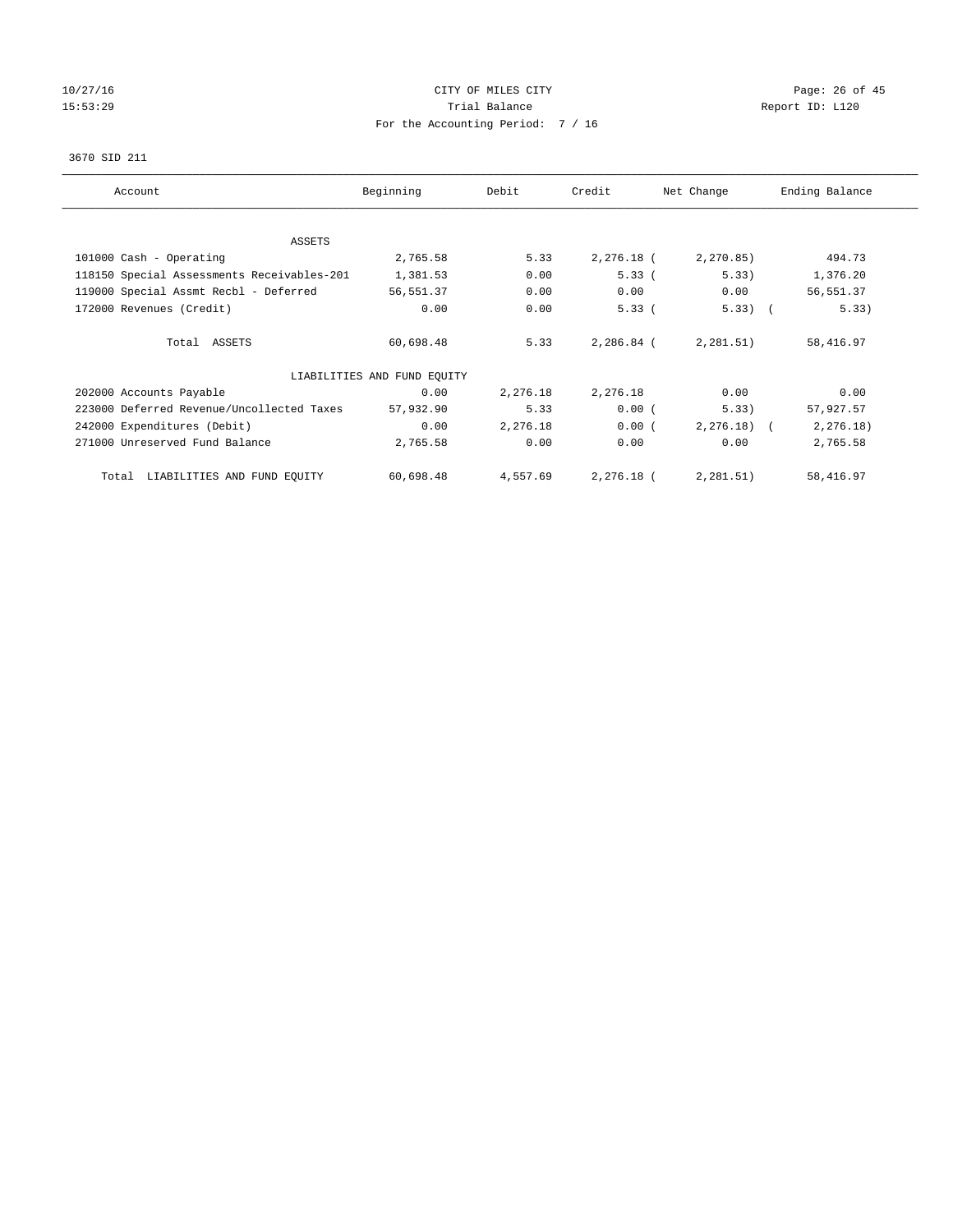# 10/27/16 Page: 26 of 45 15:53:29 **Trial Balance Trial Balance Report ID:** L120 For the Accounting Period: 7 / 16

## 3670 SID 211

| Account                                    | Beginning                   | Debit    | Credit     | Net Change    | Ending Balance |
|--------------------------------------------|-----------------------------|----------|------------|---------------|----------------|
| <b>ASSETS</b>                              |                             |          |            |               |                |
| 101000 Cash - Operating                    | 2,765.58                    | 5.33     | 2,276.18 ( | 2, 270.85)    | 494.73         |
| 118150 Special Assessments Receivables-201 | 1,381.53                    | 0.00     | 5.33(      | 5.33)         | 1,376.20       |
| 119000 Special Assmt Recbl - Deferred      | 56,551.37                   | 0.00     | 0.00       | 0.00          | 56,551.37      |
| 172000 Revenues (Credit)                   | 0.00                        | 0.00     | 5.33(      | $5.33)$ (     | 5.33)          |
| Total ASSETS                               | 60,698.48                   | 5.33     | 2,286.84 ( | 2, 281.51)    | 58,416.97      |
|                                            | LIABILITIES AND FUND EQUITY |          |            |               |                |
| 202000 Accounts Payable                    | 0.00                        | 2,276.18 | 2,276.18   | 0.00          | 0.00           |
| 223000 Deferred Revenue/Uncollected Taxes  | 57,932.90                   | 5.33     | 0.00(      | 5.33)         | 57,927.57      |
| 242000 Expenditures (Debit)                | 0.00                        | 2,276.18 | 0.00(      | $2, 276.18$ ( | 2, 276.18)     |
| 271000 Unreserved Fund Balance             | 2,765.58                    | 0.00     | 0.00       | 0.00          | 2,765.58       |
| LIABILITIES AND FUND EQUITY<br>Total       | 60,698.48                   | 4,557.69 | 2,276.18 ( | 2, 281.51)    | 58,416.97      |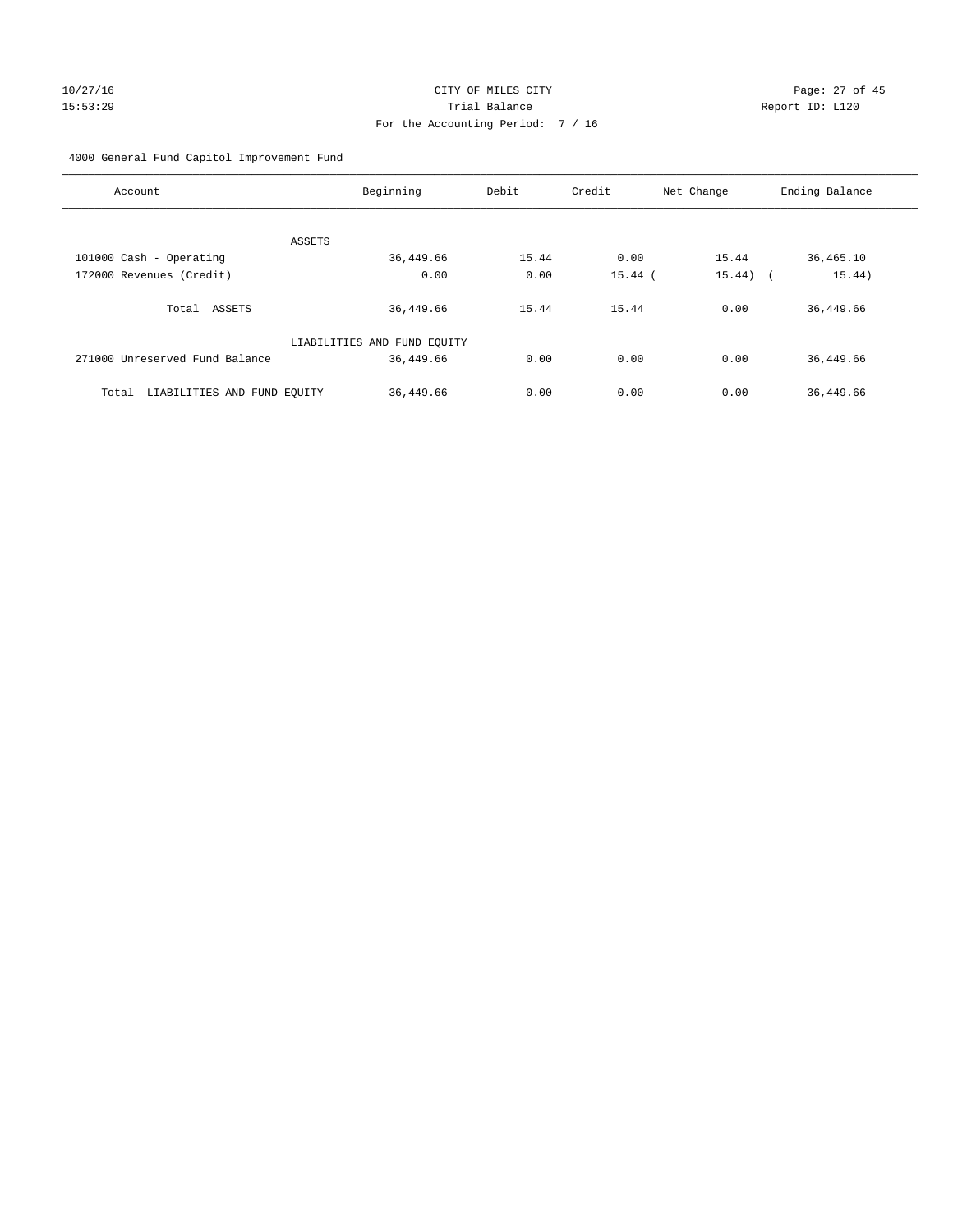# 10/27/16 Page: 27 of 45 15:53:29 Trial Balance Report ID: L120 For the Accounting Period: 7 / 16

4000 General Fund Capitol Improvement Fund

| Account                              | Beginning                   | Debit | Credit    | Net Change | Ending Balance |
|--------------------------------------|-----------------------------|-------|-----------|------------|----------------|
| ASSETS                               |                             |       |           |            |                |
| 101000 Cash - Operating              | 36,449.66                   | 15.44 | 0.00      | 15.44      | 36,465.10      |
| 172000 Revenues (Credit)             | 0.00                        | 0.00  | $15.44$ ( | $15.44)$ ( | 15.44)         |
| Total ASSETS                         | 36,449.66                   | 15.44 | 15.44     | 0.00       | 36,449.66      |
|                                      | LIABILITIES AND FUND EQUITY |       |           |            |                |
| 271000 Unreserved Fund Balance       | 36,449.66                   | 0.00  | 0.00      | 0.00       | 36, 449.66     |
| LIABILITIES AND FUND EQUITY<br>Total | 36,449.66                   | 0.00  | 0.00      | 0.00       | 36,449.66      |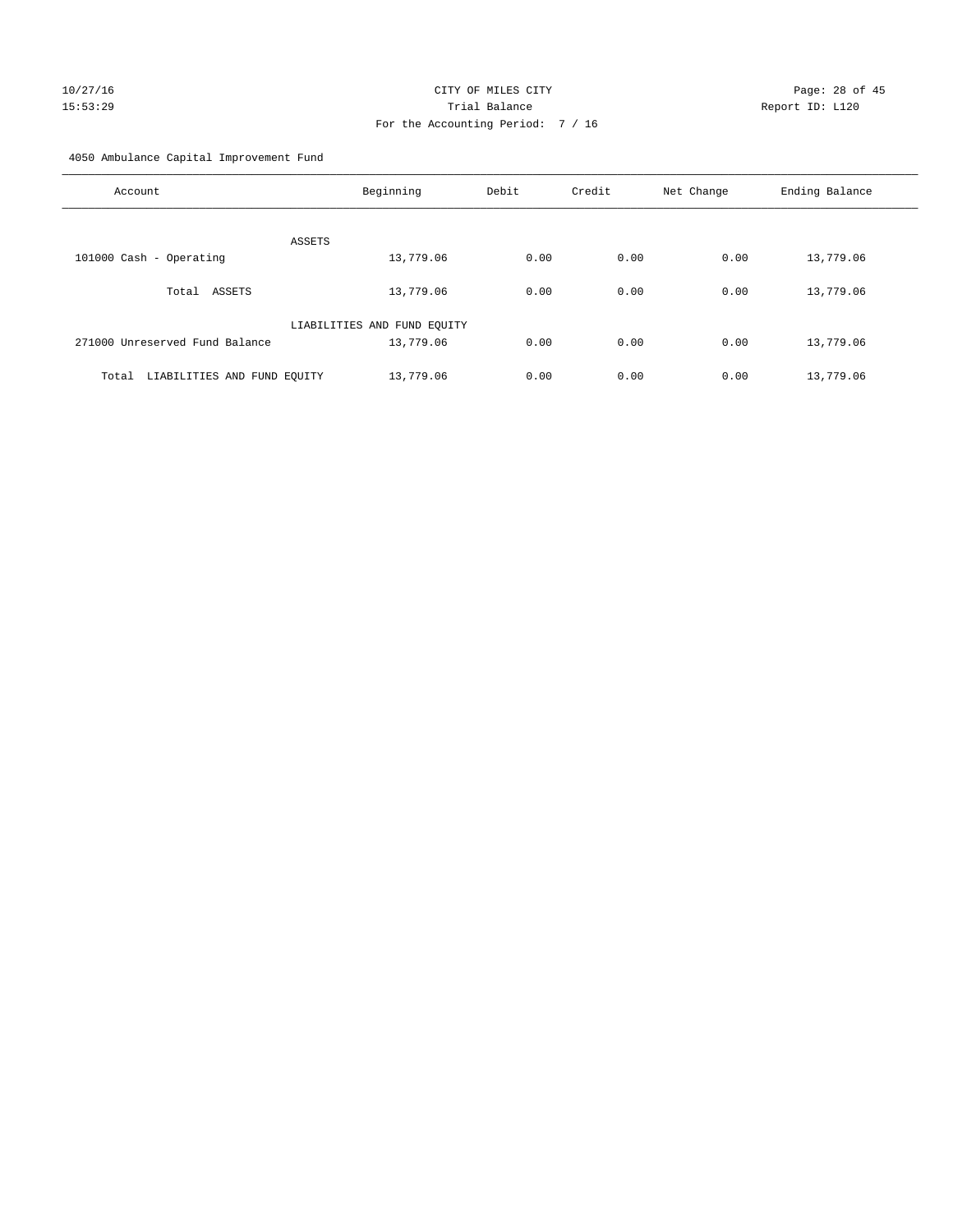4050 Ambulance Capital Improvement Fund

| Account                              | Beginning                   | Debit | Credit | Net Change | Ending Balance |
|--------------------------------------|-----------------------------|-------|--------|------------|----------------|
| ASSETS                               |                             |       |        |            |                |
| 101000 Cash - Operating              | 13,779.06                   | 0.00  | 0.00   | 0.00       | 13,779.06      |
| ASSETS<br>Total                      | 13,779.06                   | 0.00  | 0.00   | 0.00       | 13,779.06      |
|                                      | LIABILITIES AND FUND EQUITY |       |        |            |                |
| 271000 Unreserved Fund Balance       | 13,779.06                   | 0.00  | 0.00   | 0.00       | 13,779.06      |
| LIABILITIES AND FUND EQUITY<br>Total | 13,779.06                   | 0.00  | 0.00   | 0.00       | 13,779.06      |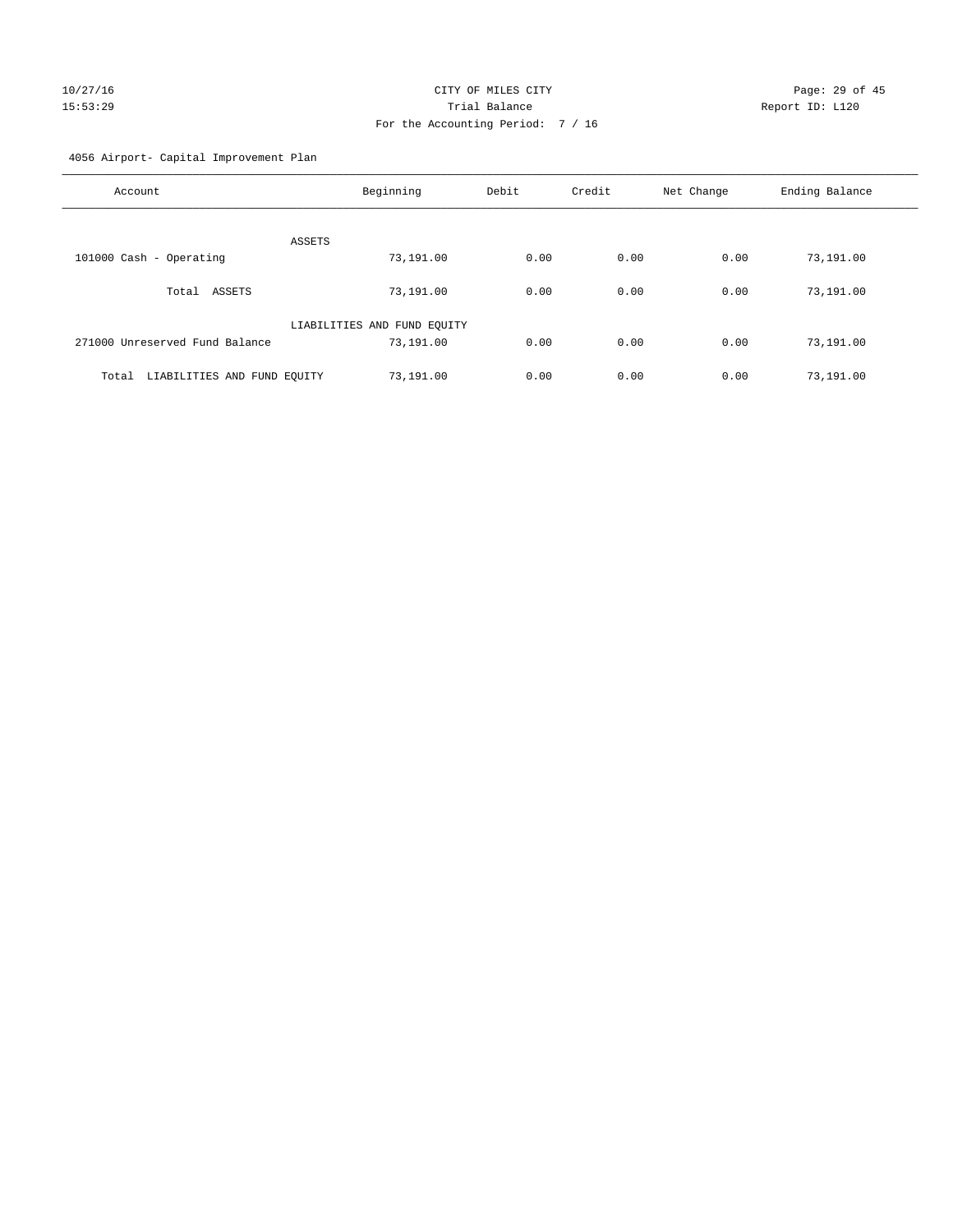# 10/27/16 Page: 29 of 45 15:53:29 Trial Balance Report ID: L120 For the Accounting Period: 7 / 16

4056 Airport- Capital Improvement Plan

| Account                              | Beginning                   | Debit | Credit | Net Change | Ending Balance |
|--------------------------------------|-----------------------------|-------|--------|------------|----------------|
| ASSETS                               |                             |       |        |            |                |
| 101000 Cash - Operating              | 73,191.00                   | 0.00  | 0.00   | 0.00       | 73,191.00      |
| ASSETS<br>Total                      | 73,191.00                   | 0.00  | 0.00   | 0.00       | 73,191.00      |
|                                      | LIABILITIES AND FUND EQUITY |       |        |            |                |
| 271000 Unreserved Fund Balance       | 73,191.00                   | 0.00  | 0.00   | 0.00       | 73,191.00      |
| LIABILITIES AND FUND EQUITY<br>Total | 73,191.00                   | 0.00  | 0.00   | 0.00       | 73,191.00      |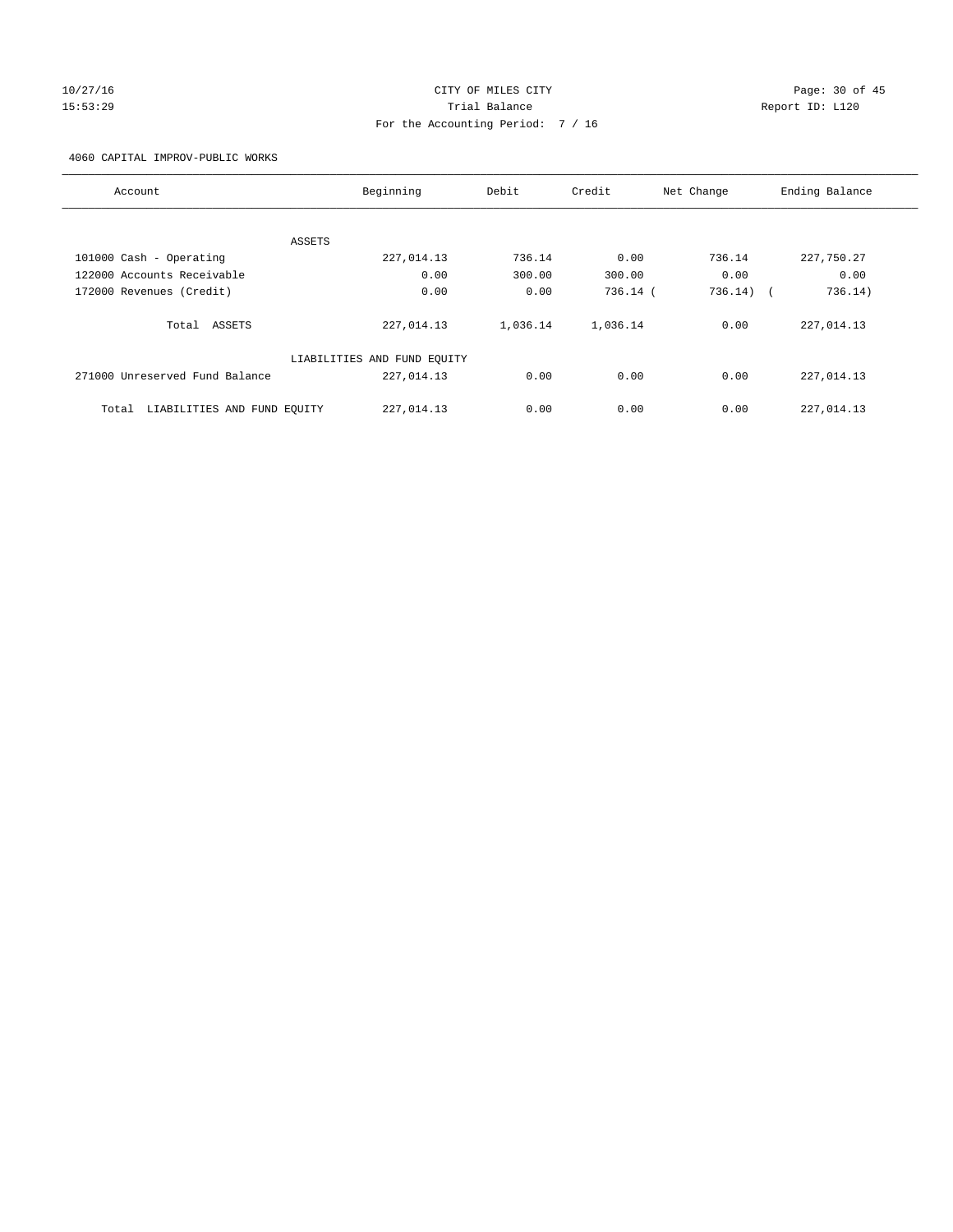# 10/27/16 Page: 30 of 45 15:53:29 Trial Balance Report ID: L120 For the Accounting Period: 7 / 16

4060 CAPITAL IMPROV-PUBLIC WORKS

| Account                              | Beginning                   | Debit    | Credit     | Net Change            | Ending Balance |
|--------------------------------------|-----------------------------|----------|------------|-----------------------|----------------|
|                                      |                             |          |            |                       |                |
|                                      | ASSETS                      |          |            |                       |                |
| 101000 Cash - Operating              | 227,014.13                  | 736.14   | 0.00       | 736.14                | 227,750.27     |
| 122000 Accounts Receivable           | 0.00                        | 300.00   | 300.00     | 0.00                  | 0.00           |
| 172000 Revenues (Credit)             | 0.00                        | 0.00     | $736.14$ ( | 736.14)<br>$\sqrt{2}$ | 736.14)        |
| ASSETS<br>Total                      | 227,014.13                  | 1,036.14 | 1,036.14   | 0.00                  | 227,014.13     |
|                                      | LIABILITIES AND FUND EQUITY |          |            |                       |                |
| 271000 Unreserved Fund Balance       | 227,014.13                  | 0.00     | 0.00       | 0.00                  | 227,014.13     |
| LIABILITIES AND FUND EQUITY<br>Total | 227,014.13                  | 0.00     | 0.00       | 0.00                  | 227,014.13     |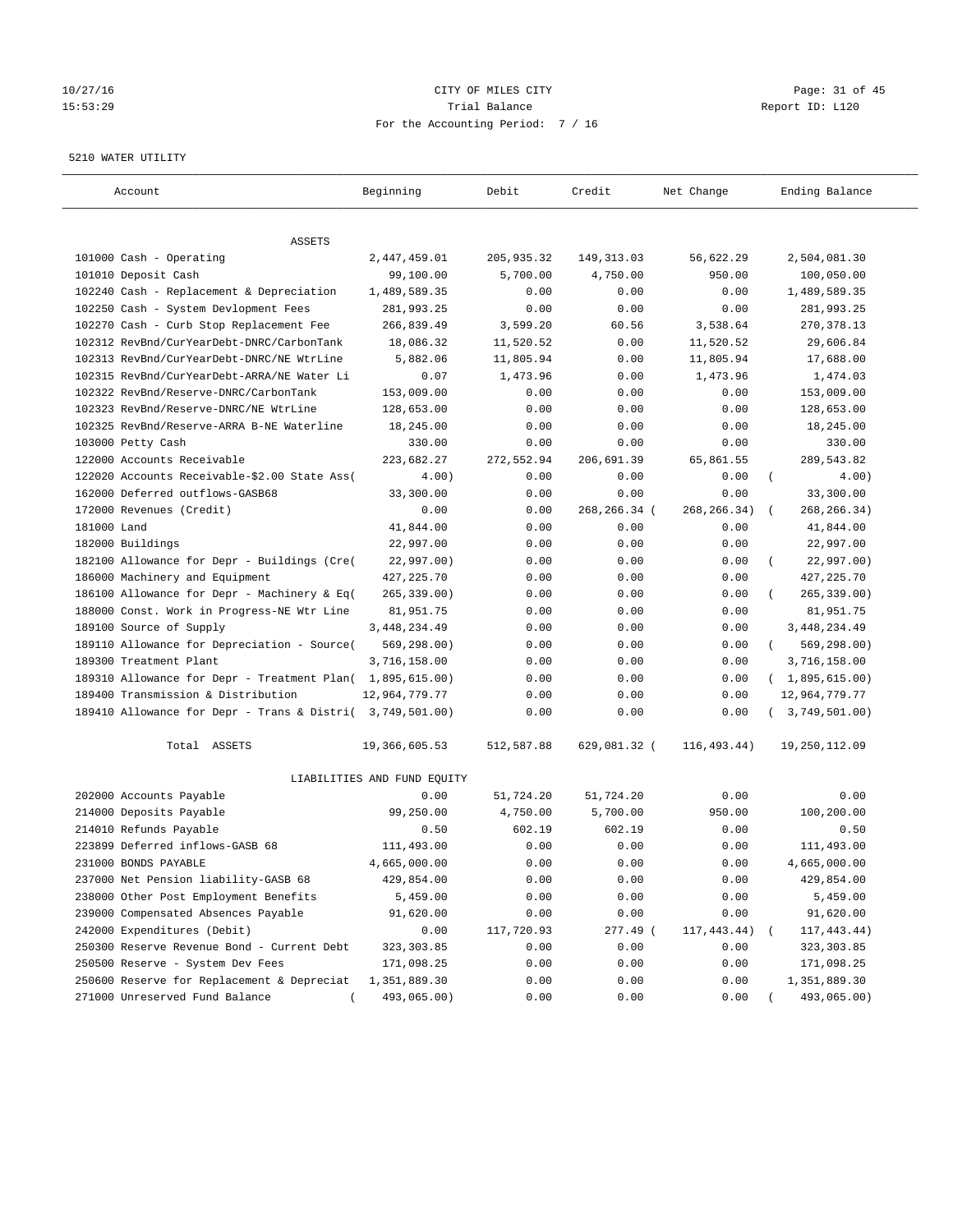# 10/27/16 Page: 31 of 45 15:53:29 Trial Balance Report ID: L120 For the Accounting Period: 7 / 16

#### 5210 WATER UTILITY

| Account                                                   | Beginning                   | Debit       | Credit       | Net Change    | Ending Balance          |
|-----------------------------------------------------------|-----------------------------|-------------|--------------|---------------|-------------------------|
| ASSETS                                                    |                             |             |              |               |                         |
| 101000 Cash - Operating                                   | 2,447,459.01                | 205, 935.32 | 149, 313.03  | 56,622.29     | 2,504,081.30            |
| 101010 Deposit Cash                                       | 99,100.00                   | 5,700.00    | 4,750.00     | 950.00        | 100,050.00              |
| 102240 Cash - Replacement & Depreciation                  | 1,489,589.35                | 0.00        | 0.00         | 0.00          | 1,489,589.35            |
| 102250 Cash - System Devlopment Fees                      | 281,993.25                  | 0.00        | 0.00         | 0.00          | 281,993.25              |
| 102270 Cash - Curb Stop Replacement Fee                   | 266,839.49                  | 3,599.20    | 60.56        | 3,538.64      | 270, 378.13             |
| 102312 RevBnd/CurYearDebt-DNRC/CarbonTank                 | 18,086.32                   | 11,520.52   | 0.00         | 11,520.52     | 29,606.84               |
| 102313 RevBnd/CurYearDebt-DNRC/NE WtrLine                 | 5,882.06                    | 11,805.94   | 0.00         | 11,805.94     | 17,688.00               |
| 102315 RevBnd/CurYearDebt-ARRA/NE Water Li                | 0.07                        | 1,473.96    | 0.00         | 1,473.96      | 1,474.03                |
| 102322 RevBnd/Reserve-DNRC/CarbonTank                     | 153,009.00                  | 0.00        | 0.00         | 0.00          | 153,009.00              |
| 102323 RevBnd/Reserve-DNRC/NE WtrLine                     | 128,653.00                  | 0.00        | 0.00         | 0.00          | 128,653.00              |
| 102325 RevBnd/Reserve-ARRA B-NE Waterline                 | 18,245.00                   | 0.00        | 0.00         | 0.00          | 18,245.00               |
| 103000 Petty Cash                                         | 330.00                      | 0.00        | 0.00         | 0.00          | 330.00                  |
| 122000 Accounts Receivable                                | 223,682.27                  | 272,552.94  | 206,691.39   | 65,861.55     | 289,543.82              |
| 122020 Accounts Receivable-\$2.00 State Ass(              | 4.00)                       | 0.00        | 0.00         | 0.00          | $\left($<br>4.00)       |
| 162000 Deferred outflows-GASB68                           | 33,300.00                   | 0.00        | 0.00         | 0.00          | 33,300.00               |
| 172000 Revenues (Credit)                                  | 0.00                        | 0.00        | 268,266.34 ( | 268, 266. 34) | 268, 266. 34)           |
| 181000 Land                                               | 41,844.00                   | 0.00        | 0.00         | 0.00          | 41,844.00               |
| 182000 Buildings                                          | 22,997.00                   | 0.00        | 0.00         | 0.00          | 22,997.00               |
| 182100 Allowance for Depr - Buildings (Cre(               | 22,997.00)                  | 0.00        | 0.00         | 0.00          | 22,997.00)<br>$\left($  |
| 186000 Machinery and Equipment                            | 427, 225. 70                | 0.00        | 0.00         | 0.00          | 427, 225.70             |
| 186100 Allowance for Depr - Machinery & Eq(               | $265, 339.00$ )             | 0.00        | 0.00         | 0.00          | 265, 339.00)            |
| 188000 Const. Work in Progress-NE Wtr Line                | 81,951.75                   | 0.00        | 0.00         | 0.00          | 81,951.75               |
| 189100 Source of Supply                                   | 3, 448, 234.49              | 0.00        | 0.00         | 0.00          | 3, 448, 234.49          |
| 189110 Allowance for Depreciation - Source(               | 569, 298.00)                | 0.00        | 0.00         | 0.00          | 569,298.00)<br>$\left($ |
| 189300 Treatment Plant                                    | 3,716,158.00                | 0.00        | 0.00         | 0.00          | 3,716,158.00            |
| 189310 Allowance for Depr - Treatment Plan(               | 1,895,615.00)               | 0.00        | 0.00         | 0.00          | (1,895,615.00)          |
| 189400 Transmission & Distribution                        | 12,964,779.77               | 0.00        | 0.00         | 0.00          | 12,964,779.77           |
| 189410 Allowance for Depr - Trans & Distri( 3,749,501.00) |                             | 0.00        | 0.00         | 0.00          | 3,749,501.00)           |
|                                                           |                             |             |              |               |                         |
| Total ASSETS                                              | 19,366,605.53               | 512,587.88  | 629,081.32 ( | 116, 493.44)  | 19,250,112.09           |
|                                                           | LIABILITIES AND FUND EQUITY |             |              |               |                         |
| 202000 Accounts Payable                                   | 0.00                        | 51,724.20   | 51,724.20    | 0.00          | 0.00                    |
| 214000 Deposits Payable                                   | 99,250.00                   | 4,750.00    | 5,700.00     | 950.00        | 100,200.00              |
| 214010 Refunds Payable                                    | 0.50                        | 602.19      | 602.19       | 0.00          | 0.50                    |
| 223899 Deferred inflows-GASB 68                           | 111,493.00                  | 0.00        | 0.00         | 0.00          | 111,493.00              |
| 231000 BONDS PAYABLE                                      | 4,665,000.00                | 0.00        | 0.00         | 0.00          | 4,665,000.00            |
| 237000 Net Pension liability-GASB 68                      | 429,854.00                  | 0.00        | 0.00         | 0.00          | 429,854.00              |
| 238000 Other Post Employment Benefits                     | 5,459.00                    | 0.00        | 0.00         | 0.00          | 5,459.00                |
| 239000 Compensated Absences Payable                       | 91,620.00                   | 0.00        | 0.00         | 0.00          | 91,620.00               |
| 242000 Expenditures (Debit)                               | 0.00                        | 117,720.93  | 277.49 (     | 117,443.44)   | 117, 443.44)            |
| 250300 Reserve Revenue Bond - Current Debt                | 323, 303.85                 | 0.00        | 0.00         | 0.00          | 323, 303.85             |
| 250500 Reserve - System Dev Fees                          | 171,098.25                  | 0.00        | 0.00         | 0.00          | 171,098.25              |
| 250600 Reserve for Replacement & Depreciat                | 1,351,889.30                | 0.00        | 0.00         | 0.00          | 1,351,889.30            |
| 271000 Unreserved Fund Balance                            | 493,065.00)                 | 0.00        | 0.00         | 0.00          | 493,065.00)             |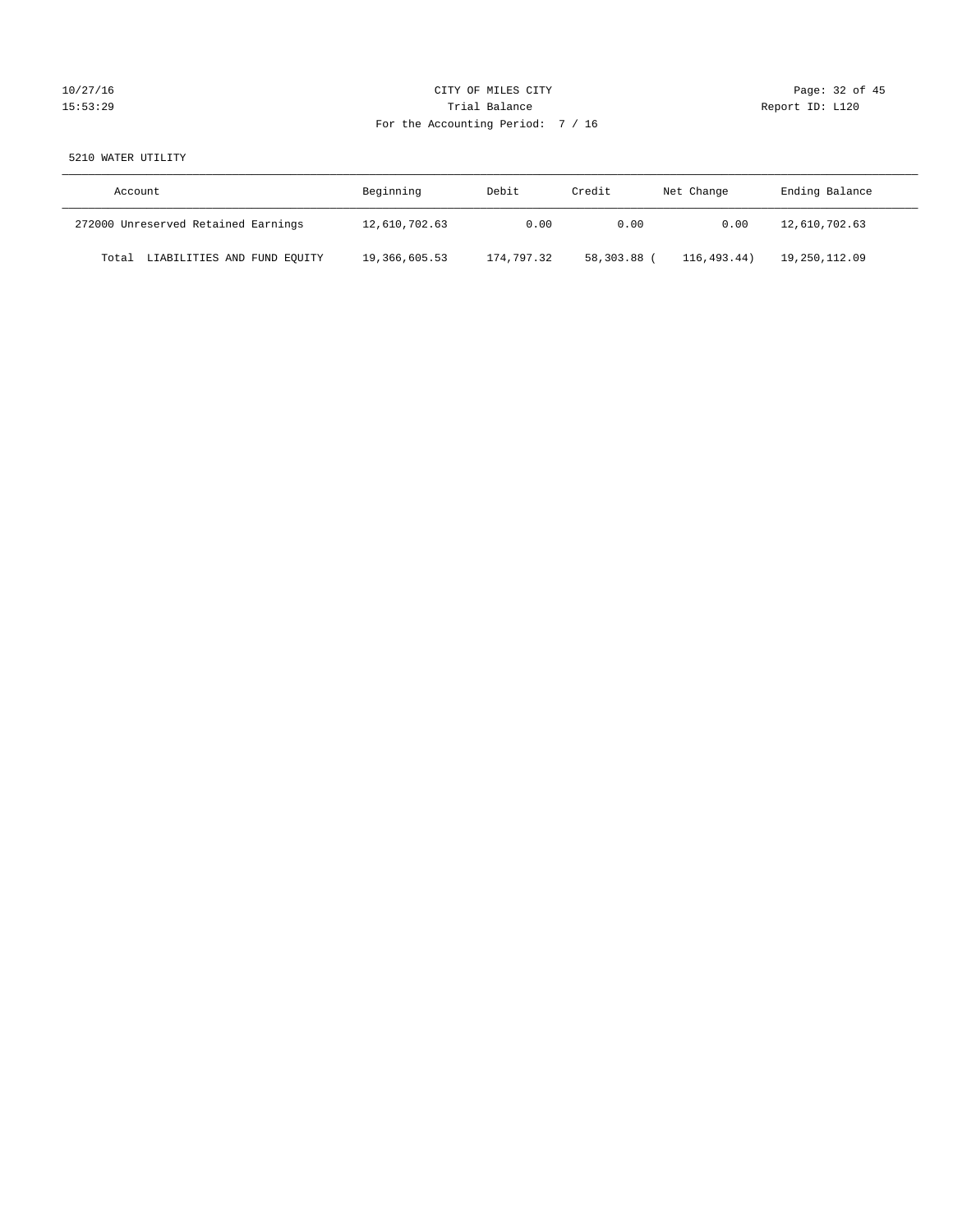| 10/27/16 |  |
|----------|--|
| 15:53:29 |  |

# CITY OF MILES CITY CONTROL CONTROL CITY CONTROL Page: 32 of 45 Partial Balance and Communications of the Report ID: L120 For the Accounting Period: 7 / 16

# 5210 WATER UTILITY

| Account                             | Beginning     | Debit      | Credit    | Net Change | Ending Balance |
|-------------------------------------|---------------|------------|-----------|------------|----------------|
| 272000 Unreserved Retained Earnings | 12,610,702.63 | 0.00       | 0.00      | 0.00       | 12,610,702.63  |
| Total LIABILITIES AND FUND EQUITY   | 19,366,605.53 | 174,797.32 | 58,303.88 | 116.493.44 | 19,250,112.09  |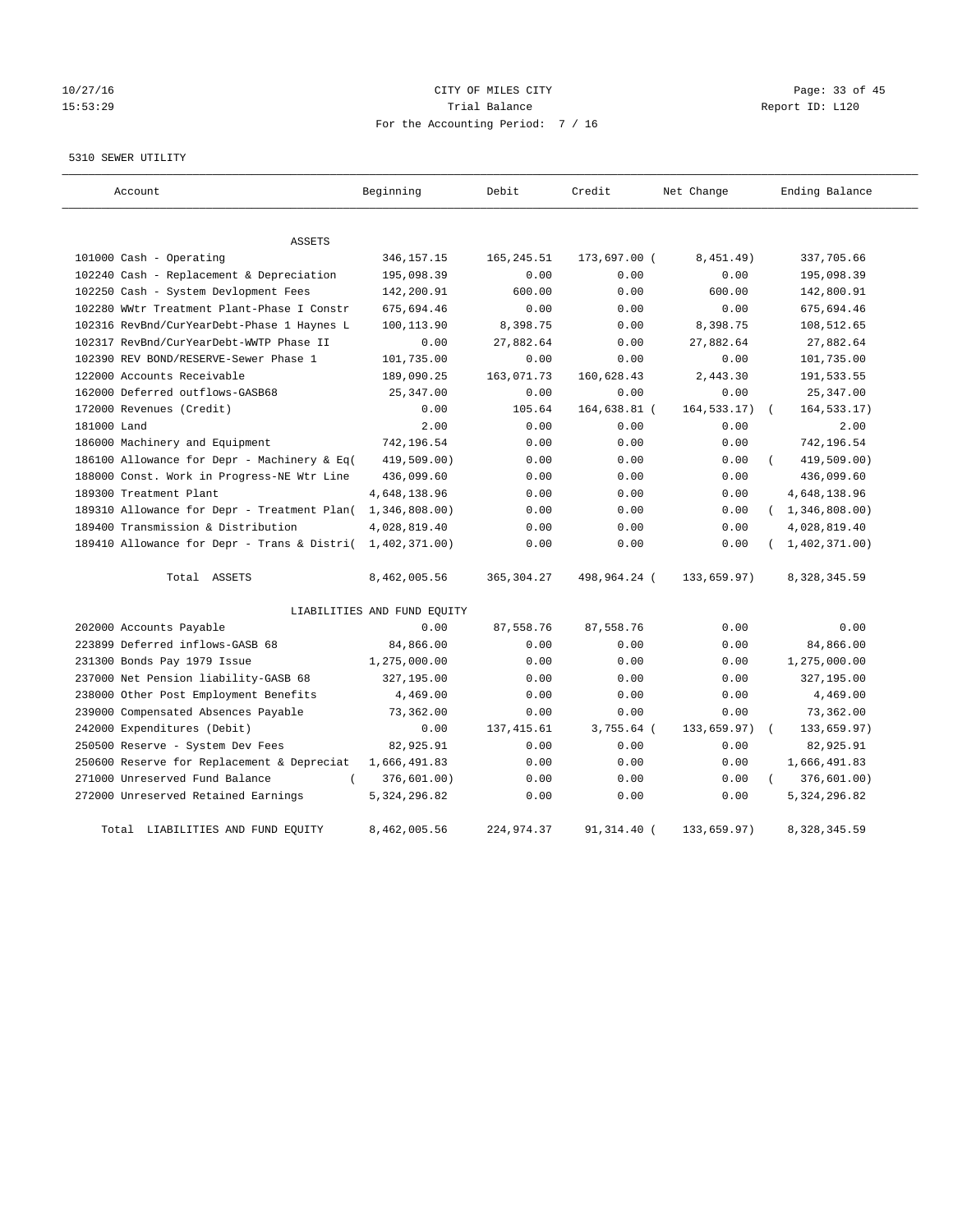# 10/27/16 Page: 33 of 45 15:53:29 Trial Balance Report ID: L120 For the Accounting Period: 7 / 16

#### 5310 SEWER UTILITY

| Account                                                   | Beginning                   | Debit       | Credit       | Net Change   | Ending Balance          |
|-----------------------------------------------------------|-----------------------------|-------------|--------------|--------------|-------------------------|
| ASSETS                                                    |                             |             |              |              |                         |
| 101000 Cash - Operating                                   | 346, 157. 15                | 165, 245.51 | 173,697.00 ( | 8,451.49)    | 337,705.66              |
| 102240 Cash - Replacement & Depreciation                  | 195,098.39                  | 0.00        | 0.00         | 0.00         | 195,098.39              |
| 102250 Cash - System Devlopment Fees                      | 142,200.91                  | 600.00      | 0.00         | 600.00       | 142,800.91              |
| 102280 WWtr Treatment Plant-Phase I Constr                | 675,694.46                  | 0.00        | 0.00         | 0.00         | 675,694.46              |
| 102316 RevBnd/CurYearDebt-Phase 1 Haynes L                | 100,113.90                  | 8,398.75    | 0.00         | 8,398.75     | 108,512.65              |
| 102317 RevBnd/CurYearDebt-WWTP Phase II                   | 0.00                        | 27,882.64   | 0.00         | 27,882.64    | 27,882.64               |
| 102390 REV BOND/RESERVE-Sewer Phase 1                     | 101,735.00                  | 0.00        | 0.00         | 0.00         | 101,735.00              |
| 122000 Accounts Receivable                                | 189,090.25                  | 163,071.73  | 160,628.43   | 2,443.30     | 191,533.55              |
| 162000 Deferred outflows-GASB68                           | 25, 347.00                  | 0.00        | 0.00         | 0.00         | 25, 347.00              |
| 172000 Revenues (Credit)                                  | 0.00                        | 105.64      | 164,638.81 ( | 164, 533.17) | 164, 533. 17)           |
| 181000 Land                                               | 2.00                        | 0.00        | 0.00         | 0.00         | 2.00                    |
| 186000 Machinery and Equipment                            | 742,196.54                  | 0.00        | 0.00         | 0.00         | 742,196.54              |
| 186100 Allowance for Depr - Machinery & Eq(               | 419,509.00)                 | 0.00        | 0.00         | 0.00         | 419,509.00)<br>$\left($ |
| 188000 Const. Work in Progress-NE Wtr Line                | 436,099.60                  | 0.00        | 0.00         | 0.00         | 436,099.60              |
| 189300 Treatment Plant                                    | 4,648,138.96                | 0.00        | 0.00         | 0.00         | 4,648,138.96            |
| 189310 Allowance for Depr - Treatment Plan(               | 1,346,808.00                | 0.00        | 0.00         | 0.00         | (1, 346, 808.00)        |
| 189400 Transmission & Distribution                        | 4,028,819.40                | 0.00        | 0.00         | 0.00         | 4,028,819.40            |
| 189410 Allowance for Depr - Trans & Distri( 1,402,371.00) |                             | 0.00        | 0.00         | 0.00         | 1,402,371.00)           |
| Total ASSETS                                              | 8,462,005.56                | 365, 304.27 | 498,964.24 ( | 133,659.97)  | 8,328,345.59            |
|                                                           | LIABILITIES AND FUND EQUITY |             |              |              |                         |
| 202000 Accounts Payable                                   | 0.00                        | 87,558.76   | 87,558.76    | 0.00         | 0.00                    |
| 223899 Deferred inflows-GASB 68                           | 84,866.00                   | 0.00        | 0.00         | 0.00         | 84,866.00               |
| 231300 Bonds Pay 1979 Issue                               | 1,275,000.00                | 0.00        | 0.00         | 0.00         | 1,275,000.00            |
| 237000 Net Pension liability-GASB 68                      | 327,195.00                  | 0.00        | 0.00         | 0.00         | 327,195.00              |
| 238000 Other Post Employment Benefits                     | 4,469.00                    | 0.00        | 0.00         | 0.00         | 4,469.00                |
| 239000 Compensated Absences Payable                       | 73,362.00                   | 0.00        | 0.00         | 0.00         | 73,362.00               |
| 242000 Expenditures (Debit)                               | 0.00                        | 137, 415.61 | $3,755.64$ ( | 133,659.97)  | 133,659.97)             |
| 250500 Reserve - System Dev Fees                          | 82,925.91                   | 0.00        | 0.00         | 0.00         | 82,925.91               |
| 250600 Reserve for Replacement & Depreciat                | 1,666,491.83                | 0.00        | 0.00         | 0.00         | 1,666,491.83            |
| 271000 Unreserved Fund Balance<br>$\left($                | 376,601.00)                 | 0.00        | 0.00         | 0.00         | 376,601.00)<br>$\left($ |
| 272000 Unreserved Retained Earnings                       | 5, 324, 296.82              | 0.00        | 0.00         | 0.00         | 5, 324, 296.82          |
| Total LIABILITIES AND FUND EQUITY                         | 8,462,005.56                | 224,974.37  | 91,314.40 (  | 133,659.97)  | 8, 328, 345.59          |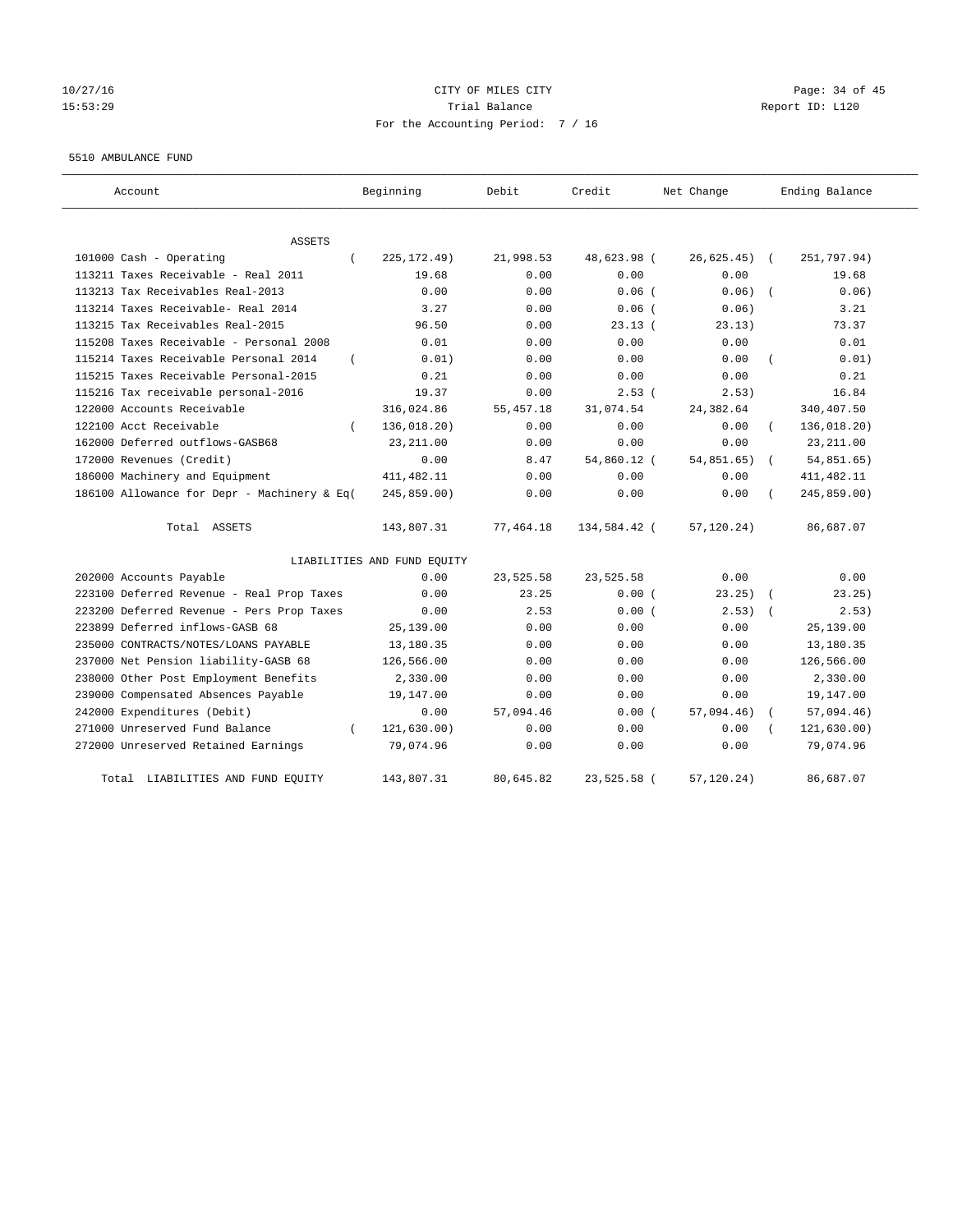# 10/27/16 Page: 34 of 45 15:53:29 Trial Balance Report ID: L120 For the Accounting Period: 7 / 16

#### 5510 AMBULANCE FUND

| Account                                     |          | Beginning                   | Debit       | Credit       | Net Change    | Ending Balance |
|---------------------------------------------|----------|-----------------------------|-------------|--------------|---------------|----------------|
| <b>ASSETS</b>                               |          |                             |             |              |               |                |
| 101000 Cash - Operating                     | $\left($ | 225, 172.49)                | 21,998.53   | 48,623.98 (  | $26,625.45$ ( | 251,797.94)    |
| 113211 Taxes Receivable - Real 2011         |          | 19.68                       | 0.00        | 0.00         | 0.00          | 19.68          |
| 113213 Tax Receivables Real-2013            |          | 0.00                        | 0.00        | $0.06$ (     | 0.06)         | 0.06)          |
| 113214 Taxes Receivable- Real 2014          |          | 3.27                        | 0.00        | $0.06$ (     | 0.06)         | 3.21           |
| 113215 Tax Receivables Real-2015            |          | 96.50                       | 0.00        | 23.13(       | 23.13)        | 73.37          |
| 115208 Taxes Receivable - Personal 2008     |          | 0.01                        | 0.00        | 0.00         | 0.00          | 0.01           |
| 115214 Taxes Receivable Personal 2014       | $\left($ | 0.01)                       | 0.00        | 0.00         | 0.00          | 0.01)          |
| 115215 Taxes Receivable Personal-2015       |          | 0.21                        | 0.00        | 0.00         | 0.00          | 0.21           |
| 115216 Tax receivable personal-2016         |          | 19.37                       | 0.00        | 2.53(        | 2.53)         | 16.84          |
| 122000 Accounts Receivable                  |          | 316,024.86                  | 55, 457. 18 | 31,074.54    | 24,382.64     | 340,407.50     |
| 122100 Acct Receivable                      |          | 136,018.20)                 | 0.00        | 0.00         | 0.00          | 136,018.20)    |
| 162000 Deferred outflows-GASB68             |          | 23, 211.00                  | 0.00        | 0.00         | 0.00          | 23, 211.00     |
| 172000 Revenues (Credit)                    |          | 0.00                        | 8.47        | 54,860.12 (  | 54,851.65)    | 54,851.65)     |
| 186000 Machinery and Equipment              |          | 411, 482.11                 | 0.00        | 0.00         | 0.00          | 411, 482.11    |
| 186100 Allowance for Depr - Machinery & Eq( |          | 245,859.00)                 | 0.00        | 0.00         | 0.00          | 245,859.00)    |
| Total ASSETS                                |          | 143,807.31                  | 77,464.18   | 134,584.42 ( | 57, 120.24)   | 86,687.07      |
|                                             |          | LIABILITIES AND FUND EQUITY |             |              |               |                |
| 202000 Accounts Payable                     |          | 0.00                        | 23,525.58   | 23,525.58    | 0.00          | 0.00           |
| 223100 Deferred Revenue - Real Prop Taxes   |          | 0.00                        | 23.25       | 0.00(        | $23.25$ ) (   | 23.25)         |
| 223200 Deferred Revenue - Pers Prop Taxes   |          | 0.00                        | 2.53        | 0.00(        | 2.53)         | 2.53)          |
| 223899 Deferred inflows-GASB 68             |          | 25,139.00                   | 0.00        | 0.00         | 0.00          | 25,139.00      |
| 235000 CONTRACTS/NOTES/LOANS PAYABLE        |          | 13,180.35                   | 0.00        | 0.00         | 0.00          | 13,180.35      |
| 237000 Net Pension liability-GASB 68        |          | 126,566.00                  | 0.00        | 0.00         | 0.00          | 126,566.00     |
| 238000 Other Post Employment Benefits       |          | 2,330.00                    | 0.00        | 0.00         | 0.00          | 2,330.00       |
| 239000 Compensated Absences Payable         |          | 19,147.00                   | 0.00        | 0.00         | 0.00          | 19,147.00      |
| 242000 Expenditures (Debit)                 |          | 0.00                        | 57,094.46   | 0.00(        | 57,094.46)    | 57,094.46)     |
| 271000 Unreserved Fund Balance              |          | 121, 630.00)                | 0.00        | 0.00         | 0.00          | 121,630.00)    |
| 272000 Unreserved Retained Earnings         |          | 79,074.96                   | 0.00        | 0.00         | 0.00          | 79,074.96      |
| Total LIABILITIES AND FUND EQUITY           |          | 143,807.31                  | 80,645.82   | 23,525.58 (  | 57, 120.24)   | 86,687.07      |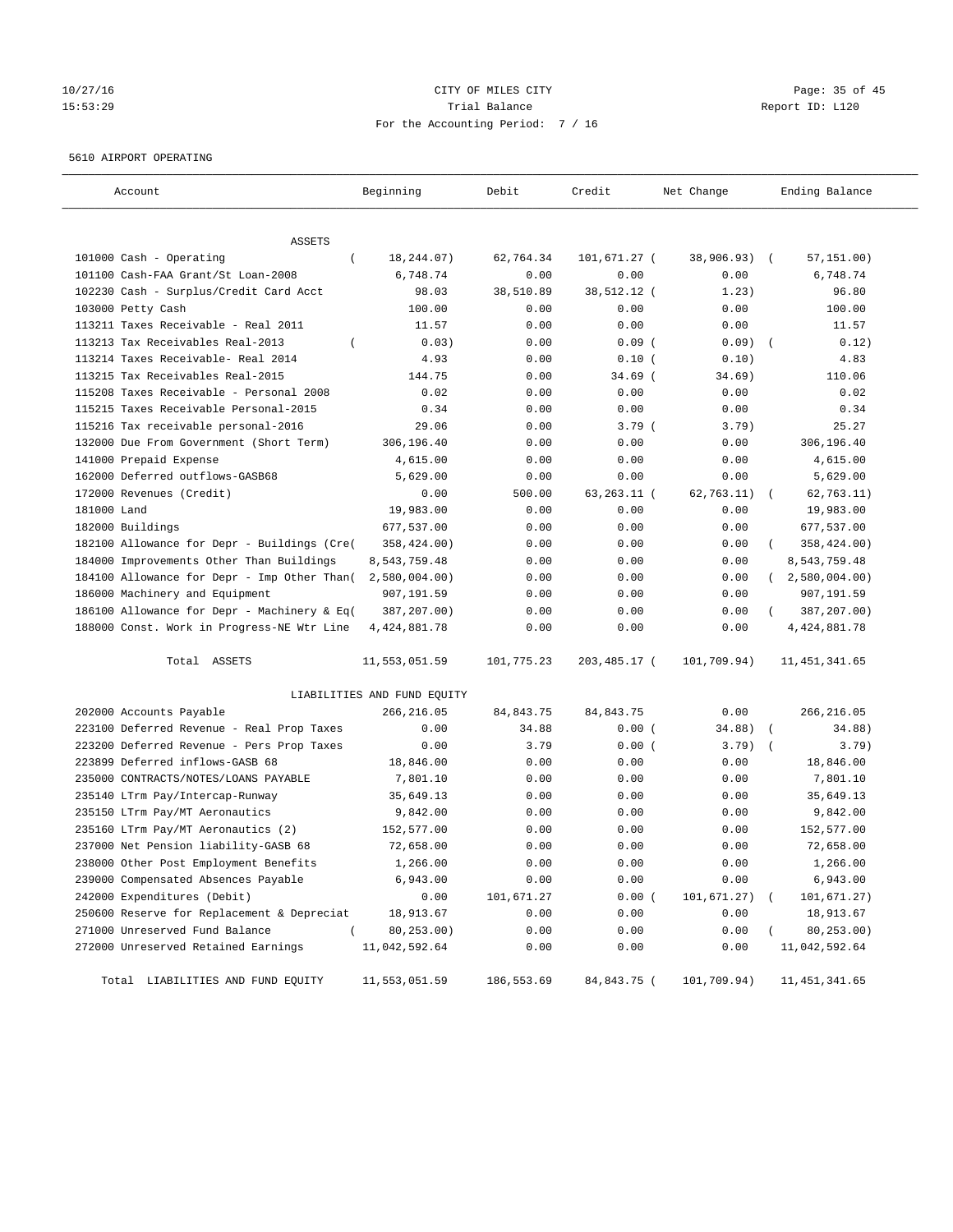# 10/27/16 Page: 35 of 45 15:53:29 Trial Balance Report ID: L120 For the Accounting Period: 7 / 16

#### 5610 AIRPORT OPERATING

| Account                                     | Beginning                   | Debit       | Credit       | Net Change   | Ending Balance            |
|---------------------------------------------|-----------------------------|-------------|--------------|--------------|---------------------------|
| <b>ASSETS</b>                               |                             |             |              |              |                           |
| 101000 Cash - Operating<br>$\left($         | 18,244.07)                  | 62,764.34   | 101,671.27 ( | 38,906.93)   | 57, 151.00)<br>$\sqrt{2}$ |
| 101100 Cash-FAA Grant/St Loan-2008          | 6,748.74                    | 0.00        | 0.00         | 0.00         | 6,748.74                  |
| 102230 Cash - Surplus/Credit Card Acct      | 98.03                       | 38,510.89   | 38,512.12 (  | 1.23)        | 96.80                     |
| 103000 Petty Cash                           | 100.00                      | 0.00        | 0.00         | 0.00         | 100.00                    |
| 113211 Taxes Receivable - Real 2011         | 11.57                       | 0.00        | 0.00         | 0.00         | 11.57                     |
| 113213 Tax Receivables Real-2013            | 0.03)                       | 0.00        | 0.09(        | $0.09)$ (    | 0.12)                     |
| 113214 Taxes Receivable- Real 2014          | 4.93                        | 0.00        | 0.10(        | 0.10)        | 4.83                      |
| 113215 Tax Receivables Real-2015            | 144.75                      | 0.00        | $34.69$ (    | 34.69)       | 110.06                    |
| 115208 Taxes Receivable - Personal 2008     | 0.02                        | 0.00        | 0.00         | 0.00         | 0.02                      |
| 115215 Taxes Receivable Personal-2015       | 0.34                        | 0.00        | 0.00         | 0.00         | 0.34                      |
| 115216 Tax receivable personal-2016         | 29.06                       | 0.00        | 3.79(        | 3.79)        | 25.27                     |
| 132000 Due From Government (Short Term)     | 306,196.40                  | 0.00        | 0.00         | 0.00         | 306,196.40                |
| 141000 Prepaid Expense                      | 4,615.00                    | 0.00        | 0.00         | 0.00         | 4,615.00                  |
| 162000 Deferred outflows-GASB68             | 5,629.00                    | 0.00        | 0.00         | 0.00         | 5,629.00                  |
| 172000 Revenues (Credit)                    | 0.00                        | 500.00      | 63,263.11 (  | 62, 763.11)  | 62,763.11)                |
| 181000 Land                                 | 19,983.00                   | 0.00        | 0.00         | 0.00         | 19,983.00                 |
| 182000 Buildings                            | 677,537.00                  | 0.00        | 0.00         | 0.00         | 677,537.00                |
| 182100 Allowance for Depr - Buildings (Cre( | 358,424.00)                 | 0.00        | 0.00         | 0.00         | 358,424.00)               |
| 184000 Improvements Other Than Buildings    | 8,543,759.48                | 0.00        | 0.00         | 0.00         | 8,543,759.48              |
| 184100 Allowance for Depr - Imp Other Than( | 2,580,004.00                | 0.00        | 0.00         | 0.00         | $2,580,004.00$ )          |
| 186000 Machinery and Equipment              | 907,191.59                  | 0.00        | 0.00         | 0.00         | 907,191.59                |
| 186100 Allowance for Depr - Machinery & Eq( | 387,207.00)                 | 0.00        | 0.00         | 0.00         | 387,207.00)               |
| 188000 Const. Work in Progress-NE Wtr Line  | 4, 424, 881.78              | 0.00        | 0.00         | 0.00         | 4, 424, 881.78            |
| Total ASSETS                                | 11,553,051.59               | 101,775.23  | 203,485.17 ( | 101,709.94)  | 11, 451, 341.65           |
|                                             | LIABILITIES AND FUND EQUITY |             |              |              |                           |
| 202000 Accounts Payable                     | 266,216.05                  | 84, 843. 75 | 84, 843. 75  | 0.00         | 266, 216.05               |
| 223100 Deferred Revenue - Real Prop Taxes   | 0.00                        | 34.88       | 0.00(        | 34.88)       | 34.88)<br>$\sqrt{2}$      |
| 223200 Deferred Revenue - Pers Prop Taxes   | 0.00                        | 3.79        | 0.00(        | 3.79)        | 3.79)                     |
| 223899 Deferred inflows-GASB 68             | 18,846.00                   | 0.00        | 0.00         | 0.00         | 18,846.00                 |
| 235000 CONTRACTS/NOTES/LOANS PAYABLE        | 7,801.10                    | 0.00        | 0.00         | 0.00         | 7,801.10                  |
| 235140 LTrm Pay/Intercap-Runway             | 35,649.13                   | 0.00        | 0.00         | 0.00         | 35,649.13                 |
| 235150 LTrm Pay/MT Aeronautics              | 9,842.00                    | 0.00        | 0.00         | 0.00         | 9,842.00                  |
| 235160 LTrm Pay/MT Aeronautics (2)          | 152,577.00                  | 0.00        | 0.00         | 0.00         | 152,577.00                |
| 237000 Net Pension liability-GASB 68        | 72,658.00                   | 0.00        | 0.00         | 0.00         | 72,658.00                 |
| 238000 Other Post Employment Benefits       | 1,266.00                    | 0.00        | 0.00         | 0.00         | 1,266.00                  |
| 239000 Compensated Absences Payable         | 6,943.00                    | 0.00        | 0.00         | 0.00         | 6,943.00                  |
| 242000 Expenditures (Debit)                 | 0.00                        | 101,671.27  | 0.00(        | 101, 671.27) | 101,671.27)               |
| 250600 Reserve for Replacement & Depreciat  | 18,913.67                   | 0.00        | 0.00         | 0.00         | 18,913.67                 |
| 271000 Unreserved Fund Balance<br>$\left($  | 80,253.00)                  | 0.00        | 0.00         | 0.00         | 80,253.00)                |
| 272000 Unreserved Retained Earnings         | 11,042,592.64               | 0.00        | 0.00         | 0.00         | 11,042,592.64             |
| Total LIABILITIES AND FUND EQUITY           | 11,553,051.59               | 186,553.69  | 84,843.75 (  | 101,709.94)  | 11, 451, 341.65           |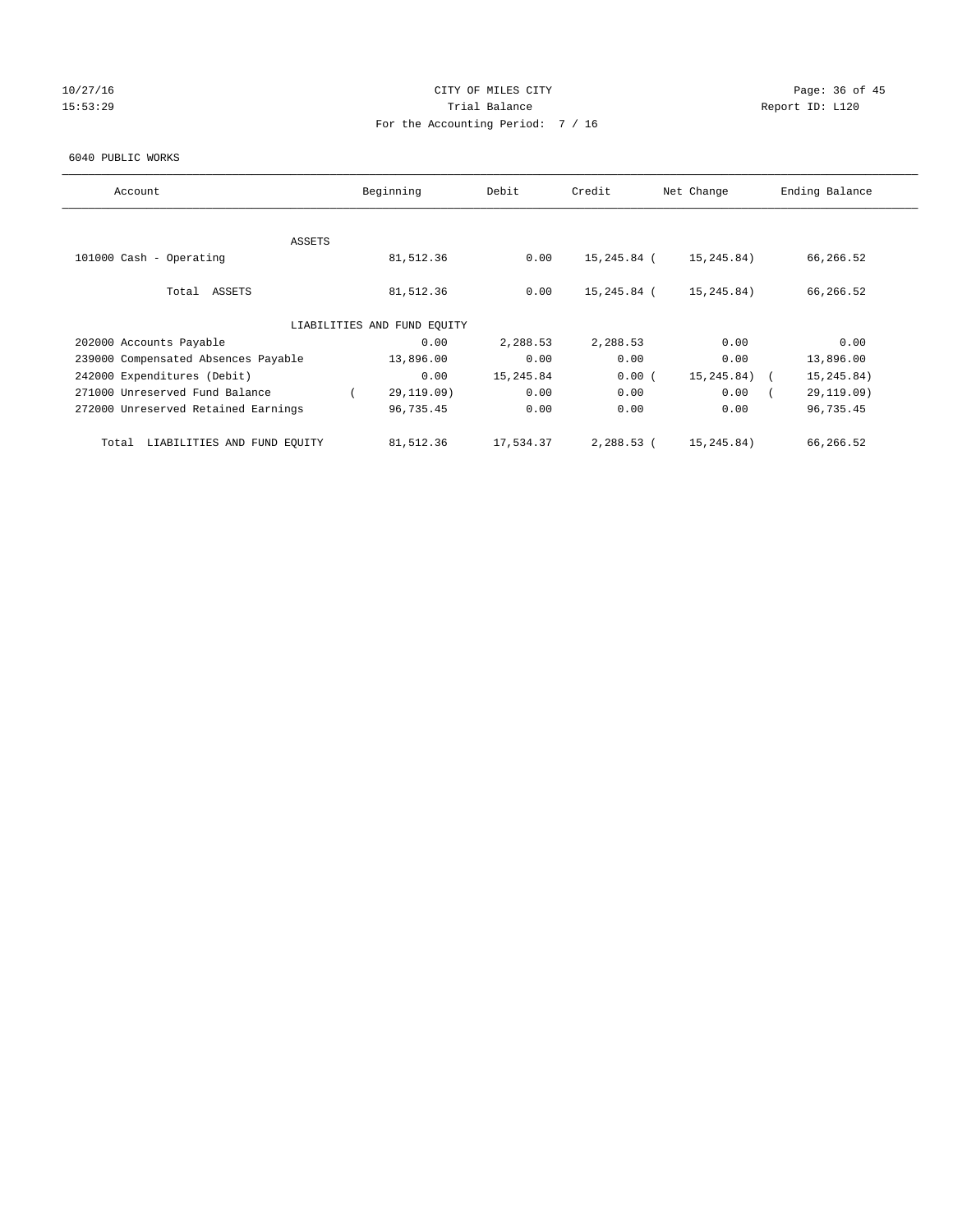# 10/27/16 **Page: 36 of 45** CITY OF MILES CITY **CITY** CITY **Page: 36 of 45** 15:53:29 **Trial Balance Trial Balance Report ID:** L120 For the Accounting Period: 7 / 16

#### 6040 PUBLIC WORKS

| Account                              | Beginning                   | Debit     | Credit      | Net Change  | Ending Balance |
|--------------------------------------|-----------------------------|-----------|-------------|-------------|----------------|
|                                      |                             |           |             |             |                |
| ASSETS                               |                             |           |             |             |                |
| 101000 Cash - Operating              | 81,512.36                   | 0.00      | 15,245.84 ( | 15,245.84)  | 66,266.52      |
|                                      |                             |           |             |             |                |
| Total ASSETS                         | 81,512.36                   | 0.00      | 15,245.84 ( | 15,245.84)  | 66,266.52      |
|                                      |                             |           |             |             |                |
|                                      | LIABILITIES AND FUND EQUITY |           |             |             |                |
| 202000 Accounts Payable              | 0.00                        | 2,288.53  | 2,288.53    | 0.00        | 0.00           |
| 239000 Compensated Absences Payable  | 13,896.00                   | 0.00      | 0.00        | 0.00        | 13,896.00      |
| 242000 Expenditures (Debit)          | 0.00                        | 15,245.84 | 0.00(       | 15, 245.84) | 15, 245.84)    |
| 271000 Unreserved Fund Balance       | 29,119.09)                  | 0.00      | 0.00        | 0.00        | 29,119.09)     |
| 272000 Unreserved Retained Earnings  | 96,735.45                   | 0.00      | 0.00        | 0.00        | 96,735.45      |
|                                      |                             |           |             |             |                |
| LIABILITIES AND FUND EQUITY<br>Total | 81,512.36                   | 17,534.37 | 2,288.53 (  | 15,245.84)  | 66,266.52      |
|                                      |                             |           |             |             |                |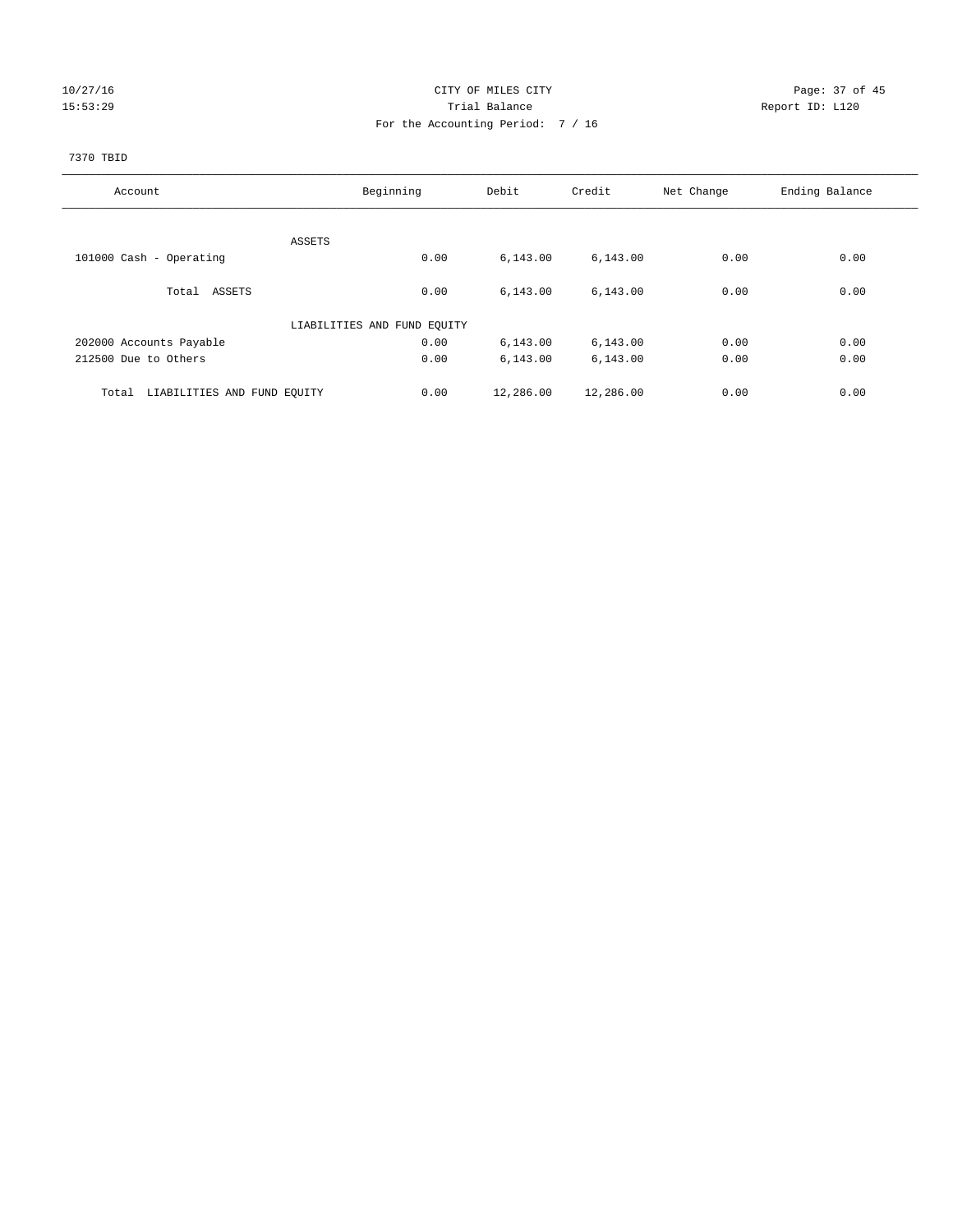# 10/27/16 Page: 37 of 45 15:53:29 **Trial Balance Trial Balance Report ID:** L120 For the Accounting Period: 7 / 16

## 7370 TBID

| Account                              | Beginning                   | Debit             | Credit    | Net Change | Ending Balance |
|--------------------------------------|-----------------------------|-------------------|-----------|------------|----------------|
|                                      |                             |                   |           |            |                |
|                                      | ASSETS                      |                   |           |            |                |
| 101000 Cash - Operating              |                             | 0.00<br>6, 143.00 | 6,143.00  | 0.00       | 0.00           |
| Total ASSETS                         |                             | 0.00<br>6, 143.00 | 6,143.00  | 0.00       | 0.00           |
|                                      | LIABILITIES AND FUND EQUITY |                   |           |            |                |
| 202000 Accounts Payable              |                             | 0.00<br>6, 143.00 | 6,143.00  | 0.00       | 0.00           |
| 212500 Due to Others                 |                             | 0.00<br>6, 143.00 | 6,143.00  | 0.00       | 0.00           |
| LIABILITIES AND FUND EQUITY<br>Total |                             | 0.00<br>12,286.00 | 12,286.00 | 0.00       | 0.00           |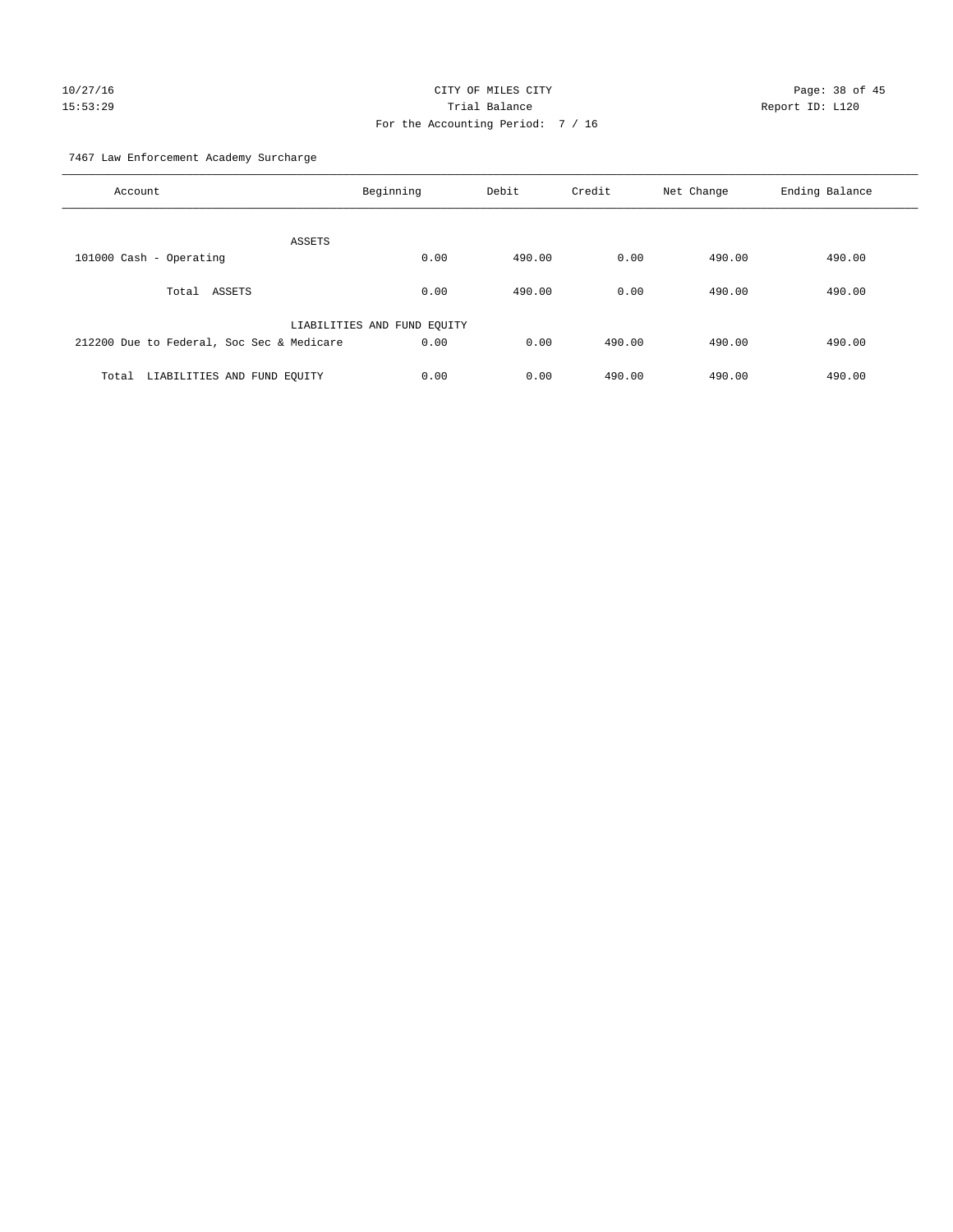# 10/27/16 Page: 38 of 45 15:53:29 Trial Balance Report ID: L120 For the Accounting Period: 7 / 16

7467 Law Enforcement Academy Surcharge

| Account                                   | Beginning                   | Debit  | Credit | Net Change | Ending Balance |
|-------------------------------------------|-----------------------------|--------|--------|------------|----------------|
| ASSETS                                    |                             |        |        |            |                |
| 101000 Cash - Operating                   | 0.00                        | 490.00 | 0.00   | 490.00     | 490.00         |
| Total ASSETS                              | 0.00                        | 490.00 | 0.00   | 490.00     | 490.00         |
|                                           | LIABILITIES AND FUND EQUITY |        |        |            |                |
| 212200 Due to Federal, Soc Sec & Medicare | 0.00                        | 0.00   | 490.00 | 490.00     | 490.00         |
| LIABILITIES AND FUND EQUITY<br>Total      | 0.00                        | 0.00   | 490.00 | 490.00     | 490.00         |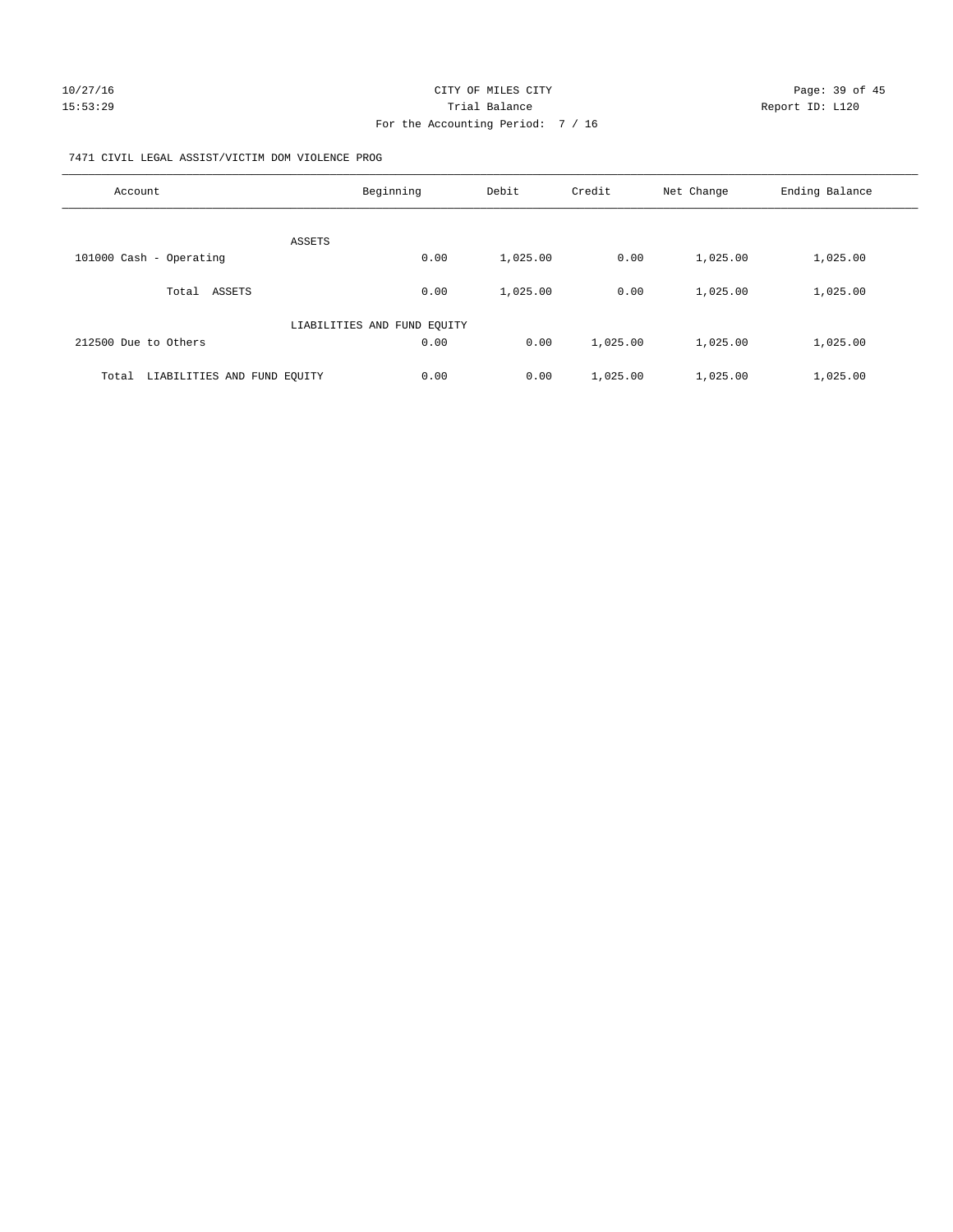#### 7471 CIVIL LEGAL ASSIST/VICTIM DOM VIOLENCE PROG

| Account                              | Beginning                   | Debit    | Credit   | Net Change | Ending Balance |
|--------------------------------------|-----------------------------|----------|----------|------------|----------------|
| <b>ASSETS</b>                        |                             |          |          |            |                |
| 101000 Cash - Operating              | 0.00                        | 1,025.00 | 0.00     | 1,025.00   | 1,025.00       |
| ASSETS<br>Total                      | 0.00                        | 1,025.00 | 0.00     | 1,025.00   | 1,025.00       |
|                                      | LIABILITIES AND FUND EQUITY |          |          |            |                |
| 212500 Due to Others                 | 0.00                        | 0.00     | 1,025.00 | 1,025.00   | 1,025.00       |
| LIABILITIES AND FUND EQUITY<br>Total | 0.00                        | 0.00     | 1,025.00 | 1,025.00   | 1,025.00       |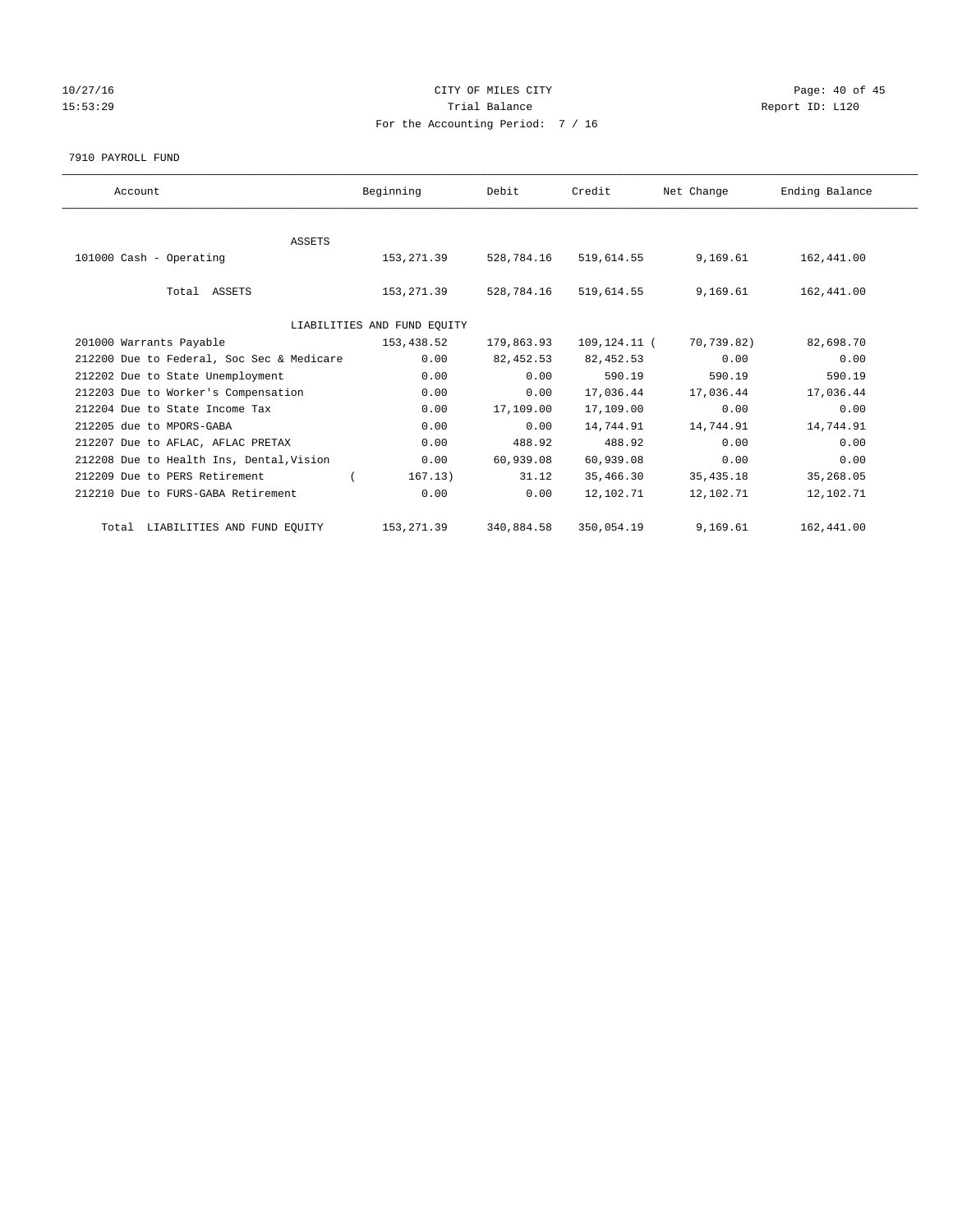# 10/27/16 Page: 40 of 45 15:53:29 **Trial Balance Trial Balance Report ID:** L120 For the Accounting Period: 7 / 16

#### 7910 PAYROLL FUND

| Account                                   | Beginning                   | Debit      | Credit       | Net Change  | Ending Balance |
|-------------------------------------------|-----------------------------|------------|--------------|-------------|----------------|
|                                           |                             |            |              |             |                |
| <b>ASSETS</b>                             |                             |            |              |             |                |
| 101000 Cash - Operating                   | 153, 271.39                 | 528,784.16 | 519,614.55   | 9,169.61    | 162,441.00     |
|                                           |                             |            |              |             |                |
| Total ASSETS                              | 153,271.39                  | 528,784.16 | 519,614.55   | 9,169.61    | 162,441.00     |
|                                           |                             |            |              |             |                |
|                                           | LIABILITIES AND FUND EQUITY |            |              |             |                |
| 201000 Warrants Payable                   | 153,438.52                  | 179,863.93 | 109,124.11 ( | 70,739.82)  | 82,698.70      |
| 212200 Due to Federal, Soc Sec & Medicare | 0.00                        | 82, 452.53 | 82, 452.53   | 0.00        | 0.00           |
| 212202 Due to State Unemployment          | 0.00                        | 0.00       | 590.19       | 590.19      | 590.19         |
| 212203 Due to Worker's Compensation       | 0.00                        | 0.00       | 17,036.44    | 17,036.44   | 17,036.44      |
| 212204 Due to State Income Tax            | 0.00                        | 17,109.00  | 17,109.00    | 0.00        | 0.00           |
| 212205 due to MPORS-GABA                  | 0.00                        | 0.00       | 14,744.91    | 14,744.91   | 14,744.91      |
| 212207 Due to AFLAC, AFLAC PRETAX         | 0.00                        | 488.92     | 488.92       | 0.00        | 0.00           |
| 212208 Due to Health Ins, Dental, Vision  | 0.00                        | 60,939.08  | 60,939.08    | 0.00        | 0.00           |
| 212209 Due to PERS Retirement             | 167.13)                     | 31.12      | 35,466.30    | 35, 435. 18 | 35,268.05      |
| 212210 Due to FURS-GABA Retirement        | 0.00                        | 0.00       | 12,102.71    | 12,102.71   | 12,102.71      |
| Total LIABILITIES AND FUND EQUITY         | 153, 271.39                 | 340,884.58 | 350,054.19   | 9,169.61    | 162,441.00     |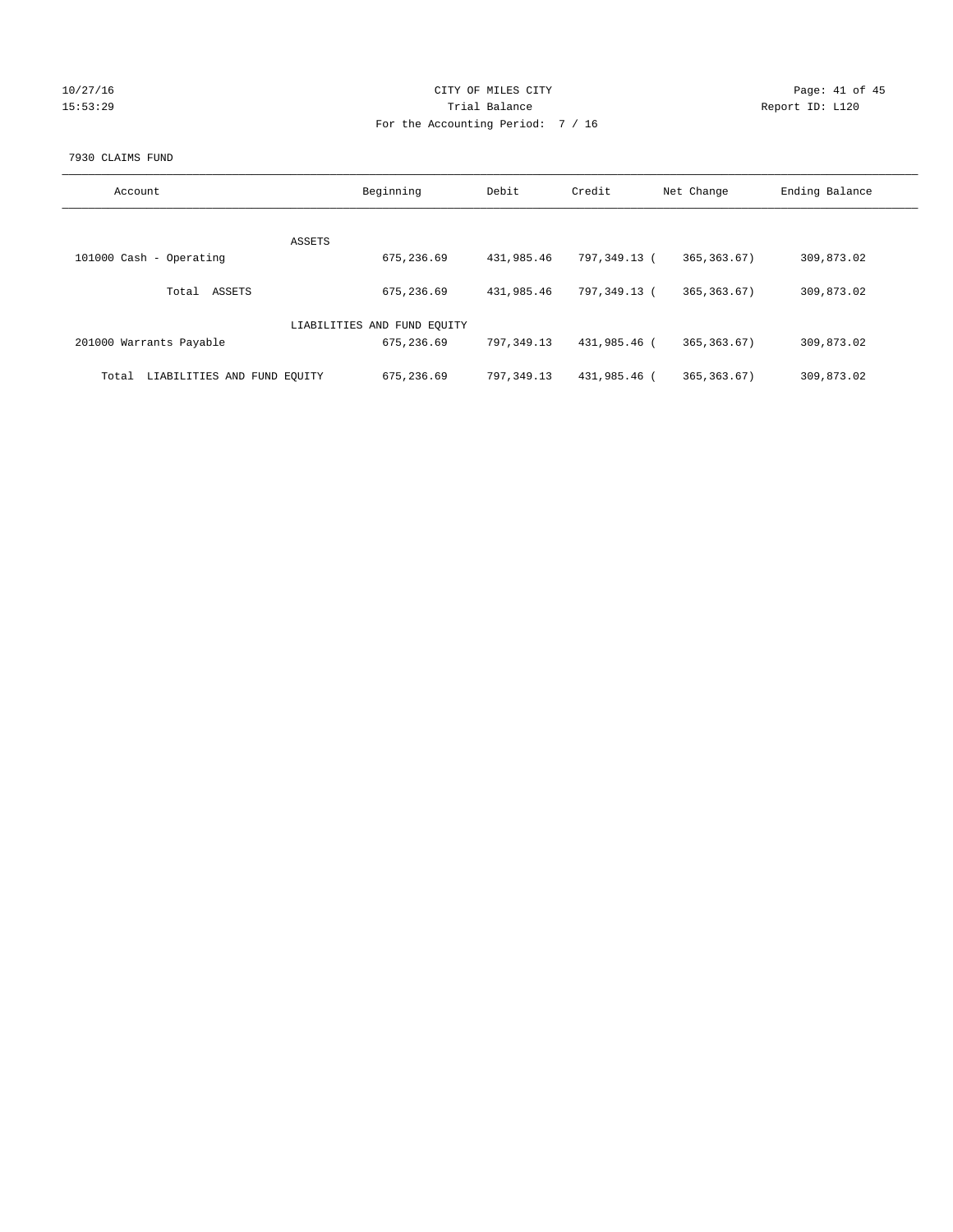|  | 072771 |  | h |
|--|--------|--|---|
|  |        |  | o |

# CITY OF MILES CITY CONTROL CONTROL CONTROL CITY 15:53:29 Trial Balance Trial Balance Report ID: L120 For the Accounting Period: 7 / 16

### 7930 CLAIMS FUND

| Account                              | Beginning                   | Debit        | Credit       | Net Change    | Ending Balance |
|--------------------------------------|-----------------------------|--------------|--------------|---------------|----------------|
| ASSETS                               |                             |              |              |               |                |
| 101000 Cash - Operating              | 675,236.69                  | 431,985.46   | 797,349.13 ( | 365, 363.67)  | 309,873.02     |
| ASSETS<br>Total                      | 675,236.69                  | 431,985.46   | 797.349.13 ( | 365, 363, 67) | 309,873.02     |
|                                      | LIABILITIES AND FUND EQUITY |              |              |               |                |
| 201000 Warrants Payable              | 675,236.69                  | 797, 349, 13 | 431,985.46 ( | 365, 363, 67) | 309,873.02     |
| LIABILITIES AND FUND EQUITY<br>Total | 675,236.69                  | 797,349.13   | 431,985.46 ( | 365, 363, 67) | 309,873.02     |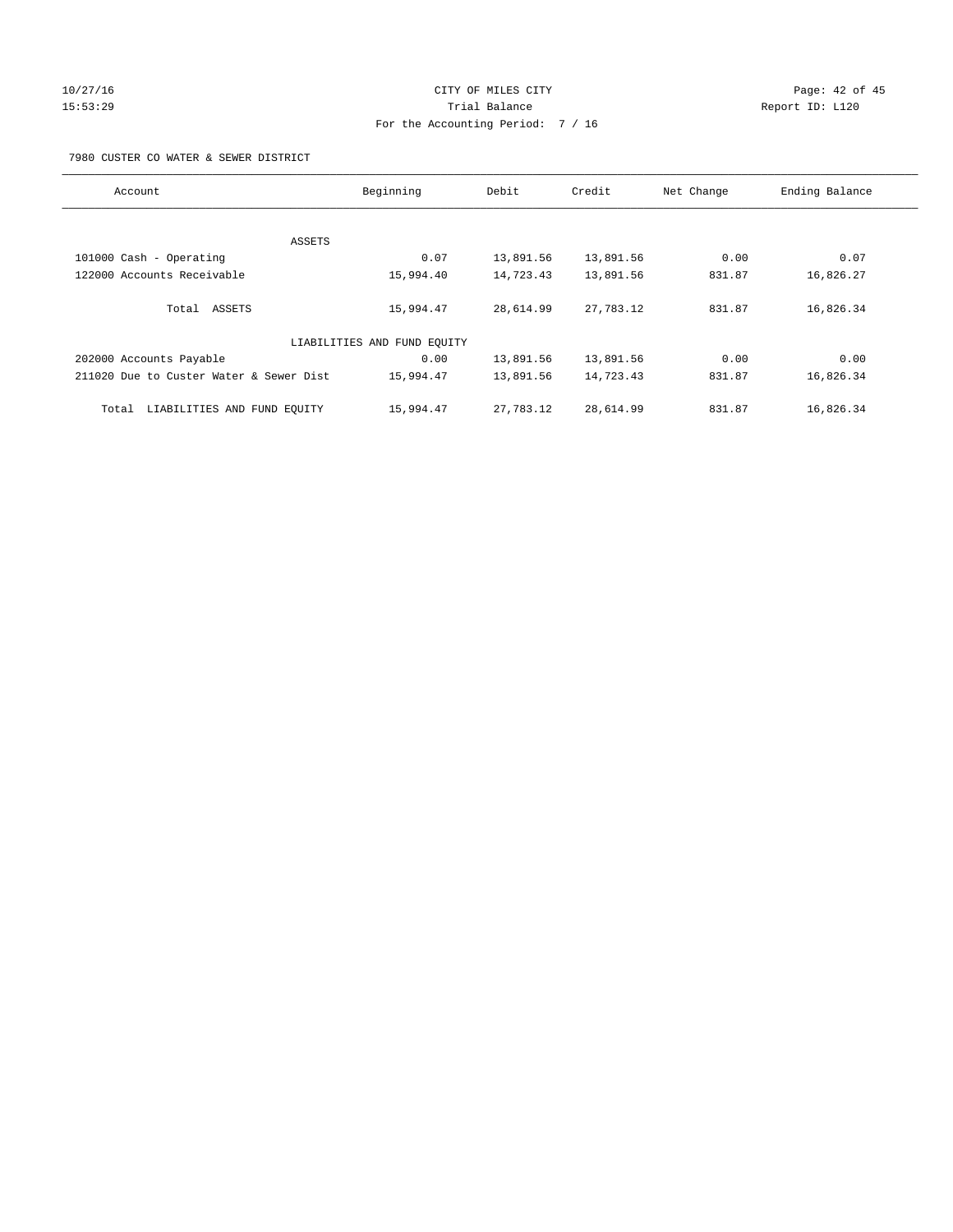# 10/27/16 Page: 42 of 45 15:53:29 Trial Balance Report ID: L120 For the Accounting Period: 7 / 16

7980 CUSTER CO WATER & SEWER DISTRICT

| Account                                 | Beginning                   | Debit     | Credit    | Net Change | Ending Balance |
|-----------------------------------------|-----------------------------|-----------|-----------|------------|----------------|
|                                         |                             |           |           |            |                |
| ASSETS                                  |                             |           |           |            |                |
| 101000 Cash - Operating                 | 0.07                        | 13,891.56 | 13,891.56 | 0.00       | 0.07           |
| 122000 Accounts Receivable              | 15,994.40                   | 14,723.43 | 13,891.56 | 831.87     | 16,826.27      |
| Total ASSETS                            | 15,994.47                   | 28,614.99 | 27,783.12 | 831.87     | 16,826.34      |
|                                         | LIABILITIES AND FUND EQUITY |           |           |            |                |
| 202000 Accounts Payable                 | 0.00                        | 13,891.56 | 13,891.56 | 0.00       | 0.00           |
| 211020 Due to Custer Water & Sewer Dist | 15,994.47                   | 13,891.56 | 14,723.43 | 831.87     | 16,826.34      |
| LIABILITIES AND FUND EQUITY<br>Total    | 15,994.47                   | 27,783.12 | 28,614.99 | 831.87     | 16,826.34      |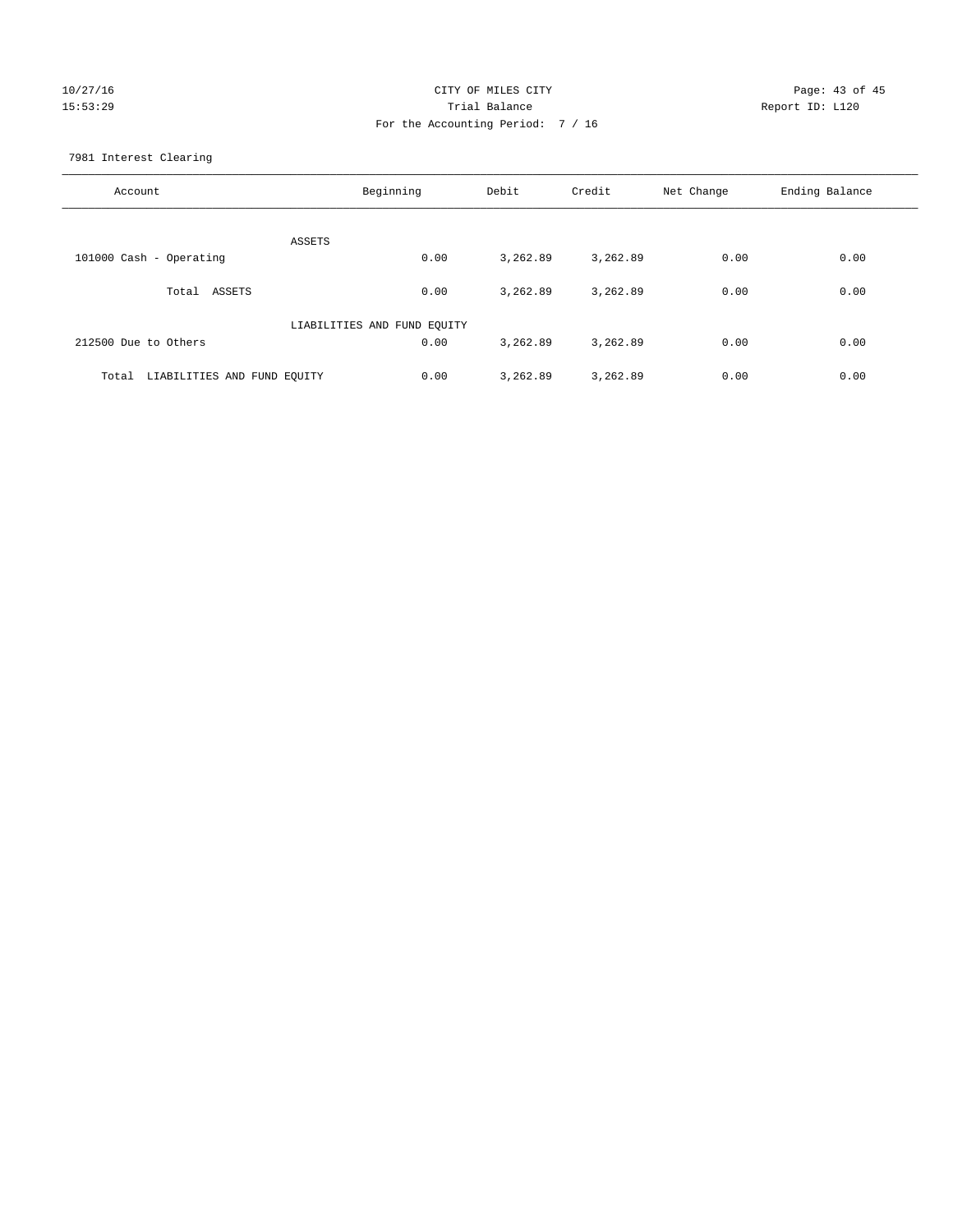# 10/27/16 Page: 43 of 45 15:53:29 Trial Balance Report ID: L120 For the Accounting Period: 7 / 16

7981 Interest Clearing

| Account                           | Beginning                   | Debit    | Credit   | Net Change | Ending Balance |
|-----------------------------------|-----------------------------|----------|----------|------------|----------------|
|                                   | ASSETS                      |          |          |            |                |
| 101000 Cash - Operating           | 0.00                        | 3,262.89 | 3,262.89 | 0.00       | 0.00           |
| Total ASSETS                      | 0.00                        | 3,262.89 | 3,262.89 | 0.00       | 0.00           |
|                                   | LIABILITIES AND FUND EQUITY |          |          |            |                |
| 212500 Due to Others              | 0.00                        | 3,262.89 | 3,262.89 | 0.00       | 0.00           |
| Total LIABILITIES AND FUND EOUITY | 0.00                        | 3,262.89 | 3,262.89 | 0.00       | 0.00           |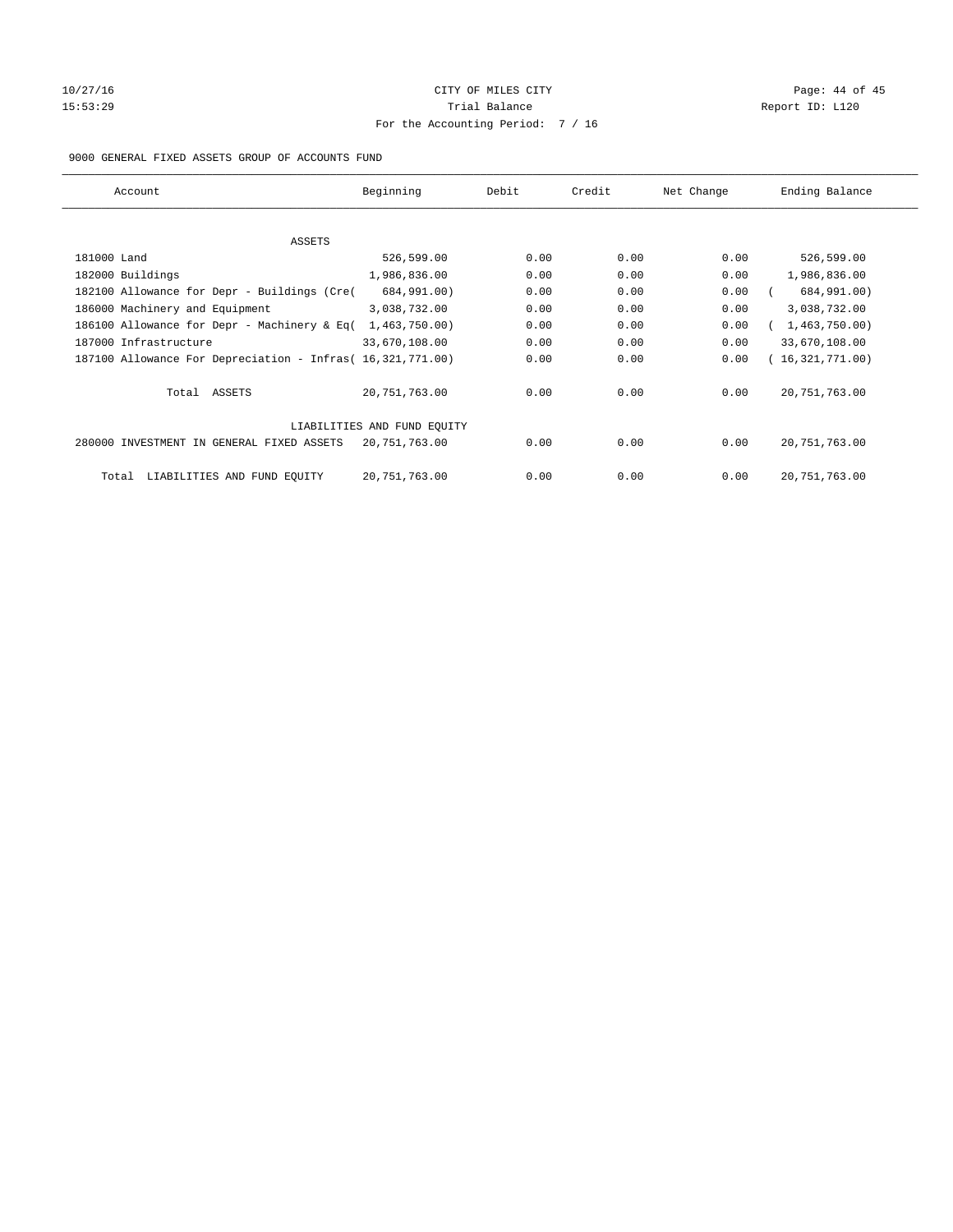# 10/27/16 Page: 44 of 45 15:53:29 **Trial Balance Trial Balance Report ID:** L120 For the Accounting Period: 7 / 16

## 9000 GENERAL FIXED ASSETS GROUP OF ACCOUNTS FUND

| Account                                                    | Beginning                   | Debit | Credit | Net Change | Ending Balance  |
|------------------------------------------------------------|-----------------------------|-------|--------|------------|-----------------|
| ASSETS                                                     |                             |       |        |            |                 |
| 181000 Land                                                | 526,599.00                  | 0.00  | 0.00   | 0.00       | 526,599.00      |
| 182000 Buildings                                           | 1,986,836.00                | 0.00  | 0.00   | 0.00       | 1,986,836.00    |
| 182100 Allowance for Depr - Buildings (Cre(                | 684,991.00)                 | 0.00  | 0.00   | 0.00       | 684,991.00)     |
| 186000 Machinery and Equipment                             | 3,038,732.00                | 0.00  | 0.00   | 0.00       | 3,038,732.00    |
| 186100 Allowance for Depr - Machinery & Eq(                | 1,463,750.00)               | 0.00  | 0.00   | 0.00       | 1,463,750.00)   |
| 187000 Infrastructure                                      | 33,670,108.00               | 0.00  | 0.00   | 0.00       | 33,670,108.00   |
| 187100 Allowance For Depreciation - Infras( 16,321,771.00) |                             | 0.00  | 0.00   | 0.00       | 16,321,771.00)  |
| Total ASSETS                                               | 20,751,763.00               | 0.00  | 0.00   | 0.00       | 20, 751, 763.00 |
|                                                            | LIABILITIES AND FUND EQUITY |       |        |            |                 |
| 280000 INVESTMENT IN GENERAL FIXED ASSETS                  | 20,751,763.00               | 0.00  | 0.00   | 0.00       | 20, 751, 763.00 |
| LIABILITIES AND FUND EQUITY<br>Total                       | 20, 751, 763.00             | 0.00  | 0.00   | 0.00       | 20, 751, 763.00 |